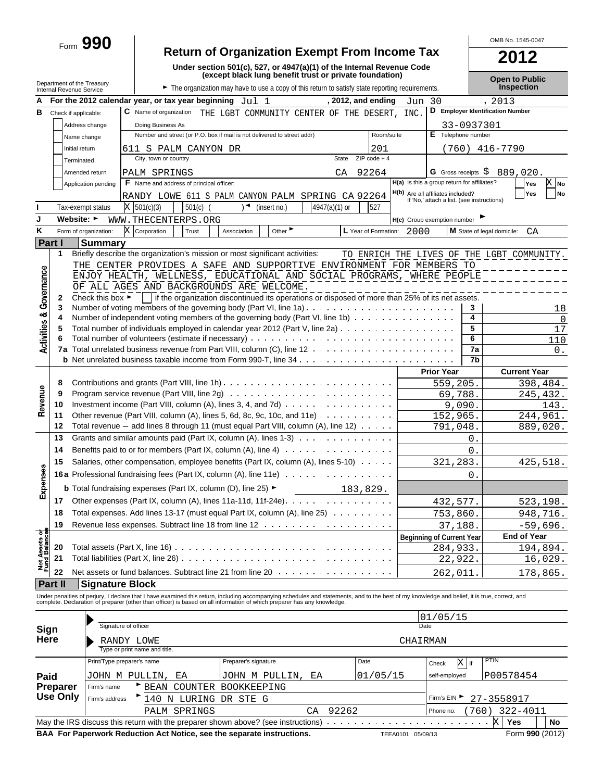# Form **990 Return of Organization Exempt From Income Tax PO012**

OMB No. 1545-0047

|                               |                                                        |                                                                           |                                                                                                 | Under section 501(c), 527, or 4947(a)(1) of the Internal Revenue Code                                                                                                                         |                 |                      |          |                                                                                 |               | ZUIZ                                       |                |
|-------------------------------|--------------------------------------------------------|---------------------------------------------------------------------------|-------------------------------------------------------------------------------------------------|-----------------------------------------------------------------------------------------------------------------------------------------------------------------------------------------------|-----------------|----------------------|----------|---------------------------------------------------------------------------------|---------------|--------------------------------------------|----------------|
|                               |                                                        |                                                                           |                                                                                                 | (except black lung benefit trust or private foundation)                                                                                                                                       |                 |                      |          |                                                                                 |               | <b>Open to Public</b>                      |                |
|                               | Department of the Treasury<br>Internal Revenue Service |                                                                           |                                                                                                 | The organization may have to use a copy of this return to satisfy state reporting requirements.                                                                                               |                 |                      |          |                                                                                 |               | Inspection                                 |                |
| А                             |                                                        |                                                                           | For the 2012 calendar year, or tax year beginning $Jul 1$                                       |                                                                                                                                                                                               |                 | $, 2012,$ and ending | Jun 30   |                                                                                 |               | , 2013                                     |                |
| в                             | Check if applicable:                                   |                                                                           | <b>C</b> Name of organization                                                                   | THE LGBT COMMUNITY CENTER OF THE DESERT, INC                                                                                                                                                  |                 |                      |          |                                                                                 |               | D Employer Identification Number           |                |
|                               |                                                        | Address change                                                            | Doing Business As                                                                               |                                                                                                                                                                                               |                 |                      |          |                                                                                 | 33-0937301    |                                            |                |
|                               | Name change                                            |                                                                           |                                                                                                 | Number and street (or P.O. box if mail is not delivered to street addr)                                                                                                                       |                 | Room/suite           |          | E Telephone number                                                              |               |                                            |                |
|                               | Initial return                                         |                                                                           | 611 S PALM CANYON DR                                                                            |                                                                                                                                                                                               |                 | 201                  |          |                                                                                 |               | $(760)$ 416-7790                           |                |
|                               | Terminated                                             |                                                                           | City, town or country                                                                           |                                                                                                                                                                                               | State           | $ZIP code + 4$       |          |                                                                                 |               |                                            |                |
|                               |                                                        | Amended return                                                            | PALM SPRINGS                                                                                    |                                                                                                                                                                                               | CA              | 92264                |          |                                                                                 |               | G Gross receipts $$889,020$ .              |                |
|                               |                                                        | Application pending                                                       | <b>F</b> Name and address of principal officer:                                                 |                                                                                                                                                                                               |                 |                      |          | H(a) Is this a group return for affiliates?                                     |               | Yes                                        | X No           |
|                               |                                                        |                                                                           |                                                                                                 | RANDY LOWE 611 S PALM CANYON PALM SPRING CA 92264                                                                                                                                             |                 |                      |          | H(b) Are all affiliates included?<br>If 'No,' attach a list. (see instructions) |               | Yes                                        | No             |
|                               | Tax-exempt status                                      |                                                                           | $X$ 501(c)(3)<br>501(c)                                                                         | (insert no.)                                                                                                                                                                                  | $4947(a)(1)$ or | 527                  |          |                                                                                 |               |                                            |                |
| J                             | Website: ►                                             |                                                                           | WWW.THECENTERPS.ORG                                                                             |                                                                                                                                                                                               |                 |                      |          | H(c) Group exemption number                                                     |               |                                            |                |
| Κ                             |                                                        | Form of organization:                                                     | X<br>Corporation<br>Trust                                                                       | Other $\blacktriangleright$<br>Association                                                                                                                                                    |                 | L Year of Formation: | 2000     |                                                                                 |               | M State of legal domicile:<br>CA           |                |
|                               | Part I                                                 | <b>Summary</b>                                                            |                                                                                                 |                                                                                                                                                                                               |                 |                      |          |                                                                                 |               |                                            |                |
|                               | 1                                                      |                                                                           |                                                                                                 | Briefly describe the organization's mission or most significant activities:                                                                                                                   |                 |                      |          |                                                                                 |               | TO ENRICH THE LIVES OF THE LGBT COMMUNITY. |                |
|                               |                                                        |                                                                           |                                                                                                 | THE CENTER PROVIDES A SAFE AND SUPPORTIVE ENVIRONMENT FOR MEMBERS TO                                                                                                                          |                 |                      |          |                                                                                 |               |                                            |                |
| Governance                    |                                                        |                                                                           |                                                                                                 | ENJOY HEALTH, WELLNESS, EDUCATIONAL AND SOCIAL PROGRAMS, WHERE PEOPLE                                                                                                                         |                 |                      |          |                                                                                 |               |                                            |                |
|                               |                                                        |                                                                           |                                                                                                 | OF ALL AGES AND BACKGROUNDS ARE WELCOME.                                                                                                                                                      |                 |                      |          |                                                                                 |               |                                            |                |
|                               | 2<br>3                                                 | Check this box $\blacktriangleright$                                      |                                                                                                 | if the organization discontinued its operations or disposed of more than 25% of its net assets.                                                                                               |                 |                      |          |                                                                                 | 3             |                                            |                |
|                               | 4                                                      |                                                                           |                                                                                                 | Number of independent voting members of the governing body (Part VI, line 1b)                                                                                                                 |                 |                      |          |                                                                                 | 4             |                                            | 18<br>$\Omega$ |
| <b>Activities &amp;</b>       | 5                                                      |                                                                           |                                                                                                 | Total number of individuals employed in calendar year 2012 (Part V, line 2a)                                                                                                                  |                 |                      |          |                                                                                 | 5             |                                            | 17             |
|                               |                                                        |                                                                           |                                                                                                 |                                                                                                                                                                                               |                 |                      |          |                                                                                 | 6             |                                            | 110            |
|                               |                                                        |                                                                           |                                                                                                 |                                                                                                                                                                                               |                 |                      |          |                                                                                 | 7a            |                                            | 0.             |
|                               |                                                        |                                                                           |                                                                                                 |                                                                                                                                                                                               |                 |                      |          |                                                                                 | 7b            |                                            |                |
|                               |                                                        |                                                                           |                                                                                                 |                                                                                                                                                                                               |                 |                      |          | <b>Prior Year</b>                                                               |               | <b>Current Year</b>                        |                |
|                               | 8                                                      |                                                                           |                                                                                                 |                                                                                                                                                                                               |                 |                      |          | 559,205.                                                                        |               | 398,484.                                   |                |
|                               | 9                                                      |                                                                           |                                                                                                 |                                                                                                                                                                                               |                 |                      |          | 69,788.                                                                         |               | 245,432.                                   |                |
| Revenue                       | 10                                                     | Investment income (Part VIII, column $(A)$ , lines 3, 4, and 7d) $\ldots$ |                                                                                                 |                                                                                                                                                                                               |                 |                      |          |                                                                                 | 9,090.        |                                            | 143.           |
|                               | 11                                                     |                                                                           | Other revenue (Part VIII, column (A), lines 5, 6d, 8c, 9c, 10c, and 11e) $\ldots \ldots \ldots$ |                                                                                                                                                                                               | 152,965.        |                      |          | 244,961.                                                                        |               |                                            |                |
|                               | 12                                                     |                                                                           |                                                                                                 | Total revenue $-$ add lines 8 through 11 (must equal Part VIII, column (A), line 12) $\ldots$                                                                                                 |                 |                      | 791,048. |                                                                                 |               | 889,020.                                   |                |
|                               | 13                                                     |                                                                           |                                                                                                 | Grants and similar amounts paid (Part IX, column (A), lines 1-3) $\ldots$                                                                                                                     |                 |                      |          |                                                                                 | $\mathbf 0$ . |                                            |                |
|                               | 14                                                     |                                                                           |                                                                                                 |                                                                                                                                                                                               |                 |                      |          |                                                                                 | 0.            |                                            |                |
|                               | 15                                                     |                                                                           |                                                                                                 | Salaries, other compensation, employee benefits (Part IX, column (A), lines 5-10)                                                                                                             |                 |                      |          | 321,283.                                                                        |               | 425,518.                                   |                |
|                               |                                                        |                                                                           |                                                                                                 | 16a Professional fundraising fees (Part IX, column (A), line 11e)                                                                                                                             |                 |                      |          |                                                                                 | 0.            |                                            |                |
| Expenses                      |                                                        |                                                                           | <b>b</b> Total fundraising expenses (Part IX, column (D), line 25) $\blacktriangleright$        |                                                                                                                                                                                               |                 | 183,829.             |          |                                                                                 |               |                                            |                |
|                               |                                                        |                                                                           |                                                                                                 | 17 Other expenses (Part IX, column (A), lines 11a-11d, 11f-24e).                                                                                                                              |                 |                      |          | 432,577.                                                                        |               | 523, 198.                                  |                |
|                               | 18                                                     |                                                                           |                                                                                                 | Total expenses. Add lines 13-17 (must equal Part IX, column (A), line 25)                                                                                                                     |                 |                      |          | 753,860.                                                                        |               | 948,716.                                   |                |
|                               | 19                                                     |                                                                           |                                                                                                 |                                                                                                                                                                                               |                 |                      |          | 37,188.                                                                         |               | $-59,696.$                                 |                |
|                               |                                                        |                                                                           |                                                                                                 |                                                                                                                                                                                               |                 |                      |          | <b>Beginning of Current Year</b>                                                |               | <b>End of Year</b>                         |                |
|                               | 20                                                     |                                                                           |                                                                                                 |                                                                                                                                                                                               |                 |                      |          | 284,933.                                                                        |               | 194,894.                                   |                |
| Net Assets of<br>Fund Balance | 21                                                     |                                                                           |                                                                                                 |                                                                                                                                                                                               |                 |                      |          | 22,922.                                                                         |               | 16,029.                                    |                |
|                               | 22                                                     |                                                                           |                                                                                                 | Net assets or fund balances. Subtract line 21 from line 20                                                                                                                                    |                 |                      |          | 262,011                                                                         |               | 178,865.                                   |                |
|                               | Part II                                                | <b>Signature Block</b>                                                    |                                                                                                 |                                                                                                                                                                                               |                 |                      |          |                                                                                 |               |                                            |                |
|                               |                                                        |                                                                           |                                                                                                 | Under penalties of perjury, I declare that I have examined this return, including accompanying schedules and statements, and to the best of my knowledge and belief, it is true, correct, and |                 |                      |          |                                                                                 |               |                                            |                |
|                               |                                                        |                                                                           |                                                                                                 | complete. Declaration of preparer (other than officer) is based on all information of which preparer has any knowledge.                                                                       |                 |                      |          |                                                                                 |               |                                            |                |
|                               |                                                        |                                                                           |                                                                                                 |                                                                                                                                                                                               |                 |                      |          | 01/05/15                                                                        |               |                                            |                |
| Sign                          |                                                        |                                                                           | Signature of officer                                                                            |                                                                                                                                                                                               |                 |                      | Date     |                                                                                 |               |                                            |                |
| Here                          |                                                        |                                                                           | RANDY LOWE                                                                                      |                                                                                                                                                                                               | CHAIRMAN        |                      |          |                                                                                 |               |                                            |                |
|                               |                                                        |                                                                           | Type or print name and title.                                                                   |                                                                                                                                                                                               |                 |                      |          |                                                                                 |               |                                            |                |
|                               |                                                        |                                                                           | Print/Type preparer's name                                                                      | Preparer's signature                                                                                                                                                                          |                 | Date                 |          | Check                                                                           | $X$ if        | PTIN                                       |                |
| Paid                          |                                                        |                                                                           | JOHN M PULLIN,<br>ΕA                                                                            | JOHN M PULLIN,                                                                                                                                                                                | EА              | 01/05/15             |          | self-employed                                                                   |               | P00578454                                  |                |
|                               | <b>Preparer</b>                                        | Firm's name                                                               | $\overline{\phantom{a}}$ BEAN                                                                   | COUNTER BOOKKEEPING                                                                                                                                                                           |                 |                      |          |                                                                                 |               |                                            |                |

| $Use Only   Firm's address$ | L40 N LURING DR STE G                                                  |                   | Firm's EIN $\geq 27 - 3558917$ |                  |    |
|-----------------------------|------------------------------------------------------------------------|-------------------|--------------------------------|------------------|----|
|                             | PALM SPRINGS                                                           | CA 92262          | Phone no.                      | $(760)$ 322-4011 |    |
|                             |                                                                        |                   |                                | Yes              | No |
|                             | BAA For Paperwork Reduction Act Notice, see the separate instructions. | TEEA0101 05/09/13 |                                | Form 990 (2012)  |    |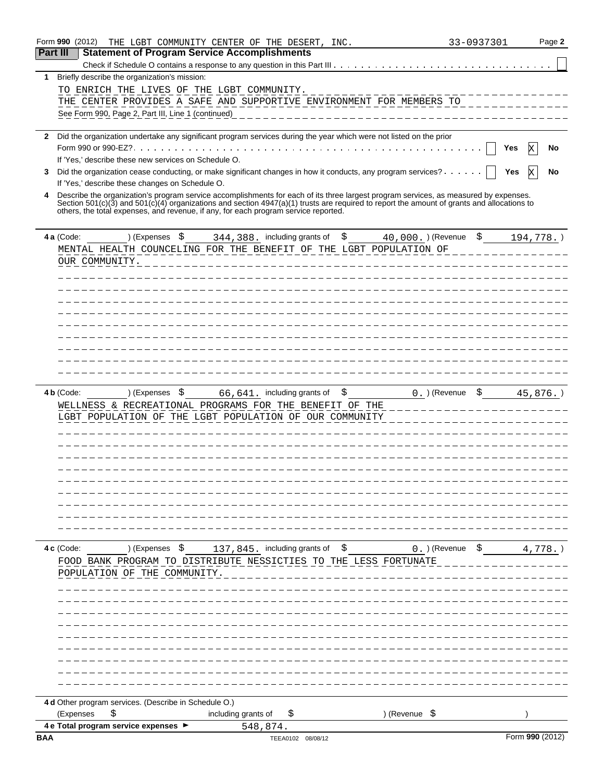| Form 990 (2012) |                                                                                       | THE LGBT COMMUNITY CENTER OF THE DESERT, INC.                                                                                                                                                                                     |                          | 33-0937301<br>Page 2 |
|-----------------|---------------------------------------------------------------------------------------|-----------------------------------------------------------------------------------------------------------------------------------------------------------------------------------------------------------------------------------|--------------------------|----------------------|
| Part III        | <b>Statement of Program Service Accomplishments</b>                                   |                                                                                                                                                                                                                                   |                          |                      |
|                 |                                                                                       |                                                                                                                                                                                                                                   |                          |                      |
| 1               | Briefly describe the organization's mission:                                          |                                                                                                                                                                                                                                   |                          |                      |
|                 | TO ENRICH THE LIVES OF THE LGBT COMMUNITY.                                            |                                                                                                                                                                                                                                   |                          |                      |
|                 |                                                                                       | THE CENTER PROVIDES A SAFE AND SUPPORTIVE ENVIRONMENT FOR MEMBERS TO                                                                                                                                                              |                          |                      |
|                 | See Form 990, Page 2, Part III, Line 1 (continued)                                    |                                                                                                                                                                                                                                   |                          |                      |
|                 |                                                                                       |                                                                                                                                                                                                                                   |                          |                      |
| 2               |                                                                                       | Did the organization undertake any significant program services during the year which were not listed on the prior                                                                                                                |                          |                      |
|                 |                                                                                       |                                                                                                                                                                                                                                   |                          | No<br>Yes            |
|                 | If 'Yes,' describe these new services on Schedule O.                                  |                                                                                                                                                                                                                                   |                          |                      |
| 3               |                                                                                       | Did the organization cease conducting, or make significant changes in how it conducts, any program services?                                                                                                                      |                          | No<br>Yes            |
|                 | If 'Yes,' describe these changes on Schedule O.                                       |                                                                                                                                                                                                                                   |                          |                      |
| 4               |                                                                                       | Describe the organization's program service accomplishments for each of its three largest program services, as measured by expenses.                                                                                              |                          |                      |
|                 |                                                                                       | Section 501(c)(3) and 501(c)(4) organizations and section 4947(a)(1) trusts are required to report the amount of grants and allocations to<br>others, the total expenses, and revenue, if any, for each program service reported. |                          |                      |
| 4 a (Code:      | ) (Expenses \$                                                                        | 344, 388. including grants of                                                                                                                                                                                                     | \$<br>40,000. ) (Revenue | \$<br>194,778.)      |
|                 |                                                                                       | MENTAL HEALTH COUNCELING FOR THE BENEFIT OF THE LGBT POPULATION OF                                                                                                                                                                |                          |                      |
|                 | OUR COMMUNITY.                                                                        |                                                                                                                                                                                                                                   |                          |                      |
|                 |                                                                                       |                                                                                                                                                                                                                                   |                          |                      |
|                 |                                                                                       |                                                                                                                                                                                                                                   |                          |                      |
|                 |                                                                                       |                                                                                                                                                                                                                                   |                          |                      |
|                 |                                                                                       |                                                                                                                                                                                                                                   |                          |                      |
|                 |                                                                                       |                                                                                                                                                                                                                                   |                          |                      |
|                 |                                                                                       |                                                                                                                                                                                                                                   |                          |                      |
|                 |                                                                                       |                                                                                                                                                                                                                                   |                          |                      |
|                 |                                                                                       |                                                                                                                                                                                                                                   |                          |                      |
|                 |                                                                                       |                                                                                                                                                                                                                                   |                          |                      |
|                 |                                                                                       |                                                                                                                                                                                                                                   |                          |                      |
|                 |                                                                                       |                                                                                                                                                                                                                                   |                          |                      |
|                 |                                                                                       | WELLNESS & RECREATIONAL PROGRAMS FOR THE BENEFIT OF THE<br>LGBT POPULATION OF THE LGBT POPULATION OF OUR COMMUNITY                                                                                                                |                          |                      |
| 4 c (Code:      | ) (Expenses \$                                                                        | 137,845. including grants of \$<br>FOOD BANK PROGRAM TO DISTRIBUTE NESSICTIES TO THE LESS FORTUNATE                                                                                                                               | $0.$ ) (Revenue $$$      | $4,778.$ )           |
|                 | POPULATION OF THE COMMUNITY.<br>4 d Other program services. (Describe in Schedule O.) |                                                                                                                                                                                                                                   |                          |                      |
| (Expenses       | \$                                                                                    | including grants of<br>\$                                                                                                                                                                                                         | ) (Revenue \$            |                      |
|                 | 4 e Total program service expenses ▶                                                  | 548,874.                                                                                                                                                                                                                          |                          |                      |
| BAA             |                                                                                       | TEEA0102 08/08/12                                                                                                                                                                                                                 |                          | Form 990 (2012)      |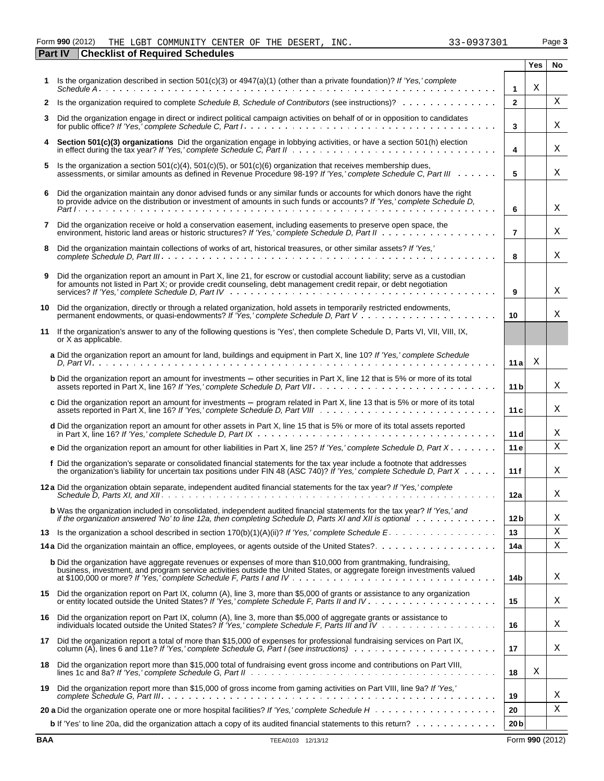### Form 990 (2012) THE LGBT COMMUNITY CENTER OF THE DESERT, INC.  $33-0937301$  Page 3

|    | <b>Checklist of Required Schedules</b><br>Part IV                                                                                                                                                                                                 |                 |            |           |
|----|---------------------------------------------------------------------------------------------------------------------------------------------------------------------------------------------------------------------------------------------------|-----------------|------------|-----------|
|    |                                                                                                                                                                                                                                                   |                 | <b>Yes</b> | <b>No</b> |
| 1. | Is the organization described in section 501(c)(3) or 4947(a)(1) (other than a private foundation)? If 'Yes,' complete                                                                                                                            | $\mathbf{1}$    | X          |           |
| 2  | Is the organization required to complete Schedule B, Schedule of Contributors (see instructions)?                                                                                                                                                 | $\overline{2}$  |            | Χ         |
| 3  | Did the organization engage in direct or indirect political campaign activities on behalf of or in opposition to candidates                                                                                                                       | 3               |            | Χ         |
|    | Section 501(c)(3) organizations Did the organization engage in lobbying activities, or have a section 501(h) election                                                                                                                             | 4               |            | Χ         |
| 5  | Is the organization a section $501(c)(4)$ , $501(c)(5)$ , or $501(c)(6)$ organization that receives membership dues,<br>assessments, or similar amounts as defined in Revenue Procedure 98-19? If 'Yes,' complete Schedule C, Part III            | 5               |            | Χ         |
| 6  | Did the organization maintain any donor advised funds or any similar funds or accounts for which donors have the right to provide advice on the distribution or investment of amounts in such funds or accounts? If 'Yes,' com                    | 6               |            | Χ         |
| 7  | Did the organization receive or hold a conservation easement, including easements to preserve open space, the                                                                                                                                     | $\overline{7}$  |            | Χ         |
| 8  | Did the organization maintain collections of works of art, historical treasures, or other similar assets? If 'Yes,'                                                                                                                               | 8               |            | Χ         |
| 9  | Did the organization report an amount in Part X, line 21, for escrow or custodial account liability; serve as a custodian<br>for amounts not listed in Part X; or provide credit counseling, debt management credit repair, or debt negotiation   | 9               |            | Χ         |
| 10 | Did the organization, directly or through a related organization, hold assets in temporarily restricted endowments,                                                                                                                               | 10              |            | Χ         |
|    | 11 If the organization's answer to any of the following questions is 'Yes', then complete Schedule D, Parts VI, VII, VIII, IX,<br>or X as applicable.                                                                                             |                 |            |           |
|    | a Did the organization report an amount for land, buildings and equipment in Part X, line 10? If 'Yes,' complete Schedule                                                                                                                         | 11a             | Χ          |           |
|    | <b>b</b> Did the organization report an amount for investments - other securities in Part X, line 12 that is 5% or more of its total                                                                                                              | 11 <sub>b</sub> |            | Χ         |
|    | c Did the organization report an amount for investments - program related in Part X, line 13 that is 5% or more of its total                                                                                                                      | 11c             |            | Χ         |
|    | d Did the organization report an amount for other assets in Part X, line 15 that is 5% or more of its total assets reported                                                                                                                       | 11 d            |            | Χ         |
|    | e Did the organization report an amount for other liabilities in Part X, line 25? If 'Yes,' complete Schedule D, Part X                                                                                                                           | 11e             |            | Χ         |
|    | f Did the organization's separate or consolidated financial statements for the tax year include a footnote that addresses<br>the organization's liability for uncertain tax positions under FIN 48 (ASC 740)? If Yes, complete Schedule D, Part X | 11f             |            | X         |
|    | 12a Did the organization obtain separate, independent audited financial statements for the tax year? If 'Yes,' complete                                                                                                                           | 12a             |            | Χ         |
|    | b Was the organization included in consolidated, independent audited financial statements for the tax year? If 'Yes,' and<br>if the organization answered 'No' to line 12a, then completing Schedule D, Parts XI and XII is optional $\cdots$ ,   | 12 <sub>b</sub> |            | Χ         |
| 13 |                                                                                                                                                                                                                                                   | 13              |            | Χ         |
|    |                                                                                                                                                                                                                                                   | 14a             |            | Χ         |
|    | <b>b</b> Did the organization have aggregate revenues or expenses of more than \$10,000 from grantmaking, fundraising,<br>business, investment, and program service activities outside the United States, or aggregate foreign investments valued | 14b             |            | Χ         |
| 15 | Did the organization report on Part IX, column (A), line 3, more than \$5,000 of grants or assistance to any organization                                                                                                                         | 15              |            | Χ         |
| 16 | Did the organization report on Part IX, column (A), line 3, more than \$5,000 of aggregate grants or assistance to                                                                                                                                | 16              |            | Χ         |
| 17 | Did the organization report a total of more than \$15,000 of expenses for professional fundraising services on Part IX,                                                                                                                           | 17              |            | Χ         |
| 18 | Did the organization report more than \$15,000 total of fundraising event gross income and contributions on Part VIII,                                                                                                                            | 18              | Χ          |           |
| 19 | Did the organization report more than \$15,000 of gross income from gaming activities on Part VIII, line 9a? If 'Yes,'                                                                                                                            | 19              |            | Χ         |
|    |                                                                                                                                                                                                                                                   | 20              |            | Χ         |
|    | b If 'Yes' to line 20a, did the organization attach a copy of its audited financial statements to this return?                                                                                                                                    | 20 <sub>b</sub> |            |           |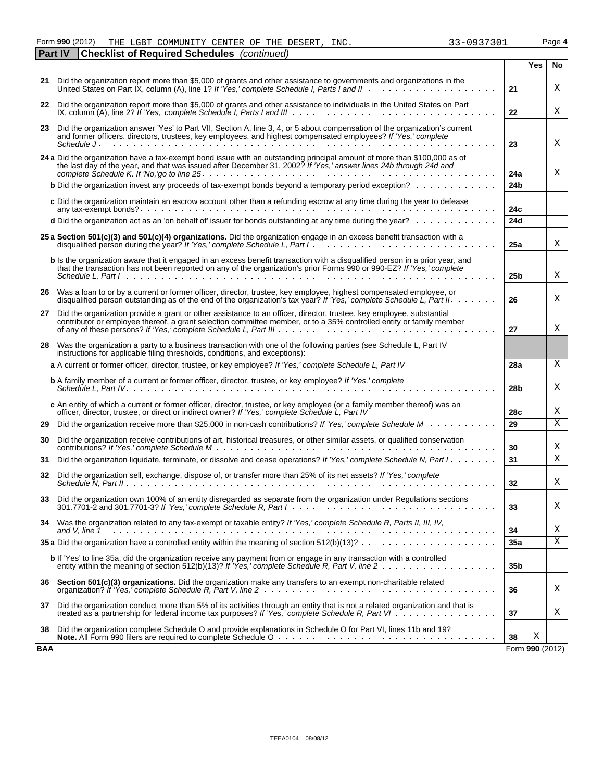#### Form **990** (2012) THE LGBT COMMUNITY CENTER OF THE DESERT, INC.  $33-0937301$  Page 4 THE LGBT COMMUNITY CENTER OF THE DESERT, INC. 33-0937301

|     | Part IV | <b>Checklist of Required Schedules</b> (continued)                                                                                                                                                                                                                      |                 |                 |    |
|-----|---------|-------------------------------------------------------------------------------------------------------------------------------------------------------------------------------------------------------------------------------------------------------------------------|-----------------|-----------------|----|
|     |         |                                                                                                                                                                                                                                                                         |                 | Yes             | No |
|     |         | 21 Did the organization report more than \$5,000 of grants and other assistance to governments and organizations in the<br>United States on Part IX, column (A), line 1? If 'Yes,' complete Schedule I, Parts I and II                                                  | 21              |                 | Χ  |
|     |         | 22 Did the organization report more than \$5,000 of grants and other assistance to individuals in the United States on Part                                                                                                                                             | 22              |                 | X  |
| 23  |         | Did the organization answer 'Yes' to Part VII, Section A, line 3, 4, or 5 about compensation of the organization's current<br>and former officers, directors, trustees, key employees, and highest compensated employees? If 'Yes,' complete                            | 23              |                 | X  |
|     |         |                                                                                                                                                                                                                                                                         |                 |                 |    |
|     |         | 24 a Did the organization have a tax-exempt bond issue with an outstanding principal amount of more than \$100,000 as of the last day of the year, and that was issued after December 31, 2002? If 'Yes,' answer lines 24b thro                                         | 24a             |                 | Χ  |
|     |         | <b>b</b> Did the organization invest any proceeds of tax-exempt bonds beyond a temporary period exception?                                                                                                                                                              | 24 <sub>b</sub> |                 |    |
|     |         | c Did the organization maintain an escrow account other than a refunding escrow at any time during the year to defease                                                                                                                                                  | 24c             |                 |    |
|     |         | d Did the organization act as an 'on behalf of' issuer for bonds outstanding at any time during the year?                                                                                                                                                               | 24d             |                 |    |
|     |         | 25 a Section 501(c)(3) and 501(c)(4) organizations. Did the organization engage in an excess benefit transaction with a                                                                                                                                                 | 25a             |                 | Χ  |
|     |         | <b>b</b> Is the organization aware that it engaged in an excess benefit transaction with a disgualified person in a prior year, and<br>that the transaction has not been reported on any of the organization's prior Forms 990 or 990-EZ? If 'Yes,' complete            | 25 <sub>b</sub> |                 | X  |
|     |         | 26 Was a loan to or by a current or former officer, director, trustee, key employee, highest compensated employee, or<br>disqualified person outstanding as of the end of the organization's tax year? If 'Yes,' complete Schedule L, Part II. $\dots$ .                | 26              |                 | X  |
| 27  |         | Did the organization provide a grant or other assistance to an officer, director, trustee, key employee, substantial<br>contributor or employee thereof, a grant selection committee member, or to a 35% controlled entity or family member                             | 27              |                 | X  |
| 28  |         | Was the organization a party to a business transaction with one of the following parties (see Schedule L, Part IV<br>instructions for applicable filing thresholds, conditions, and exceptions):                                                                        |                 |                 |    |
|     |         | a A current or former officer, director, trustee, or key employee? If 'Yes,' complete Schedule L, Part IV                                                                                                                                                               | 28a             |                 | X  |
|     |         | <b>b</b> A family member of a current or former officer, director, trustee, or key employee? If 'Yes,' complete                                                                                                                                                         | 28 <sub>b</sub> |                 | X  |
|     |         | c An entity of which a current or former officer, director, trustee, or key employee (or a family member thereof) was an                                                                                                                                                | 28c             |                 | X  |
| 29  |         | Did the organization receive more than \$25,000 in non-cash contributions? If 'Yes,' complete Schedule M                                                                                                                                                                | 29              |                 | X  |
| 30  |         | Did the organization receive contributions of art, historical treasures, or other similar assets, or qualified conservation                                                                                                                                             | 30              |                 | х  |
| 31  |         | Did the organization liquidate, terminate, or dissolve and cease operations? If 'Yes,' complete Schedule N, Part I                                                                                                                                                      | 31              |                 | X  |
| 32  |         | Did the organization sell, exchange, dispose of, or transfer more than 25% of its net assets? If 'Yes,' complete                                                                                                                                                        | 32              |                 | Χ  |
|     |         | 33 Did the organization own 100% of an entity disregarded as separate from the organization under Regulations sections<br>$301.7701-2$ and $301.7701-3$ ? If 'Yes,' complete Schedule R, Part $1 \ldots \ldots \ldots \ldots \ldots \ldots \ldots \ldots \ldots \ldots$ | 33              |                 | Χ  |
|     |         | 34 Was the organization related to any tax-exempt or taxable entity? If 'Yes,' complete Schedule R, Parts II, III, IV,                                                                                                                                                  | 34              |                 | Χ  |
|     |         | <b>35 a</b> Did the organization have a controlled entity within the meaning of section $512(b)(13)? \ldots \ldots \ldots \ldots \ldots \ldots \ldots$                                                                                                                  | 35a             |                 | X  |
|     |         | b If 'Yes' to line 35a, did the organization receive any payment from or engage in any transaction with a controlled                                                                                                                                                    | 35b             |                 |    |
|     |         | 36 Section 501(c)(3) organizations. Did the organization make any transfers to an exempt non-charitable related                                                                                                                                                         | 36              |                 | Χ  |
| 37  |         | Did the organization conduct more than 5% of its activities through an entity that is not a related organization and that is<br>treated as a partnership for federal income tax purposes? If 'Yes,' complete Schedule R, Part VI                                        | 37              |                 | Χ  |
| 38  |         | Did the organization complete Schedule O and provide explanations in Schedule O for Part VI, lines 11b and 19?                                                                                                                                                          | 38              | Χ               |    |
| BAA |         |                                                                                                                                                                                                                                                                         |                 | Form 990 (2012) |    |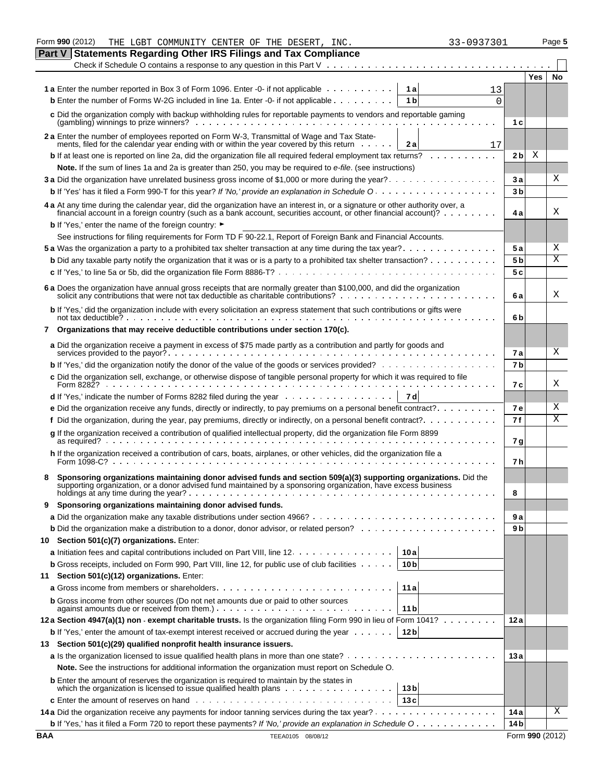|            | Form 990 (2012)<br>THE LGBT COMMUNITY CENTER OF THE DESERT, INC.                                                                                                                                                               | 33-0937301 |                     | Page 5 |
|------------|--------------------------------------------------------------------------------------------------------------------------------------------------------------------------------------------------------------------------------|------------|---------------------|--------|
|            | <b>Statements Regarding Other IRS Filings and Tax Compliance</b><br>Part V                                                                                                                                                     |            |                     |        |
|            |                                                                                                                                                                                                                                |            |                     |        |
|            |                                                                                                                                                                                                                                |            | Yes                 | No     |
|            | <b>1a</b> Enter the number reported in Box 3 of Form 1096. Enter -0- if not applicable<br>1 al                                                                                                                                 | 13         |                     |        |
|            | <b>b</b> Enter the number of Forms W-2G included in line 1a. Enter -0- if not applicable<br>1 <sub>b</sub>                                                                                                                     | $\Omega$   |                     |        |
|            | c Did the organization comply with backup withholding rules for reportable payments to vendors and reportable gaming                                                                                                           |            |                     |        |
|            |                                                                                                                                                                                                                                |            | 1 c                 |        |
|            | 2 a Enter the number of employees reported on Form W-3, Transmittal of Wage and Tax Statements, filed for the calendar year ending with or within the year covered by this return<br>2 al                                      | 17         |                     |        |
|            | <b>b</b> If at least one is reported on line 2a, did the organization file all required federal employment tax returns?                                                                                                        |            | Χ<br>2 <sub>b</sub> |        |
|            | Note. If the sum of lines 1a and 2a is greater than 250, you may be required to e-file. (see instructions)                                                                                                                     |            |                     |        |
|            | 3 a Did the organization have unrelated business gross income of \$1,000 or more during the year?                                                                                                                              | За         |                     | х      |
|            |                                                                                                                                                                                                                                |            | 3 <sub>b</sub>      |        |
|            |                                                                                                                                                                                                                                |            |                     |        |
|            | 4 a At any time during the calendar year, did the organization have an interest in, or a signature or other authority over, a financial account in a foreign country (such as a bank account, securities account, or other fin |            | 4 a                 | Χ      |
|            | <b>b</b> If 'Yes,' enter the name of the foreign country: ►                                                                                                                                                                    |            |                     |        |
|            | See instructions for filing requirements for Form TD F 90-22.1, Report of Foreign Bank and Financial Accounts.                                                                                                                 |            |                     |        |
|            | 5 a Was the organization a party to a prohibited tax shelter transaction at any time during the tax year?                                                                                                                      |            | 5 a                 | Χ      |
|            | <b>b</b> Did any taxable party notify the organization that it was or is a party to a prohibited tax shelter transaction?                                                                                                      |            | 5 <sub>b</sub>      | Χ      |
|            |                                                                                                                                                                                                                                |            | 5 c                 |        |
|            |                                                                                                                                                                                                                                |            |                     |        |
|            | 6 a Does the organization have annual gross receipts that are normally greater than \$100,000, and did the organization solicit any contributions that were not tax deductible as charitable contributions?<br>                |            | 6a                  | Χ      |
|            | b If 'Yes,' did the organization include with every solicitation an express statement that such contributions or gifts were                                                                                                    |            |                     |        |
|            | not tax deductible? $\cdots$ $\cdots$ $\cdots$ $\cdots$ $\cdots$ $\cdots$ $\cdots$ $\cdots$ $\cdots$ $\cdots$ $\cdots$                                                                                                         |            | 6b                  |        |
|            | 7 Organizations that may receive deductible contributions under section 170(c).                                                                                                                                                |            |                     |        |
|            | a Did the organization receive a payment in excess of \$75 made partly as a contribution and partly for goods and                                                                                                              | <b>7a</b>  |                     | Χ      |
|            | <b>b</b> If 'Yes,' did the organization notify the donor of the value of the goods or services provided?                                                                                                                       |            | 7 <sub>b</sub>      |        |
|            | c Did the organization sell, exchange, or otherwise dispose of tangible personal property for which it was required to file                                                                                                    |            |                     |        |
|            | Form 8282?                                                                                                                                                                                                                     |            | 7 с                 | Χ      |
|            | 7 d<br><b>d</b> If 'Yes,' indicate the number of Forms 8282 filed during the year $\ldots \ldots \ldots \ldots \ldots$                                                                                                         |            |                     |        |
|            | e Did the organization receive any funds, directly or indirectly, to pay premiums on a personal benefit contract?                                                                                                              |            | <b>7e</b>           | Χ      |
|            | f Did the organization, during the year, pay premiums, directly or indirectly, on a personal benefit contract?                                                                                                                 | 7 f        |                     | Χ      |
|            | g If the organization received a contribution of qualified intellectual property, did the organization file Form 8899                                                                                                          | 7 g        |                     |        |
|            | h If the organization received a contribution of cars, boats, airplanes, or other vehicles, did the organization file a<br>Form $1098 - C$ ?                                                                                   |            | 7 h                 |        |
|            | Sponsoring organizations maintaining donor advised funds and section 509(a)(3) supporting organizations. Did the                                                                                                               |            |                     |        |
|            | supporting organization, or a donor advised fund maintained by a sponsoring organization, have excess business                                                                                                                 | 8          |                     |        |
| 9          | Sponsoring organizations maintaining donor advised funds.                                                                                                                                                                      |            |                     |        |
|            |                                                                                                                                                                                                                                | 9а         |                     |        |
|            |                                                                                                                                                                                                                                |            | 9 b                 |        |
|            | 10 Section 501(c)(7) organizations. Enter:                                                                                                                                                                                     |            |                     |        |
|            | <b>a</b> Initiation fees and capital contributions included on Part VIII, line 12.<br>10 a                                                                                                                                     |            |                     |        |
|            | <b>b</b> Gross receipts, included on Form 990, Part VIII, line 12, for public use of club facilities<br>10 <sub>b</sub>                                                                                                        |            |                     |        |
| 11         | Section 501(c)(12) organizations. Enter:                                                                                                                                                                                       |            |                     |        |
|            | 11a                                                                                                                                                                                                                            |            |                     |        |
|            | <b>b</b> Gross income from other sources (Do not net amounts due or paid to other sources<br>11 <sub>b</sub><br>against amounts due or received from them.). $\ldots$ . $\ldots$ . $\ldots$ . $\ldots$                         |            |                     |        |
|            | 12a Section 4947(a)(1) non - exempt charitable trusts. Is the organization filing Form 990 in lieu of Form 1041?                                                                                                               | 12a        |                     |        |
|            | 12 <sub>b</sub><br><b>b</b> If 'Yes,' enter the amount of tax-exempt interest received or accrued during the year                                                                                                              |            |                     |        |
|            | 13 Section 501(c)(29) qualified nonprofit health insurance issuers.                                                                                                                                                            |            |                     |        |
|            |                                                                                                                                                                                                                                | 13a        |                     |        |
|            | Note. See the instructions for additional information the organization must report on Schedule O.                                                                                                                              |            |                     |        |
|            | <b>b</b> Enter the amount of reserves the organization is required to maintain by the states in                                                                                                                                |            |                     |        |
|            | 13 <sub>b</sub>                                                                                                                                                                                                                |            |                     |        |
|            | 13c                                                                                                                                                                                                                            |            |                     |        |
|            |                                                                                                                                                                                                                                | 14 a       |                     | Χ      |
|            | b If 'Yes,' has it filed a Form 720 to report these payments? If 'No,' provide an explanation in Schedule O                                                                                                                    | 14 bl      |                     |        |
| <b>BAA</b> | TEEA0105 08/08/12                                                                                                                                                                                                              |            | Form 990 (2012)     |        |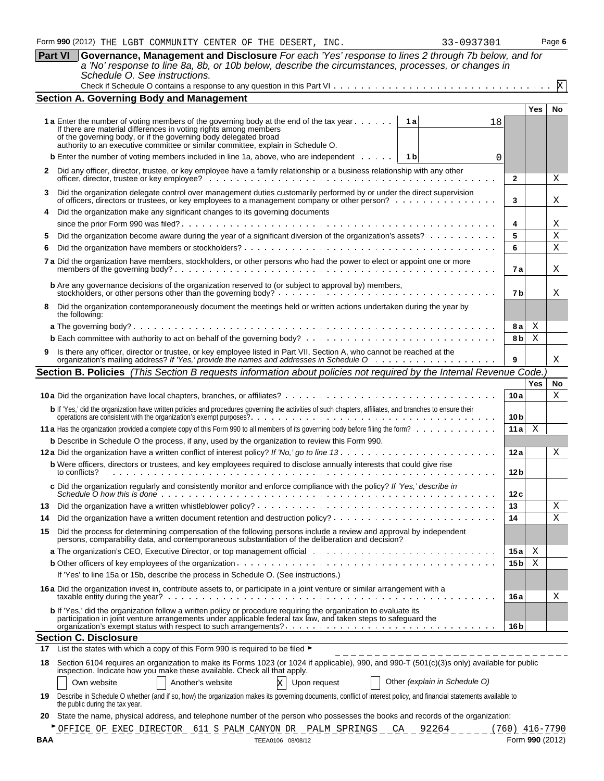| <b>Part VI</b> | Governance, Management and Disclosure For each 'Yes' response to lines 2 through 7b below, and for<br>a 'No' response to line 8a, 8b, or 10b below, describe the circumstances, processes, or changes in<br>Schedule O. See instructions.                                                                                    |                                     |            |             |
|----------------|------------------------------------------------------------------------------------------------------------------------------------------------------------------------------------------------------------------------------------------------------------------------------------------------------------------------------|-------------------------------------|------------|-------------|
|                |                                                                                                                                                                                                                                                                                                                              |                                     |            | $\mathbf x$ |
|                | <b>Section A. Governing Body and Management</b>                                                                                                                                                                                                                                                                              |                                     |            |             |
|                | 1 a Enter the number of voting members of the governing body at the end of the tax year<br>1 a<br>18<br>If there are material differences in voting rights among members<br>of the governing body, or if the governing body delegated broad authority to an executive committee or similar committee, explain in Schedule O. |                                     | <b>Yes</b> | No          |
|                | <b>b</b> Enter the number of voting members included in line 1a, above, who are independent $\cdots$<br>1 b<br>0                                                                                                                                                                                                             |                                     |            |             |
|                | 2 Did any officer, director, trustee, or key employee have a family relationship or a business relationship with any other                                                                                                                                                                                                   |                                     |            |             |
|                |                                                                                                                                                                                                                                                                                                                              | $\mathbf{2}$                        |            | Χ           |
| 3              | Did the organization delegate control over management duties customarily performed by or under the direct supervision<br>of officers, directors or trustees, or key employees to a management company or other person?                                                                                                       | 3                                   |            | Χ           |
|                | Did the organization make any significant changes to its governing documents                                                                                                                                                                                                                                                 |                                     |            |             |
| 5              | Did the organization become aware during the year of a significant diversion of the organization's assets?                                                                                                                                                                                                                   | 4<br>5                              |            | Χ<br>X      |
|                |                                                                                                                                                                                                                                                                                                                              | 6                                   |            | X           |
|                | 7 a Did the organization have members, stockholders, or other persons who had the power to elect or appoint one or more                                                                                                                                                                                                      |                                     |            |             |
|                |                                                                                                                                                                                                                                                                                                                              | 7а                                  |            | Χ           |
|                | <b>b</b> Are any governance decisions of the organization reserved to (or subject to approval by) members,                                                                                                                                                                                                                   | 7 b                                 |            | х           |
| 8              | Did the organization contemporaneously document the meetings held or written actions undertaken during the year by<br>the following:                                                                                                                                                                                         |                                     |            |             |
|                |                                                                                                                                                                                                                                                                                                                              | 8а                                  | Χ          |             |
|                |                                                                                                                                                                                                                                                                                                                              | 8 b                                 | Χ          |             |
|                | 9 Is there any officer, director or trustee, or key employee listed in Part VII, Section A, who cannot be reached at the organization's mailing address? If 'Yes,' provide the names and addresses in Schedule O                                                                                                             | 9                                   |            | Χ           |
|                | Section B. Policies (This Section B requests information about policies not required by the Internal Revenue Code.)                                                                                                                                                                                                          |                                     |            |             |
|                |                                                                                                                                                                                                                                                                                                                              |                                     | <b>Yes</b> | No          |
|                |                                                                                                                                                                                                                                                                                                                              | 10a                                 |            | Х           |
|                | b If 'Yes,' did the organization have written policies and procedures governing the activities of such chapters, affiliates, and branches to ensure their operations are consistent with the organization's exempt purposes?                                                                                                 | 10 <sub>b</sub>                     |            |             |
|                |                                                                                                                                                                                                                                                                                                                              | 11 a                                | Χ          |             |
|                | <b>b</b> Describe in Schedule O the process, if any, used by the organization to review this Form 990.                                                                                                                                                                                                                       |                                     |            |             |
|                |                                                                                                                                                                                                                                                                                                                              | 12a                                 |            | Χ           |
|                | b Were officers, directors or trustees, and key employees required to disclose annually interests that could give rise<br>to conflicts?                                                                                                                                                                                      | 12 <sub>b</sub>                     |            |             |
|                | c Did the organization regularly and consistently monitor and enforce compliance with the policy? If 'Yes,' describe in<br>Schedule $\overline{O}$ how this is done $\cdots$ , $\cdots$ ,                                                                                                                                    | 12c                                 |            |             |
| 13             |                                                                                                                                                                                                                                                                                                                              | 13                                  |            | Χ           |
| 14             |                                                                                                                                                                                                                                                                                                                              | 14                                  |            | X           |
| 15             | Did the process for determining compensation of the following persons include a review and approval by independent<br>persons, comparability data, and contemporaneous substantiation of the deliberation and decision?                                                                                                      |                                     |            |             |
|                |                                                                                                                                                                                                                                                                                                                              | 15 a                                | Χ          |             |
|                |                                                                                                                                                                                                                                                                                                                              | 15 <sub>b</sub>                     | Χ          |             |
|                | If 'Yes' to line 15a or 15b, describe the process in Schedule O. (See instructions.)                                                                                                                                                                                                                                         |                                     |            |             |
|                | 16 a Did the organization invest in, contribute assets to, or participate in a joint venture or similar arrangement with a                                                                                                                                                                                                   | 16 a                                |            | х           |
|                | <b>b</b> If 'Yes,' did the organization follow a written policy or procedure requiring the organization to evaluate its<br>participation in joint venture arrangements under applicable federal tax law, and taken steps to safeguard the                                                                                    |                                     |            |             |
|                |                                                                                                                                                                                                                                                                                                                              | 16 <sub>b</sub>                     |            |             |
|                | <b>Section C. Disclosure</b><br>17 List the states with which a copy of this Form 990 is required to be filed $\blacktriangleright$                                                                                                                                                                                          |                                     |            |             |
| 18             | Section 6104 requires an organization to make its Forms 1023 (or 1024 if applicable), 990, and 990-T (501(c)(3)s only) available for public                                                                                                                                                                                  |                                     |            |             |
|                | inspection. Indicate how you make these available. Check all that apply.<br>Other (explain in Schedule O)<br>Own website<br>Another's website<br>Upon request                                                                                                                                                                |                                     |            |             |
| 19             | Describe in Schedule O whether (and if so, how) the organization makes its governing documents, conflict of interest policy, and financial statements available to<br>the public during the tax year.                                                                                                                        |                                     |            |             |
| 20             | State the name, physical address, and telephone number of the person who possesses the books and records of the organization:                                                                                                                                                                                                |                                     |            |             |
| BAA            | OFFICE OF EXEC DIRECTOR 611 S PALM CANYON DR PALM SPRINGS CA<br>92264                                                                                                                                                                                                                                                        | $(760)$ 416-7790<br>Form 990 (2012) |            |             |
|                | TEEA0106 08/08/12                                                                                                                                                                                                                                                                                                            |                                     |            |             |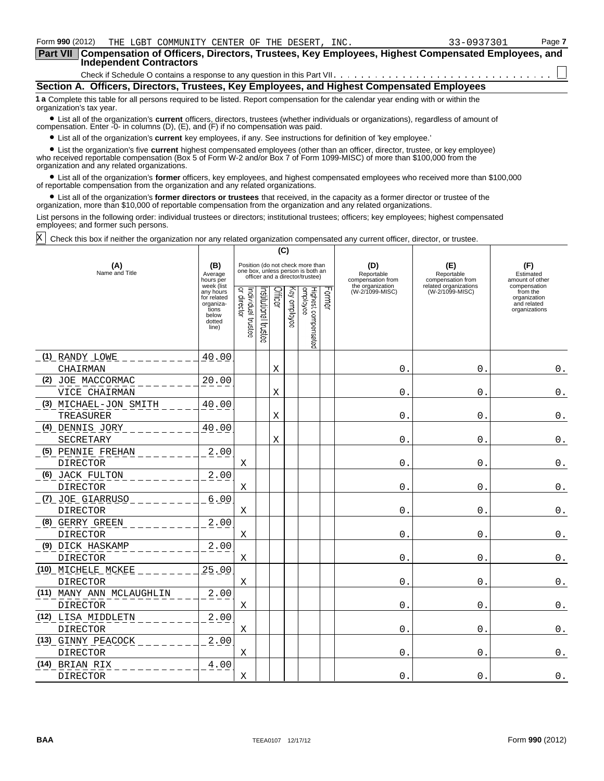| Form <b>990</b> (2012) | THE LGBT COMMUNITY CENTER OF THE DESERT, INC.                                                               | 33-0937301 | Page 7 |
|------------------------|-------------------------------------------------------------------------------------------------------------|------------|--------|
|                        | Part VII   Compensation of Officers, Directors, Trustees, Key Employees, Highest Compensated Employees, and |            |        |
|                        | Independent Contractors                                                                                     |            |        |
|                        |                                                                                                             |            |        |
|                        | Section A. Officers, Directors, Trustees, Key Employees, and Highest Compensated Employees                  |            |        |

**1 a** Complete this table for all persons required to be listed. Report compensation for the calendar year ending with or within the organization's tax year.

? List all of the organization's **current** officers, directors, trustees (whether individuals or organizations), regardless of amount of compensation. Enter -0- in columns (D), (E), and (F) if no compensation was paid.

? List all of the organization's **current** key employees, if any. See instructions for definition of 'key employee.'

? List the organization's five **current** highest compensated employees (other than an officer, director, trustee, or key employee) who received reportable compensation (Box 5 of Form W-2 and/or Box 7 of Form 1099-MISC) of more than \$100,000 from the organization and any related organizations.

? List all of the organization's **former** officers, key employees, and highest compensated employees who received more than \$100,000 of reportable compensation from the organization and any related organizations.

? List all of the organization's **former directors or trustees** that received, in the capacity as a former director or trustee of the organization, more than \$10,000 of reportable compensation from the organization and any related organizations.

List persons in the following order: individual trustees or directors; institutional trustees; officers; key employees; highest compensated employees; and former such persons.

Check this box if neither the organization nor any related organization compensated any current officer, director, or trustee. X

|                          |                                                                                          |                                   |                      | (C)     |              |                                                                                                          |                   |                                        |                                          |                                                                          |
|--------------------------|------------------------------------------------------------------------------------------|-----------------------------------|----------------------|---------|--------------|----------------------------------------------------------------------------------------------------------|-------------------|----------------------------------------|------------------------------------------|--------------------------------------------------------------------------|
| (A)<br>Name and Title    | (B)<br>Average<br>hours per                                                              |                                   |                      |         |              | Position (do not check more than<br>one box, unless person is both an<br>officer and a director/trustee) |                   | (D)<br>Reportable<br>compensation from | (E)<br>Reportable<br>compensation from   | (F)<br>Estimated<br>amount of other                                      |
|                          | week (list<br>any hours<br>for related<br>organiza-<br>tions<br>below<br>dotted<br>line) | Individual trustee<br>or director | nstitutional trustee | Officer | Key employee | Highest compensated<br>employee                                                                          | Jame <sup>T</sup> | the organization<br>(W-2/1099-MISC)    | related organizations<br>(W-2/1099-MISC) | compensation<br>from the<br>organization<br>and related<br>organizations |
| (1) RANDY LOWE           | 40.00                                                                                    |                                   |                      |         |              |                                                                                                          |                   |                                        |                                          |                                                                          |
| CHAIRMAN                 |                                                                                          |                                   |                      | Χ       |              |                                                                                                          |                   | 0                                      | $\mathsf{O}$ .                           | $\mathtt{0}$ .                                                           |
| (2) JOE MACCORMAC        | 20.00                                                                                    |                                   |                      |         |              |                                                                                                          |                   |                                        |                                          |                                                                          |
| VICE CHAIRMAN            |                                                                                          |                                   |                      | X       |              |                                                                                                          |                   | 0                                      | $\mathbf 0$                              | $0$ .                                                                    |
| (3) MICHAEL-JON SMITH    | 40.00                                                                                    |                                   |                      |         |              |                                                                                                          |                   |                                        |                                          |                                                                          |
| TREASURER                |                                                                                          |                                   |                      | Χ       |              |                                                                                                          |                   | $\mathbf 0$                            | $\mathbf{0}$                             | $\boldsymbol{0}$ .                                                       |
| <u>(4) DENNIS JORY</u>   | 40.00                                                                                    |                                   |                      |         |              |                                                                                                          |                   |                                        |                                          |                                                                          |
| SECRETARY                |                                                                                          |                                   |                      | Χ       |              |                                                                                                          |                   | 0                                      | $\mathsf{O}$ .                           | 0.                                                                       |
| (5) PENNIE FREHAN        | 2.00                                                                                     |                                   |                      |         |              |                                                                                                          |                   |                                        |                                          |                                                                          |
| <b>DIRECTOR</b>          |                                                                                          | X                                 |                      |         |              |                                                                                                          |                   | $\Omega$ .                             | $\mathbf{0}$ .                           | $0$ .                                                                    |
| (6) JACK FULTON          | 2.00                                                                                     |                                   |                      |         |              |                                                                                                          |                   |                                        |                                          |                                                                          |
| <b>DIRECTOR</b>          |                                                                                          | X                                 |                      |         |              |                                                                                                          |                   | $\mathbf{0}$ .                         | $\mathsf 0$ .                            | $\boldsymbol{0}$ .                                                       |
| <u>(7) JOE GIARRUSO</u>  | 6.00                                                                                     |                                   |                      |         |              |                                                                                                          |                   |                                        |                                          |                                                                          |
| DIRECTOR                 |                                                                                          | Χ                                 |                      |         |              |                                                                                                          |                   | $\mathbf 0$ .                          | $\mathsf{O}$ .                           | 0.                                                                       |
| (8) GERRY GREEN          | 2.00                                                                                     |                                   |                      |         |              |                                                                                                          |                   |                                        |                                          |                                                                          |
| <b>DIRECTOR</b>          |                                                                                          | X                                 |                      |         |              |                                                                                                          |                   | $\Omega$ .                             | $\overline{0}$ .                         | 0.                                                                       |
| (9) DICK HASKAMP         | 2.00                                                                                     |                                   |                      |         |              |                                                                                                          |                   |                                        |                                          |                                                                          |
| <b>DIRECTOR</b>          |                                                                                          | Χ                                 |                      |         |              |                                                                                                          |                   | $\mathbf{0}$                           | 0.                                       | $0$ .                                                                    |
| (10) MICHELE MCKEE       | 25.00                                                                                    |                                   |                      |         |              |                                                                                                          |                   |                                        |                                          |                                                                          |
| DIRECTOR                 |                                                                                          | Χ                                 |                      |         |              |                                                                                                          |                   | 0.                                     | $\mathsf{O}$ .                           | $\boldsymbol{0}$ .                                                       |
| (11) MANY ANN MCLAUGHLIN | 2.00                                                                                     |                                   |                      |         |              |                                                                                                          |                   |                                        |                                          |                                                                          |
| DIRECTOR                 |                                                                                          | Χ                                 |                      |         |              |                                                                                                          |                   | 0.                                     | 0.                                       | $0$ .                                                                    |
| (12) LISA MIDDLETN       | 2.00                                                                                     |                                   |                      |         |              |                                                                                                          |                   |                                        |                                          |                                                                          |
| DIRECTOR                 |                                                                                          | X                                 |                      |         |              |                                                                                                          |                   | $\mathbf{0}$ .                         | $\overline{0}$ .                         | $0$ .                                                                    |
| (13) GINNY PEACOCK       | 2.00                                                                                     |                                   |                      |         |              |                                                                                                          |                   |                                        |                                          |                                                                          |
| DIRECTOR                 |                                                                                          | Χ                                 |                      |         |              |                                                                                                          |                   | $\mathbf 0$                            | $\mathsf{O}$ .                           | $\boldsymbol{0}$ .                                                       |
| (14) BRIAN RIX           | 4.00                                                                                     |                                   |                      |         |              |                                                                                                          |                   |                                        |                                          |                                                                          |
| <b>DIRECTOR</b>          |                                                                                          | Χ                                 |                      |         |              |                                                                                                          |                   | 0                                      | $\mathbf{0}$ .                           | 0.                                                                       |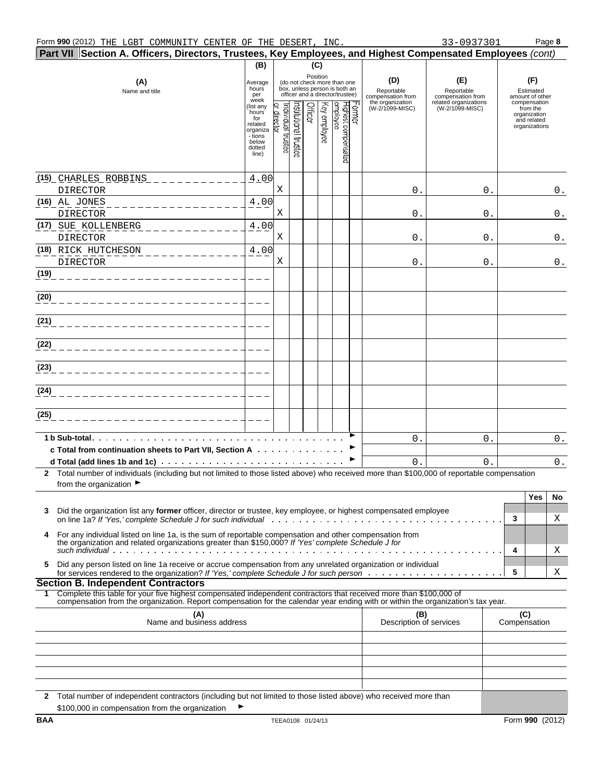| Part VII Section A. Officers, Directors, Trustees, Key Employees, and Highest Compensated Employees (cont)     |                                                                                                                                                                                                                                                        |                                                                                         |                                |                      |                |              |                                                                                                 |                    |                                        |                                          |   |                                                                          |
|----------------------------------------------------------------------------------------------------------------|--------------------------------------------------------------------------------------------------------------------------------------------------------------------------------------------------------------------------------------------------------|-----------------------------------------------------------------------------------------|--------------------------------|----------------------|----------------|--------------|-------------------------------------------------------------------------------------------------|--------------------|----------------------------------------|------------------------------------------|---|--------------------------------------------------------------------------|
|                                                                                                                |                                                                                                                                                                                                                                                        | (B)                                                                                     |                                |                      | (C)            |              |                                                                                                 |                    |                                        |                                          |   |                                                                          |
| (A)<br>Name and title                                                                                          |                                                                                                                                                                                                                                                        | Average<br>hours<br>per<br>week                                                         |                                |                      | Position       |              | (do not check more than one<br>box, unless person is both an<br>officer and a director/trustee) |                    | (D)<br>Reportable<br>compensation from | (E)<br>Reportable<br>compensation from   |   | (F)<br>Estimated<br>amount of other                                      |
|                                                                                                                |                                                                                                                                                                                                                                                        | (list any<br>hours<br>for<br>related<br>organiza<br>- tions<br>below<br>dotted<br>line) | əaisrui isubivibni<br>director | rstitutional trustes | <b>Officer</b> | Key employee | Highest compensated<br>employee                                                                 | crmer <sup>-</sup> | the organization<br>(W-2/1099-MISC)    | related organizations<br>(W-2/1099-MISC) |   | compensation<br>from the<br>organization<br>and related<br>organizations |
| (15) CHARLES ROBBINS<br>DIRECTOR                                                                               |                                                                                                                                                                                                                                                        | 4.00                                                                                    | Χ                              |                      |                |              |                                                                                                 |                    | 0.                                     | 0.                                       |   | $0$ .                                                                    |
| (16) AL JONES<br>DIRECTOR                                                                                      |                                                                                                                                                                                                                                                        | 4.00                                                                                    | Χ                              |                      |                |              |                                                                                                 |                    | 0.                                     | 0.                                       |   | $0$ .                                                                    |
| (17) SUE KOLLENBERG<br>DIRECTOR                                                                                |                                                                                                                                                                                                                                                        | 4.00                                                                                    | Χ                              |                      |                |              |                                                                                                 |                    | 0.                                     | 0.                                       |   | $\mathsf 0$ .                                                            |
| (18) RICK HUTCHESON<br><b>DIRECTOR</b>                                                                         |                                                                                                                                                                                                                                                        | 4.00                                                                                    | Χ                              |                      |                |              |                                                                                                 |                    | 0.                                     | 0.                                       |   | $0$ .                                                                    |
| (19)                                                                                                           |                                                                                                                                                                                                                                                        |                                                                                         |                                |                      |                |              |                                                                                                 |                    |                                        |                                          |   |                                                                          |
| (20)                                                                                                           |                                                                                                                                                                                                                                                        |                                                                                         |                                |                      |                |              |                                                                                                 |                    |                                        |                                          |   |                                                                          |
| (21)                                                                                                           |                                                                                                                                                                                                                                                        |                                                                                         |                                |                      |                |              |                                                                                                 |                    |                                        |                                          |   |                                                                          |
| (22)                                                                                                           |                                                                                                                                                                                                                                                        |                                                                                         |                                |                      |                |              |                                                                                                 |                    |                                        |                                          |   |                                                                          |
| (23)                                                                                                           |                                                                                                                                                                                                                                                        |                                                                                         |                                |                      |                |              |                                                                                                 |                    |                                        |                                          |   |                                                                          |
| (24)                                                                                                           |                                                                                                                                                                                                                                                        |                                                                                         |                                |                      |                |              |                                                                                                 |                    |                                        |                                          |   |                                                                          |
| (25)                                                                                                           |                                                                                                                                                                                                                                                        |                                                                                         |                                |                      |                |              |                                                                                                 |                    |                                        |                                          |   |                                                                          |
| 1 b Sub-total in the set of the set of the set of the set of the set of the set of the set of the set of the s | c Total from continuation sheets to Part VII, Section A                                                                                                                                                                                                |                                                                                         |                                |                      |                |              |                                                                                                 |                    | 0.                                     | 0.                                       |   | $0$ .                                                                    |
|                                                                                                                | d Total (add lines 1b and 1c) and the contract of the contract of the contract of the contract of the contract of the contract of the contract of the contract of the contract of the contract of the contract of the contract                         |                                                                                         |                                |                      |                |              |                                                                                                 |                    | $\mathbf{0}$ .                         | $\mathbf{0}$ .                           |   | $0$ .                                                                    |
| from the organization $\blacktriangleright$                                                                    | 2 Total number of individuals (including but not limited to those listed above) who received more than \$100,000 of reportable compensation                                                                                                            |                                                                                         |                                |                      |                |              |                                                                                                 |                    |                                        |                                          |   |                                                                          |
|                                                                                                                |                                                                                                                                                                                                                                                        |                                                                                         |                                |                      |                |              |                                                                                                 |                    |                                        |                                          |   | Yes<br>No                                                                |
| 3                                                                                                              | Did the organization list any former officer, director or trustee, key employee, or highest compensated employee                                                                                                                                       |                                                                                         |                                |                      |                |              |                                                                                                 |                    |                                        |                                          | 3 | X                                                                        |
| 4                                                                                                              | For any individual listed on line 1a, is the sum of reportable compensation and other compensation from<br>the organization and related organizations greater than \$150,000? If 'Yes' complete Schedule J for                                         |                                                                                         |                                |                      |                |              |                                                                                                 |                    |                                        |                                          | 4 | Χ                                                                        |
| 5.                                                                                                             | Did any person listed on line 1a receive or accrue compensation from any unrelated organization or individual                                                                                                                                          |                                                                                         |                                |                      |                |              |                                                                                                 |                    |                                        |                                          | 5 | Χ                                                                        |
| <b>Section B. Independent Contractors</b>                                                                      |                                                                                                                                                                                                                                                        |                                                                                         |                                |                      |                |              |                                                                                                 |                    |                                        |                                          |   |                                                                          |
| 1.                                                                                                             | Complete this table for your five highest compensated independent contractors that received more than \$100,000 of<br>compensation from the organization. Report compensation for the calendar year ending with or within the organization's tax year. |                                                                                         |                                |                      |                |              |                                                                                                 |                    |                                        |                                          |   |                                                                          |
|                                                                                                                | (C)<br>(A)<br>(B)<br>Name and business address<br>Description of services<br>Compensation                                                                                                                                                              |                                                                                         |                                |                      |                |              |                                                                                                 |                    |                                        |                                          |   |                                                                          |
|                                                                                                                |                                                                                                                                                                                                                                                        |                                                                                         |                                |                      |                |              |                                                                                                 |                    |                                        |                                          |   |                                                                          |
|                                                                                                                |                                                                                                                                                                                                                                                        |                                                                                         |                                |                      |                |              |                                                                                                 |                    |                                        |                                          |   |                                                                          |
|                                                                                                                | 2 Total number of independent contractors (including but not limited to those listed above) who received more than                                                                                                                                     |                                                                                         |                                |                      |                |              |                                                                                                 |                    |                                        |                                          |   |                                                                          |
| \$100,000 in compensation from the organization                                                                |                                                                                                                                                                                                                                                        |                                                                                         |                                |                      |                |              |                                                                                                 |                    |                                        |                                          |   |                                                                          |
| BAA                                                                                                            |                                                                                                                                                                                                                                                        |                                                                                         | TEEA0108 01/24/13              |                      |                |              |                                                                                                 |                    |                                        |                                          |   | Form 990 (2012)                                                          |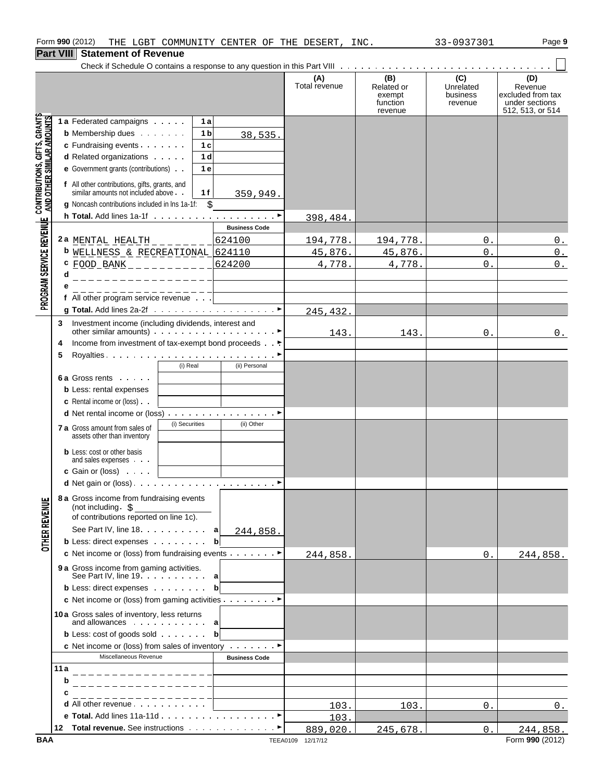|                                                           | .   |                                                                                             |                      |                      |                                                    |                                         |                                                                           |
|-----------------------------------------------------------|-----|---------------------------------------------------------------------------------------------|----------------------|----------------------|----------------------------------------------------|-----------------------------------------|---------------------------------------------------------------------------|
|                                                           |     |                                                                                             |                      | (A)<br>Total revenue | (B)<br>Related or<br>exempt<br>function<br>revenue | (C)<br>Unrelated<br>business<br>revenue | (D)<br>Revenue<br>excluded from tax<br>under sections<br>512, 513, or 514 |
| GIFTS, GRANTS                                             |     | 1 a Federated campaigns<br>1a                                                               |                      |                      |                                                    |                                         |                                                                           |
|                                                           |     | <b>b</b> Membership dues<br>1 b                                                             | 38,535.              |                      |                                                    |                                         |                                                                           |
|                                                           |     | c Fundraising events<br>1 <sub>c</sub>                                                      |                      |                      |                                                    |                                         |                                                                           |
|                                                           |     | d Related organizations<br>1 <sub>d</sub>                                                   |                      |                      |                                                    |                                         |                                                                           |
|                                                           |     | e Government grants (contributions)<br>1 e                                                  |                      |                      |                                                    |                                         |                                                                           |
| CONTRIBUTIONS, GIFTS, GRANT;<br>AND OTHER SIMILAR AMOUNTS |     | f All other contributions, gifts, grants, and<br>similar amounts not included above.<br>1 f | 359,949.             |                      |                                                    |                                         |                                                                           |
|                                                           |     | g Noncash contributions included in lns 1a-1f: \$                                           |                      |                      |                                                    |                                         |                                                                           |
|                                                           |     |                                                                                             |                      | 398,484.             |                                                    |                                         |                                                                           |
|                                                           |     |                                                                                             | <b>Business Code</b> |                      |                                                    |                                         |                                                                           |
|                                                           |     | 2a MENTAL HEALTH $    -$                                                                    | 624100               | 194,778.             | 194,778.                                           | 0.                                      | $0$ .                                                                     |
|                                                           |     | <b>b</b> WELLNESS & RECREATIONAL 624110                                                     |                      | 45,876.              | 45,876.                                            | $\mathbf 0$ .                           | $0$ .                                                                     |
| PROGRAM SERVICE REVENUE                                   | d   | C FOOD BANK _ _ _ _ _ _ _ _ _ _ _<br>________________                                       | 624200               | 4,778.               | 4,778.                                             | $\Omega$ .                              | $0$ .                                                                     |
|                                                           |     | _______________                                                                             |                      |                      |                                                    |                                         |                                                                           |
|                                                           |     | f All other program service revenue                                                         |                      |                      |                                                    |                                         |                                                                           |
|                                                           |     |                                                                                             |                      | 245,432.             |                                                    |                                         |                                                                           |
|                                                           | 3   | Investment income (including dividends, interest and                                        |                      | 143.                 | 143.                                               | 0.                                      | 0.                                                                        |
|                                                           | 4   | Income from investment of tax-exempt bond proceeds ►                                        |                      |                      |                                                    |                                         |                                                                           |
|                                                           | 5   |                                                                                             |                      |                      |                                                    |                                         |                                                                           |
|                                                           |     | (i) Real                                                                                    | (ii) Personal        |                      |                                                    |                                         |                                                                           |
|                                                           |     | 6 a Gross rents                                                                             |                      |                      |                                                    |                                         |                                                                           |
|                                                           |     | <b>b</b> Less: rental expenses                                                              |                      |                      |                                                    |                                         |                                                                           |
|                                                           |     | <b>c</b> Rental income or (loss)                                                            |                      |                      |                                                    |                                         |                                                                           |
|                                                           |     |                                                                                             |                      |                      |                                                    |                                         |                                                                           |
|                                                           |     | (i) Securities<br>7 a Gross amount from sales of<br>assets other than inventory             | (ii) Other           |                      |                                                    |                                         |                                                                           |
|                                                           |     | <b>b</b> Less: cost or other basis<br>and sales expenses                                    |                      |                      |                                                    |                                         |                                                                           |
|                                                           |     | <b>c</b> Gain or (loss) $\cdots$                                                            |                      |                      |                                                    |                                         |                                                                           |
|                                                           |     |                                                                                             |                      |                      |                                                    |                                         |                                                                           |
|                                                           |     | 8 a Gross income from fundraising events<br>(not including $\frac{1}{5}$                    |                      |                      |                                                    |                                         |                                                                           |
| <b>OTHER REVENUE</b>                                      |     | of contributions reported on line 1c).                                                      |                      |                      |                                                    |                                         |                                                                           |
|                                                           |     | See Part IV, line 18                                                                        | a<br>244,858.        |                      |                                                    |                                         |                                                                           |
|                                                           |     | <b>b</b> Less: direct expenses                                                              | $\mathbf{b}$         |                      |                                                    |                                         |                                                                           |
|                                                           |     | c Net income or (loss) from fundraising events ►                                            |                      | 244,858.             |                                                    | 0.                                      | 244,858.                                                                  |
|                                                           |     | <b>9 a</b> Gross income from gaming activities.<br>See Part IV, line $19 \times 10$         |                      |                      |                                                    |                                         |                                                                           |
|                                                           |     | <b>b</b> Less: direct expenses                                                              | bl                   |                      |                                                    |                                         |                                                                           |
|                                                           |     | c Net income or (loss) from gaming activities ▶                                             |                      |                      |                                                    |                                         |                                                                           |
|                                                           |     | 10a Gross sales of inventory, less returns                                                  |                      |                      |                                                    |                                         |                                                                           |
|                                                           |     | and allowances a                                                                            |                      |                      |                                                    |                                         |                                                                           |
|                                                           |     | <b>b</b> Less: cost of goods sold                                                           | b                    |                      |                                                    |                                         |                                                                           |
|                                                           |     | c Net income or (loss) from sales of inventory $\dots \dots$                                |                      |                      |                                                    |                                         |                                                                           |
|                                                           |     | Miscellaneous Revenue                                                                       | <b>Business Code</b> |                      |                                                    |                                         |                                                                           |
|                                                           | 11a | _______________                                                                             |                      |                      |                                                    |                                         |                                                                           |
|                                                           | b   |                                                                                             |                      |                      |                                                    |                                         |                                                                           |
|                                                           | с   |                                                                                             |                      |                      |                                                    |                                         |                                                                           |
|                                                           |     | d All other revenue                                                                         |                      | 103.                 | 103.                                               | 0.                                      | 0.                                                                        |
|                                                           |     |                                                                                             |                      | 103.                 |                                                    |                                         |                                                                           |
|                                                           |     |                                                                                             |                      | 889,020.             | 245,678.                                           | 0.                                      | 244,858.                                                                  |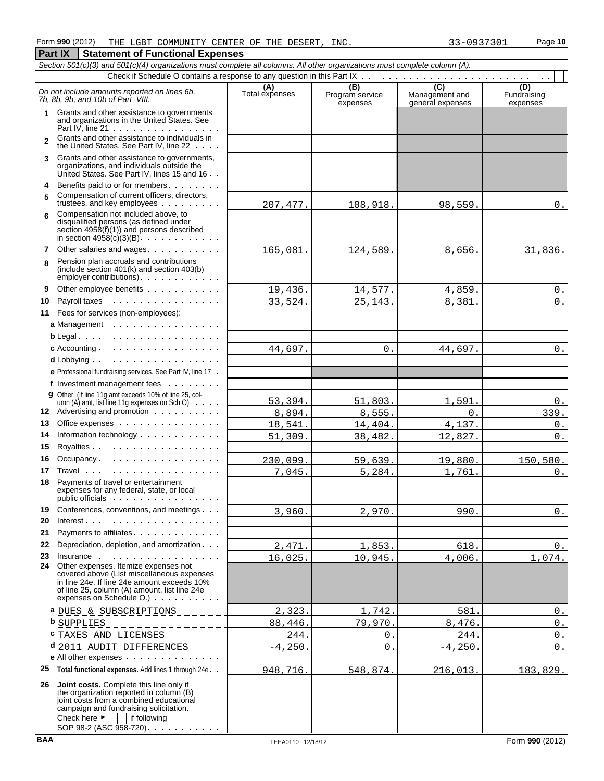|                | Section 501(c)(3) and 501(c)(4) organizations must complete all columns. All other organizations must complete column (A).                                                                                                                                 |                       |                             |                                    |                         |
|----------------|------------------------------------------------------------------------------------------------------------------------------------------------------------------------------------------------------------------------------------------------------------|-----------------------|-----------------------------|------------------------------------|-------------------------|
|                |                                                                                                                                                                                                                                                            |                       | (B)                         | (C)                                | (D)                     |
|                | Do not include amounts reported on lines 6b,<br>7b. 8b. 9b. and 10b of Part VIII.                                                                                                                                                                          | (A)<br>Total expenses | Program service<br>expenses | Management and<br>general expenses | Fundraising<br>expenses |
| $\mathbf 1$    | Grants and other assistance to governments<br>and organizations in the United States. See<br>Part IV, line $21 \cdot \cdot \cdot \cdot \cdot \cdot \cdot \cdot \cdot \cdot \cdot \cdot \cdot \cdot \cdot$                                                  |                       |                             |                                    |                         |
| $\mathfrak{p}$ | Grants and other assistance to individuals in<br>the United States. See Part IV, line 22                                                                                                                                                                   |                       |                             |                                    |                         |
| 3              | Grants and other assistance to governments,<br>organizations, and individuals outside the<br>United States. See Part IV, lines 15 and 16                                                                                                                   |                       |                             |                                    |                         |
| 4              | Benefits paid to or for members                                                                                                                                                                                                                            |                       |                             |                                    |                         |
| 5              | Compensation of current officers, directors,<br>trustees, and key employees                                                                                                                                                                                | 207, 477.             | 108,918.                    | 98,559.                            | 0.                      |
| 6              | Compensation not included above, to<br>disqualified persons (as defined under<br>section 4958(f)(1)) and persons described<br>in section $4958(c)(3)(B)$ .                                                                                                 |                       |                             |                                    |                         |
| 7              | Other salaries and wages                                                                                                                                                                                                                                   | 165,081.              | 124,589.                    | 8,656.                             | 31,836.                 |
| 8              | Pension plan accruals and contributions<br>(include section $401(k)$ and section $403(b)$ )                                                                                                                                                                |                       |                             |                                    |                         |
| 9              | Other employee benefits                                                                                                                                                                                                                                    | 19,436.               | 14,577.                     | 4,859.                             | $0$ .                   |
| 10             | Payroll taxes                                                                                                                                                                                                                                              | 33,524.               | 25, 143.                    | 8,381.                             | $0$ .                   |
|                | 11 Fees for services (non-employees):                                                                                                                                                                                                                      |                       |                             |                                    |                         |
|                | a Management                                                                                                                                                                                                                                               |                       |                             |                                    |                         |
|                |                                                                                                                                                                                                                                                            |                       |                             |                                    |                         |
|                | c Accounting $\ldots$ , $\ldots$ , $\ldots$ , $\ldots$ , $\ldots$ , $\ldots$                                                                                                                                                                               | 44,697.               | $0$ .                       | 44,697.                            | $0$ .                   |
|                |                                                                                                                                                                                                                                                            |                       |                             |                                    |                         |
|                | e Professional fundraising services. See Part IV, line 17.                                                                                                                                                                                                 |                       |                             |                                    |                         |
|                | f Investment management fees                                                                                                                                                                                                                               |                       |                             |                                    |                         |
|                | <b>g</b> Other. (If line 11g amt exceeds 10% of line 25, col-<br>umn (A) amt, list line 11g expenses on Sch O) $\cdots$                                                                                                                                    | 53,394.               | 51,803.                     | 1,591.                             | $0_{-}$                 |
|                | 12 Advertising and promotion                                                                                                                                                                                                                               | 8,894.                | 8,555.                      | $0$ .                              | 339.                    |
| 13             | Office expenses                                                                                                                                                                                                                                            | 18,541.               | 14,404.                     | 4,137.                             | 0.                      |
| 14             | Information technology                                                                                                                                                                                                                                     | 51,309.               | 38,482.                     | 12,827.                            | $0_{.}$                 |
| 15             |                                                                                                                                                                                                                                                            |                       |                             |                                    |                         |
| 16             | Occupancy                                                                                                                                                                                                                                                  | 230,099.              | 59,639.                     | 19,880.                            | 150, 580.               |
| 17             |                                                                                                                                                                                                                                                            | 7,045.                | 5,284.                      | 1,761.                             | $0_{\cdot\cdot\cdot}$   |
| 18             | Payments of travel or entertainment<br>expenses for any federal, state, or local<br>public officials                                                                                                                                                       |                       |                             |                                    |                         |
| 19             | Conferences, conventions, and meetings                                                                                                                                                                                                                     | 3,960.                | 2,970.                      | 990.                               | 0.                      |
| 20             |                                                                                                                                                                                                                                                            |                       |                             |                                    |                         |
| 21             | Payments to affiliates                                                                                                                                                                                                                                     |                       |                             |                                    |                         |
| 22             | Depreciation, depletion, and amortization                                                                                                                                                                                                                  | 2,471.                | 1,853.                      | 618.                               | 0.                      |
| 23<br>24       | Insurance<br>Other expenses. Itemize expenses not<br>covered above (List miscellaneous expenses<br>in line 24e. If line 24e amount exceeds 10%<br>of line 25, column (A) amount, list line 24e<br>expenses on Schedule O.)                                 | 16,025.               | 10,945.                     | 4,006.                             | 1,074.                  |
|                | <sup>a</sup> DUES & SUBSCRIPTIONS _______                                                                                                                                                                                                                  | 2,323.                | 1,742.                      | 581.                               | 0.                      |
|                | <b>b</b> SUPPLIES<br>_______________                                                                                                                                                                                                                       | 88,446.               | 79,970.                     | 8,476.                             | 0.                      |
|                | $c$ TAXES AND LICENSES _ _ _ _ _ _ _ _                                                                                                                                                                                                                     | 244.                  | 0.                          | 244.                               | 0.                      |
|                | $d$ 2011 AUDIT DIFFERENCES _ _ _ _                                                                                                                                                                                                                         | $-4, 250.$            | 0.                          | $-4, 250.$                         | $0$ .                   |
|                | e All other expenses                                                                                                                                                                                                                                       |                       |                             |                                    |                         |
| 25             | Total functional expenses. Add lines 1 through 24e. .                                                                                                                                                                                                      | 948,716.              | 548,874.                    | 216,013.                           | 183,829.                |
| 26             | Joint costs. Complete this line only if<br>the organization reported in column (B)<br>joint costs from a combined educational<br>campaign and fundraising solicitation.<br>Check here $\blacktriangleright$<br>    if following<br>SOP 98-2 (ASC 958-720). |                       |                             |                                    |                         |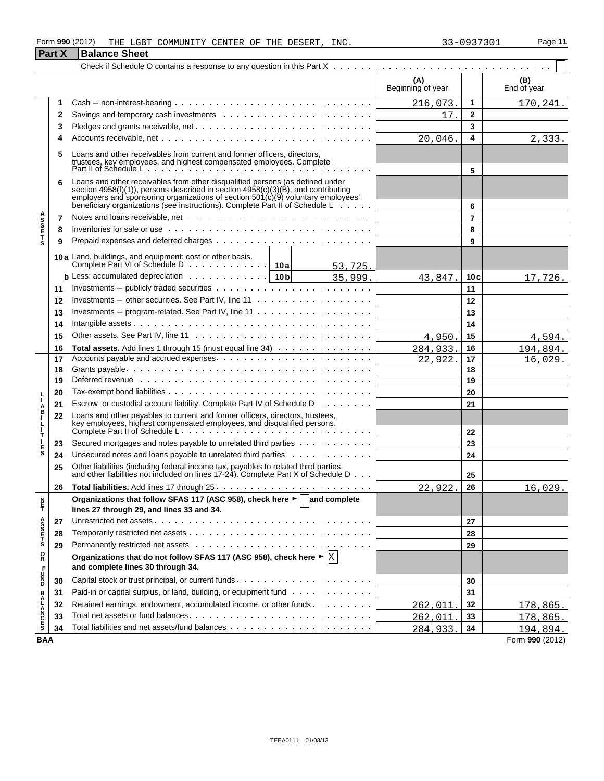#### Form **990** (2012) THE LGBT COMMUNITY CENTER OF THE DESERT, INC.  $33-0937301$  Page 11 THE LGBT COMMUNITY CENTER OF THE DESERT, INC. 33-0937301

|                    | <b>Part X</b> | <b>Balance Sheet</b>                                                                                                                                                                                                                                                                                                                     |                          |                |                    |
|--------------------|---------------|------------------------------------------------------------------------------------------------------------------------------------------------------------------------------------------------------------------------------------------------------------------------------------------------------------------------------------------|--------------------------|----------------|--------------------|
|                    |               |                                                                                                                                                                                                                                                                                                                                          |                          |                |                    |
|                    |               |                                                                                                                                                                                                                                                                                                                                          | (A)<br>Beginning of year |                | (B)<br>End of year |
|                    | 1             | $Cash - non-interest-bearing \dots \dots \dots \dots \dots \dots \dots \dots \dots \dots \dots \dots$                                                                                                                                                                                                                                    | 216,073.                 | 1              | 170,241.           |
|                    | 2             |                                                                                                                                                                                                                                                                                                                                          | 17.                      | $\mathbf{2}$   |                    |
|                    | 3             |                                                                                                                                                                                                                                                                                                                                          |                          | 3              |                    |
|                    | 4             |                                                                                                                                                                                                                                                                                                                                          | 20,046.                  | 4              | 2,333.             |
|                    | 5             | Loans and other receivables from current and former officers, directors,<br>trustees, key employees, and highest compensated employees. Complete<br>Part II of Schedule L                                                                                                                                                                |                          | 5              |                    |
|                    | 6             | Loans and other receivables from other disqualified persons (as defined under<br>section 4958(f)(1)), persons described in section 4958(c)(3)(B), and contributing<br>employers and sponsoring organizations of section $501(c)(9)$ voluntary employees'<br>beneficiary organizations (see instructions). Complete Part II of Schedule L |                          | 6              |                    |
|                    | 7             |                                                                                                                                                                                                                                                                                                                                          |                          | $\overline{7}$ |                    |
| <b>ASSETS</b>      | 8             |                                                                                                                                                                                                                                                                                                                                          |                          | 8              |                    |
|                    | 9             |                                                                                                                                                                                                                                                                                                                                          |                          | 9              |                    |
|                    |               | 10a Land, buildings, and equipment: cost or other basis.                                                                                                                                                                                                                                                                                 |                          |                |                    |
|                    |               | 53, 725.                                                                                                                                                                                                                                                                                                                                 |                          |                |                    |
|                    |               | <b>b</b> Less: accumulated depreciation $\cdots \cdots \cdots \cdots$ 10b 35,999.                                                                                                                                                                                                                                                        | 43,847.                  | 10c            | 17,726.            |
|                    | 11            |                                                                                                                                                                                                                                                                                                                                          |                          | 11             |                    |
|                    | 12            |                                                                                                                                                                                                                                                                                                                                          |                          | 12             |                    |
|                    | 13            | Investments – program-related. See Part IV, line $11 \cdot \cdot \cdot \cdot \cdot \cdot \cdot \cdot \cdot \cdot \cdot \cdot \cdot \cdot \cdot \cdot \cdot \cdot$                                                                                                                                                                        |                          | 13             |                    |
|                    | 14            |                                                                                                                                                                                                                                                                                                                                          |                          | 14             |                    |
|                    | 15            |                                                                                                                                                                                                                                                                                                                                          | 4,950                    | 15             | 4,594.             |
|                    | 16            | Total assets. Add lines 1 through 15 (must equal line 34)                                                                                                                                                                                                                                                                                | 284,933                  | 16             | 194,894.           |
|                    | 17            |                                                                                                                                                                                                                                                                                                                                          | 22,922.                  | 17             | 16,029.            |
|                    | 18            |                                                                                                                                                                                                                                                                                                                                          |                          | 18             |                    |
|                    | 19            | Deferred revenue www.communicationshipsers and contain the contact of the contact of the contact of the contact of the contact of the contact of the contact of the contact of the contact of the contact of the contact of th                                                                                                           |                          | 19             |                    |
|                    | 20            |                                                                                                                                                                                                                                                                                                                                          |                          | 20             |                    |
| J.<br>A<br>B       | 21            | Escrow or custodial account liability. Complete Part IV of Schedule D                                                                                                                                                                                                                                                                    |                          | 21             |                    |
| L<br>L             | 22            | Loans and other payables to current and former officers, directors, trustees,                                                                                                                                                                                                                                                            |                          | 22             |                    |
| т                  | 23            | Secured mortgages and notes payable to unrelated third parties                                                                                                                                                                                                                                                                           |                          | 23             |                    |
| $_{\rm s}^{\rm E}$ | 24            | Unsecured notes and loans payable to unrelated third parties                                                                                                                                                                                                                                                                             |                          | 24             |                    |
|                    | 25            | Other liabilities (including federal income tax, payables to related third parties,<br>and other liabilities not included on lines 17-24). Complete Part X of Schedule D                                                                                                                                                                 |                          | 25             |                    |
|                    | 26            |                                                                                                                                                                                                                                                                                                                                          | 22,922.                  | 26             | 16,029.            |
| 투                  |               | Organizations that follow SFAS 117 (ASC 958), check here ► and complete<br>lines 27 through 29, and lines 33 and 34.                                                                                                                                                                                                                     |                          |                |                    |
|                    | 27            |                                                                                                                                                                                                                                                                                                                                          |                          | 27             |                    |
|                    | 28            |                                                                                                                                                                                                                                                                                                                                          |                          | 28             |                    |
| <b>ASSETS</b>      | 29            |                                                                                                                                                                                                                                                                                                                                          |                          | 29             |                    |
| Q                  |               | Organizations that do not follow SFAS 117 (ASC 958), check here $\triangleright \mathbb{X}$                                                                                                                                                                                                                                              |                          |                |                    |
| UN<br>D            |               | and complete lines 30 through 34.                                                                                                                                                                                                                                                                                                        |                          |                |                    |
|                    | 30            |                                                                                                                                                                                                                                                                                                                                          |                          | 30             |                    |
|                    | 31            | Paid-in or capital surplus, or land, building, or equipment fund                                                                                                                                                                                                                                                                         |                          | 31             |                    |
| <b>BALANCES</b>    | 32            | Retained earnings, endowment, accumulated income, or other funds                                                                                                                                                                                                                                                                         | 262,011                  | 32             | 178,865.           |
|                    | 33            |                                                                                                                                                                                                                                                                                                                                          | 262,011                  | 33             | 178,865.           |
|                    | 34            |                                                                                                                                                                                                                                                                                                                                          | 284,933.                 | 34             | 194,894.           |
| <b>BAA</b>         |               |                                                                                                                                                                                                                                                                                                                                          |                          |                | Form 990 (2012)    |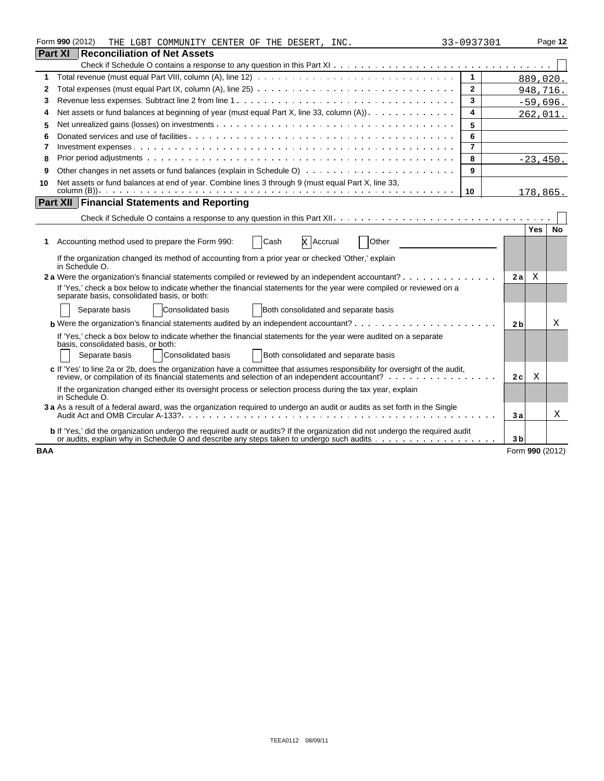|                | Form 990 (2012)<br>THE LGBT COMMUNITY CENTER OF THE DESERT, INC.                                                                                                                                                              | 33-0937301              |                |                 | Page 12   |
|----------------|-------------------------------------------------------------------------------------------------------------------------------------------------------------------------------------------------------------------------------|-------------------------|----------------|-----------------|-----------|
| <b>Part XI</b> | <b>Reconciliation of Net Assets</b>                                                                                                                                                                                           |                         |                |                 |           |
|                |                                                                                                                                                                                                                               |                         |                |                 |           |
| 1              | Total revenue (must equal Part VIII, column (A), line 12) $\ldots \ldots \ldots \ldots \ldots \ldots \ldots \ldots \ldots \ldots \ldots$                                                                                      | $\mathbf{1}$            |                | 889,020.        |           |
| 2              |                                                                                                                                                                                                                               | $\mathbf{2}$            |                | 948,716.        |           |
| 3              |                                                                                                                                                                                                                               | 3                       |                | $-59,696.$      |           |
| 4              | Net assets or fund balances at beginning of year (must equal Part X, line 33, column (A)).                                                                                                                                    | 4                       |                | 262,011.        |           |
| 5              |                                                                                                                                                                                                                               | 5                       |                |                 |           |
| 6              |                                                                                                                                                                                                                               | 6                       |                |                 |           |
| 7              |                                                                                                                                                                                                                               | $\overline{\mathbf{z}}$ |                |                 |           |
| 8              |                                                                                                                                                                                                                               | 8                       |                | $-23.450.$      |           |
| 9              |                                                                                                                                                                                                                               | 9                       |                |                 |           |
| 10             | Net assets or fund balances at end of year. Combine lines 3 through 9 (must equal Part X, line 33,                                                                                                                            |                         |                |                 |           |
|                |                                                                                                                                                                                                                               | 10                      |                | 178,865.        |           |
|                | <b>Part XII Financial Statements and Reporting</b>                                                                                                                                                                            |                         |                |                 |           |
|                |                                                                                                                                                                                                                               |                         |                |                 |           |
|                |                                                                                                                                                                                                                               |                         |                | <b>Yes</b>      | <b>No</b> |
| 1.             | Other<br>Accounting method used to prepare the Form 990:<br><b>X</b> Accrual<br>Cash                                                                                                                                          |                         |                |                 |           |
|                | If the organization changed its method of accounting from a prior year or checked 'Other,' explain<br>in Schedule O.                                                                                                          |                         |                |                 |           |
|                | 2a Were the organization's financial statements compiled or reviewed by an independent accountant?                                                                                                                            |                         | 2a             | X               |           |
|                | If 'Yes,' check a box below to indicate whether the financial statements for the year were compiled or reviewed on a<br>separate basis, consolidated basis, or both:                                                          |                         |                |                 |           |
|                | Consolidated basis<br>Both consolidated and separate basis<br>Separate basis                                                                                                                                                  |                         |                |                 |           |
|                | <b>b</b> Were the organization's financial statements audited by an independent accountant? $\cdots$ , $\cdots$ , $\cdots$ , $\cdots$                                                                                         |                         | 2 <sub>b</sub> |                 | Χ         |
|                | If 'Yes,' check a box below to indicate whether the financial statements for the year were audited on a separate                                                                                                              |                         |                |                 |           |
|                | basis, consolidated basis, or both:                                                                                                                                                                                           |                         |                |                 |           |
|                | <b>Consolidated basis</b><br>Both consolidated and separate basis<br>Separate basis                                                                                                                                           |                         |                |                 |           |
|                | c If 'Yes' to line 2a or 2b, does the organization have a committee that assumes responsibility for oversight of the audit,<br>review, or compilation of its financial statements and selection of an independent accountant? |                         | 2c             | Χ               |           |
|                | If the organization changed either its oversight process or selection process during the tax year, explain<br>in Schedule O.                                                                                                  |                         |                |                 |           |
|                | 3 a As a result of a federal award, was the organization required to undergo an audit or audits as set forth in the Single                                                                                                    |                         | 3a             |                 | Χ         |
|                | b If 'Yes,' did the organization undergo the required audit or audits? If the organization did not undergo the required audit                                                                                                 |                         | 3 <sub>b</sub> |                 |           |
| <b>BAA</b>     |                                                                                                                                                                                                                               |                         |                | Form 990 (2012) |           |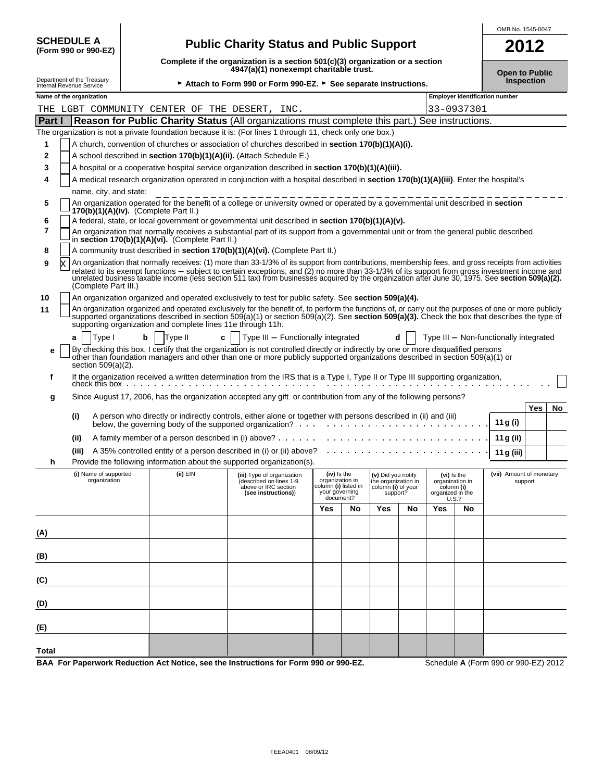|                                                                                                                                                                   | <b>SCHEDULE A</b><br><b>Public Charity Status and Public Support</b><br>2012<br>(Form 990 or 990-EZ)                                                                                                                                      |                                                                                                                           |          |   |                                                                                                                                                                                                                                                                                                                                                                                                                                                            |                                                                          |           |                                                                             |    |                                                                           |    |                                        |            |    |
|-------------------------------------------------------------------------------------------------------------------------------------------------------------------|-------------------------------------------------------------------------------------------------------------------------------------------------------------------------------------------------------------------------------------------|---------------------------------------------------------------------------------------------------------------------------|----------|---|------------------------------------------------------------------------------------------------------------------------------------------------------------------------------------------------------------------------------------------------------------------------------------------------------------------------------------------------------------------------------------------------------------------------------------------------------------|--------------------------------------------------------------------------|-----------|-----------------------------------------------------------------------------|----|---------------------------------------------------------------------------|----|----------------------------------------|------------|----|
|                                                                                                                                                                   |                                                                                                                                                                                                                                           | Complete if the organization is a section $501(c)(3)$ organization or a section<br>4947(a)(1) nonexempt charitable trust. |          |   |                                                                                                                                                                                                                                                                                                                                                                                                                                                            |                                                                          |           |                                                                             |    | <b>Open to Public</b>                                                     |    |                                        |            |    |
| Department of the Treasury<br>Internal Revenue Service                                                                                                            |                                                                                                                                                                                                                                           | ► Attach to Form 990 or Form 990-EZ. ► See separate instructions.                                                         |          |   |                                                                                                                                                                                                                                                                                                                                                                                                                                                            |                                                                          |           |                                                                             |    | <b>Inspection</b>                                                         |    |                                        |            |    |
| Name of the organization                                                                                                                                          |                                                                                                                                                                                                                                           |                                                                                                                           |          |   |                                                                                                                                                                                                                                                                                                                                                                                                                                                            |                                                                          |           |                                                                             |    |                                                                           |    | <b>Employer identification number</b>  |            |    |
| 33-0937301<br>THE LGBT COMMUNITY CENTER OF THE DESERT,<br>INC.<br>Reason for Public Charity Status (All organizations must complete this part.) See instructions. |                                                                                                                                                                                                                                           |                                                                                                                           |          |   |                                                                                                                                                                                                                                                                                                                                                                                                                                                            |                                                                          |           |                                                                             |    |                                                                           |    |                                        |            |    |
| Part I                                                                                                                                                            |                                                                                                                                                                                                                                           |                                                                                                                           |          |   |                                                                                                                                                                                                                                                                                                                                                                                                                                                            |                                                                          |           |                                                                             |    |                                                                           |    |                                        |            |    |
|                                                                                                                                                                   |                                                                                                                                                                                                                                           |                                                                                                                           |          |   | The organization is not a private foundation because it is: (For lines 1 through 11, check only one box.)                                                                                                                                                                                                                                                                                                                                                  |                                                                          |           |                                                                             |    |                                                                           |    |                                        |            |    |
| 1                                                                                                                                                                 |                                                                                                                                                                                                                                           |                                                                                                                           |          |   | A church, convention of churches or association of churches described in section 170(b)(1)(A)(i).                                                                                                                                                                                                                                                                                                                                                          |                                                                          |           |                                                                             |    |                                                                           |    |                                        |            |    |
| 2<br>3                                                                                                                                                            |                                                                                                                                                                                                                                           |                                                                                                                           |          |   | A school described in section 170(b)(1)(A)(ii). (Attach Schedule E.)                                                                                                                                                                                                                                                                                                                                                                                       |                                                                          |           |                                                                             |    |                                                                           |    |                                        |            |    |
| 4                                                                                                                                                                 | A hospital or a cooperative hospital service organization described in section 170(b)(1)(A)(iii).<br>A medical research organization operated in conjunction with a hospital described in section 170(b)(1)(A)(iii). Enter the hospital's |                                                                                                                           |          |   |                                                                                                                                                                                                                                                                                                                                                                                                                                                            |                                                                          |           |                                                                             |    |                                                                           |    |                                        |            |    |
|                                                                                                                                                                   | name, city, and state:                                                                                                                                                                                                                    |                                                                                                                           |          |   |                                                                                                                                                                                                                                                                                                                                                                                                                                                            |                                                                          |           |                                                                             |    |                                                                           |    |                                        |            |    |
| 5                                                                                                                                                                 | $170(b)(1)(A)(iv)$ . (Complete Part II.)                                                                                                                                                                                                  |                                                                                                                           |          |   | An organization operated for the benefit of a college or university owned or operated by a governmental unit described in section                                                                                                                                                                                                                                                                                                                          |                                                                          |           |                                                                             |    |                                                                           |    |                                        |            |    |
| 6                                                                                                                                                                 |                                                                                                                                                                                                                                           |                                                                                                                           |          |   | A federal, state, or local government or governmental unit described in section 170(b)(1)(A)(v).                                                                                                                                                                                                                                                                                                                                                           |                                                                          |           |                                                                             |    |                                                                           |    |                                        |            |    |
| 7                                                                                                                                                                 | in section 170(b)(1)(A)(vi). (Complete Part II.)                                                                                                                                                                                          |                                                                                                                           |          |   | An organization that normally receives a substantial part of its support from a governmental unit or from the general public described                                                                                                                                                                                                                                                                                                                     |                                                                          |           |                                                                             |    |                                                                           |    |                                        |            |    |
| 8                                                                                                                                                                 |                                                                                                                                                                                                                                           |                                                                                                                           |          |   | A community trust described in section 170(b)(1)(A)(vi). (Complete Part II.)                                                                                                                                                                                                                                                                                                                                                                               |                                                                          |           |                                                                             |    |                                                                           |    |                                        |            |    |
| 9<br>X                                                                                                                                                            | (Complete Part III.)                                                                                                                                                                                                                      |                                                                                                                           |          |   | An organization that normally receives: (1) more than 33-1/3% of its support from contributions, membership fees, and gross receipts from activities<br>related to its exempt functions - subject to certain exceptions, and (2) no more than 33-1/3% of its support from gross investment income and<br>unrelated business taxable income (less section 511 tax) from businesses acquired by the organization after June 30, 1975. See section 509(a)(2). |                                                                          |           |                                                                             |    |                                                                           |    |                                        |            |    |
| 10                                                                                                                                                                |                                                                                                                                                                                                                                           |                                                                                                                           |          |   | An organization organized and operated exclusively to test for public safety. See section 509(a)(4).                                                                                                                                                                                                                                                                                                                                                       |                                                                          |           |                                                                             |    |                                                                           |    |                                        |            |    |
| 11                                                                                                                                                                |                                                                                                                                                                                                                                           |                                                                                                                           |          |   | An organization organized and operated exclusively for the benefit of, to perform the functions of, or carry out the purposes of one or more publicly<br>supported organizations described in section $509(a)(1)$ or section $509(a)(2)$ . See section $509(a)(3)$ . Check the box that describes the type of<br>supporting organization and complete lines 11e through 11h.                                                                               |                                                                          |           |                                                                             |    |                                                                           |    |                                        |            |    |
| a                                                                                                                                                                 | Type I                                                                                                                                                                                                                                    | b                                                                                                                         | Type II  | c | Type III - Functionally integrated                                                                                                                                                                                                                                                                                                                                                                                                                         |                                                                          |           |                                                                             |    |                                                                           |    | Type III - Non-functionally integrated |            |    |
| е                                                                                                                                                                 | section $509(a)(2)$ .                                                                                                                                                                                                                     |                                                                                                                           |          |   | By checking this box, I certify that the organization is not controlled directly or indirectly by one or more disqualified persons<br>other than foundation managers and other than one or more publicly supported organizations described in section 509(a)(1) or                                                                                                                                                                                         |                                                                          |           |                                                                             |    |                                                                           |    |                                        |            |    |
| f                                                                                                                                                                 |                                                                                                                                                                                                                                           |                                                                                                                           |          |   | If the organization received a written determination from the IRS that is a Type I, Type II or Type III supporting organization,                                                                                                                                                                                                                                                                                                                           |                                                                          |           |                                                                             |    |                                                                           |    |                                        |            |    |
| g                                                                                                                                                                 | check this box                                                                                                                                                                                                                            |                                                                                                                           |          |   | Since August 17, 2006, has the organization accepted any gift or contribution from any of the following persons?                                                                                                                                                                                                                                                                                                                                           |                                                                          |           |                                                                             |    |                                                                           |    |                                        |            |    |
| (i)                                                                                                                                                               |                                                                                                                                                                                                                                           |                                                                                                                           |          |   | A person who directly or indirectly controls, either alone or together with persons described in (ii) and (iii)                                                                                                                                                                                                                                                                                                                                            |                                                                          |           |                                                                             |    |                                                                           |    | 11 g (i)                               | <b>Yes</b> | No |
|                                                                                                                                                                   |                                                                                                                                                                                                                                           |                                                                                                                           |          |   |                                                                                                                                                                                                                                                                                                                                                                                                                                                            |                                                                          |           |                                                                             |    |                                                                           |    |                                        |            |    |
| (ii)                                                                                                                                                              |                                                                                                                                                                                                                                           |                                                                                                                           |          |   |                                                                                                                                                                                                                                                                                                                                                                                                                                                            |                                                                          |           |                                                                             |    |                                                                           |    | 11 g (ii)                              |            |    |
|                                                                                                                                                                   | (iii)                                                                                                                                                                                                                                     |                                                                                                                           |          |   | Provide the following information about the supported organization(s).                                                                                                                                                                                                                                                                                                                                                                                     |                                                                          |           |                                                                             |    |                                                                           |    | 11 g (iii)                             |            |    |
| h                                                                                                                                                                 | (i) Name of supported                                                                                                                                                                                                                     |                                                                                                                           |          |   |                                                                                                                                                                                                                                                                                                                                                                                                                                                            |                                                                          |           |                                                                             |    |                                                                           |    | (vii) Amount of monetary               |            |    |
|                                                                                                                                                                   | organization                                                                                                                                                                                                                              |                                                                                                                           | (ii) EIN |   | (iii) Type of organization<br>(described on lines 1-9<br>above or IRC section<br>(see instructions))                                                                                                                                                                                                                                                                                                                                                       | (iv) is the<br>organization in<br>column (i) listed in<br>your governing | document? | (v) Did you notify<br>the organization in<br>column (i) of your<br>support? |    | (vi) is the<br>organization in<br>column (i)<br>organized in the<br>U.S.? |    |                                        | support    |    |
|                                                                                                                                                                   |                                                                                                                                                                                                                                           |                                                                                                                           |          |   |                                                                                                                                                                                                                                                                                                                                                                                                                                                            | Yes                                                                      | No        | Yes                                                                         | No | Yes                                                                       | No |                                        |            |    |
|                                                                                                                                                                   |                                                                                                                                                                                                                                           |                                                                                                                           |          |   |                                                                                                                                                                                                                                                                                                                                                                                                                                                            |                                                                          |           |                                                                             |    |                                                                           |    |                                        |            |    |
| (A)                                                                                                                                                               |                                                                                                                                                                                                                                           |                                                                                                                           |          |   |                                                                                                                                                                                                                                                                                                                                                                                                                                                            |                                                                          |           |                                                                             |    |                                                                           |    |                                        |            |    |
| (B)                                                                                                                                                               |                                                                                                                                                                                                                                           |                                                                                                                           |          |   |                                                                                                                                                                                                                                                                                                                                                                                                                                                            |                                                                          |           |                                                                             |    |                                                                           |    |                                        |            |    |
| (C)                                                                                                                                                               |                                                                                                                                                                                                                                           |                                                                                                                           |          |   |                                                                                                                                                                                                                                                                                                                                                                                                                                                            |                                                                          |           |                                                                             |    |                                                                           |    |                                        |            |    |
| (D)                                                                                                                                                               |                                                                                                                                                                                                                                           |                                                                                                                           |          |   |                                                                                                                                                                                                                                                                                                                                                                                                                                                            |                                                                          |           |                                                                             |    |                                                                           |    |                                        |            |    |
| (E)                                                                                                                                                               |                                                                                                                                                                                                                                           |                                                                                                                           |          |   |                                                                                                                                                                                                                                                                                                                                                                                                                                                            |                                                                          |           |                                                                             |    |                                                                           |    |                                        |            |    |
| Total                                                                                                                                                             |                                                                                                                                                                                                                                           |                                                                                                                           |          |   |                                                                                                                                                                                                                                                                                                                                                                                                                                                            |                                                                          |           |                                                                             |    |                                                                           |    | 000                                    | 000F7004   |    |

**BAA For Paperwork Reduction Act Notice, see the Instructions for Form 990 or 990-EZ.** Schedule **A** (Form 990 or 990-EZ) 2012

 $\overline{\phantom{a}}$ 

OMB No. 1545-0047

 $\overline{\phantom{a}}$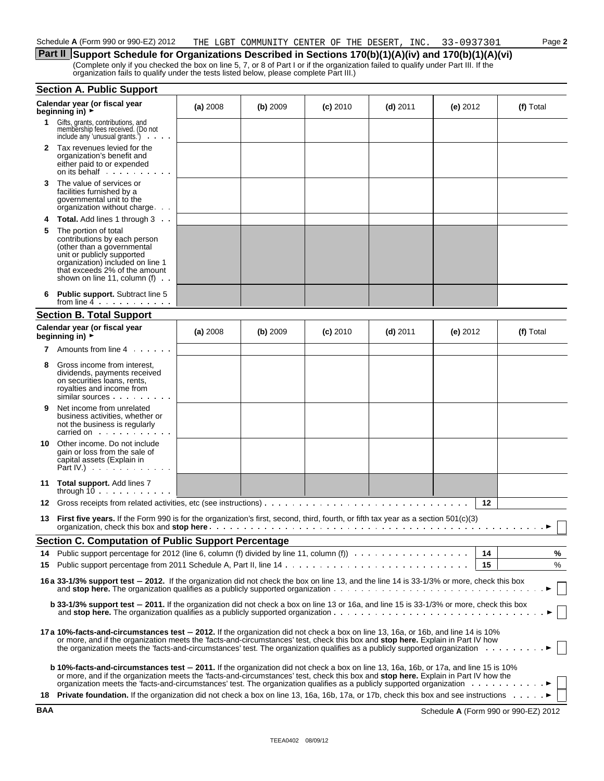**Part II** Support Schedule for Organizations Described in Sections 170(b)(1)(A)(iv) and 170(b)(1)(A)(vi) (Complete only if you checked the box on line 5, 7, or 8 of Part I or if the organization failed to qualify under Part III. If the organization fails to qualify under the tests listed below, please complete Part III.)

|            | <b>Section A. Public Support</b>                                                                                                                                                                                                                                                                                                                                                                                  |          |          |            |            |            |                                      |
|------------|-------------------------------------------------------------------------------------------------------------------------------------------------------------------------------------------------------------------------------------------------------------------------------------------------------------------------------------------------------------------------------------------------------------------|----------|----------|------------|------------|------------|--------------------------------------|
|            | Calendar year (or fiscal year<br>beginning in) $\rightarrow$                                                                                                                                                                                                                                                                                                                                                      | (a) 2008 | (b) 2009 | $(c)$ 2010 | $(d)$ 2011 | (e) $2012$ | (f) Total                            |
| 1.         | Gifts, grants, contributions, and<br>membership fees received. (Do not<br>include any 'unusual grants.')                                                                                                                                                                                                                                                                                                          |          |          |            |            |            |                                      |
|            | 2 Tax revenues levied for the<br>organization's benefit and<br>either paid to or expended                                                                                                                                                                                                                                                                                                                         |          |          |            |            |            |                                      |
| 3          | The value of services or<br>facilities furnished by a<br>governmental unit to the<br>organization without charge                                                                                                                                                                                                                                                                                                  |          |          |            |            |            |                                      |
| 4          | Total. Add lines 1 through 3                                                                                                                                                                                                                                                                                                                                                                                      |          |          |            |            |            |                                      |
| 5          | The portion of total<br>contributions by each person<br>(other than a governmental<br>unit or publicly supported<br>organization) included on line 1<br>that exceeds 2% of the amount<br>shown on line 11, column (f)                                                                                                                                                                                             |          |          |            |            |            |                                      |
|            | <b>Public support.</b> Subtract line 5<br>from line $4$ , $\cdots$ , $\cdots$                                                                                                                                                                                                                                                                                                                                     |          |          |            |            |            |                                      |
|            | <b>Section B. Total Support</b>                                                                                                                                                                                                                                                                                                                                                                                   |          |          |            |            |            |                                      |
|            | Calendar year (or fiscal year<br>beginning in) $\overrightarrow{r}$                                                                                                                                                                                                                                                                                                                                               | (a) 2008 | (b) 2009 | $(c)$ 2010 | $(d)$ 2011 | (e) 2012   | (f) Total                            |
| 7          | Amounts from line 4                                                                                                                                                                                                                                                                                                                                                                                               |          |          |            |            |            |                                      |
| 8          | Gross income from interest,<br>dividends, payments received<br>on securities loans, rents,<br>royalties and income from<br>similar sources                                                                                                                                                                                                                                                                        |          |          |            |            |            |                                      |
| 9          | Net income from unrelated<br>business activities, whether or<br>not the business is regularly<br>carried on example and the set of the set of the set of the set of the set of the set of the set of the set of                                                                                                                                                                                                   |          |          |            |            |            |                                      |
| 10         | Other income. Do not include<br>gain or loss from the sale of<br>capital assets (Explain in<br>Part IV.) $\cdots$                                                                                                                                                                                                                                                                                                 |          |          |            |            |            |                                      |
|            | 11 Total support. Add lines 7<br>through $10 \ldots \ldots \ldots$                                                                                                                                                                                                                                                                                                                                                |          |          |            |            |            |                                      |
| 12         | Gross receipts from related activities, etc (see instructions) $\ldots \ldots \ldots \ldots \ldots \ldots \ldots \ldots \ldots \ldots \ldots$                                                                                                                                                                                                                                                                     |          |          |            |            | 12         |                                      |
| 13         | First five years. If the Form 990 is for the organization's first, second, third, fourth, or fifth tax year as a section 501(c)(3)                                                                                                                                                                                                                                                                                |          |          |            |            |            |                                      |
|            | <b>Section C. Computation of Public Support Percentage</b>                                                                                                                                                                                                                                                                                                                                                        |          |          |            |            |            |                                      |
| 14         | Public support percentage for 2012 (line 6, column (f) divided by line 11, column (f)                                                                                                                                                                                                                                                                                                                             |          |          |            |            | 14         | ℅                                    |
| 15         |                                                                                                                                                                                                                                                                                                                                                                                                                   |          |          |            |            | 15         | %                                    |
|            | 16 a 33-1/3% support test - 2012. If the organization did not check the box on line 13, and the line 14 is 33-1/3% or more, check this box                                                                                                                                                                                                                                                                        |          |          |            |            |            |                                      |
|            | <b>b 33-1/3% support test – 2011.</b> If the organization did not check a box on line 13 or 16a, and line 15 is 33-1/3% or more, check this box                                                                                                                                                                                                                                                                   |          |          |            |            |            |                                      |
|            | 17a 10%-facts-and-circumstances test – 2012. If the organization did not check a box on line 13, 16a, or 16b, and line 14 is 10%<br>or more, and if the organization meets the 'facts-and-circumstances' test, check this box and stop here. Explain in Part IV how<br>the organization meets the 'facts-and-circumstances' test. The organization qualifies as a publicly supported organization $\ldots \ldots$ |          |          |            |            |            |                                      |
|            | <b>b 10%-facts-and-circumstances test - 2011.</b> If the organization did not check a box on line 13, 16a, 16b, or 17a, and line 15 is 10%<br>or more, and if the organization meets the 'facts-and-circumstances' test, check this box and <b>stop here.</b> Explain in Part IV how the                                                                                                                          |          |          |            |            |            |                                      |
| 18         | <b>Private foundation.</b> If the organization did not check a box on line 13, 16a, 16b, 17a, or 17b, check this box and see instructions                                                                                                                                                                                                                                                                         |          |          |            |            |            |                                      |
| <b>BAA</b> |                                                                                                                                                                                                                                                                                                                                                                                                                   |          |          |            |            |            | Schedule A (Form 990 or 990-EZ) 2012 |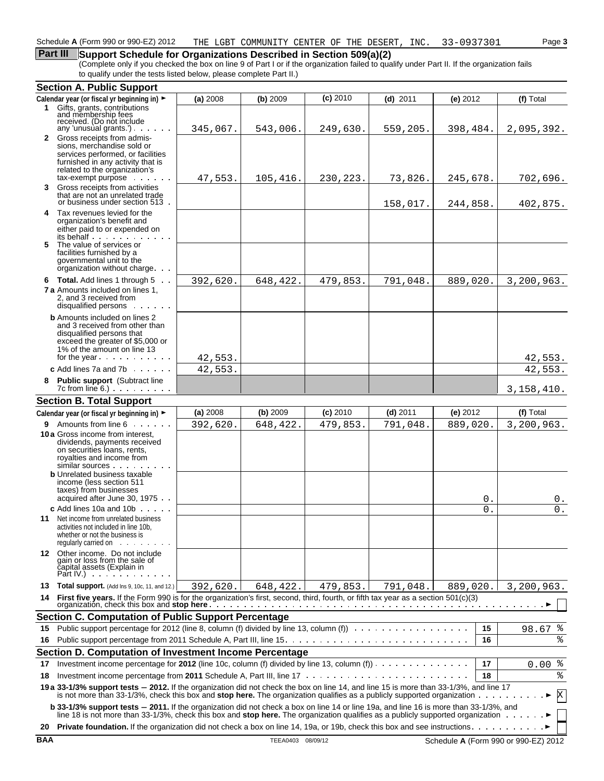### **Part III** Support Schedule for Organizations Described in Section 509(a)(2)

(Complete only if you checked the box on line 9 of Part I or if the organization failed to qualify under Part II. If the organization fails to qualify under the tests listed below, please complete Part II.)

|    | <b>Section A. Public Support</b>                                                                                                                                                                                                         |          |          |            |            |          |                  |             |
|----|------------------------------------------------------------------------------------------------------------------------------------------------------------------------------------------------------------------------------------------|----------|----------|------------|------------|----------|------------------|-------------|
|    | Calendar year (or fiscal yr beginning in) ►                                                                                                                                                                                              | (a) 2008 | (b) 2009 | $(c)$ 2010 | $(d)$ 2011 | (e) 2012 |                  | (f) Total   |
|    | 1 Gifts, grants, contributions<br>and membership fees                                                                                                                                                                                    |          |          |            |            |          |                  |             |
|    | received. (Do not include                                                                                                                                                                                                                |          |          |            |            |          |                  |             |
|    | any 'unusual grants') $\cdots$<br>2 Gross receipts from admis-                                                                                                                                                                           | 345,067. | 543,006. | 249,630.   | 559,205.   | 398,484. |                  | 2,095,392.  |
|    | sions, merchandise sold or                                                                                                                                                                                                               |          |          |            |            |          |                  |             |
|    | services performed, or facilities                                                                                                                                                                                                        |          |          |            |            |          |                  |             |
|    | furnished in any activity that is<br>related to the organization's                                                                                                                                                                       |          |          |            |            |          |                  |             |
|    | tax-exempt purpose                                                                                                                                                                                                                       | 47,553.  | 105,416. | 230,223.   | 73,826.    | 245,678. |                  | 702,696.    |
|    | 3 Gross receipts from activities                                                                                                                                                                                                         |          |          |            |            |          |                  |             |
|    | that are not an unrelated trade<br>or business under section 513.                                                                                                                                                                        |          |          |            | 158,017.   | 244,858. |                  | 402,875.    |
|    | 4 Tax revenues levied for the                                                                                                                                                                                                            |          |          |            |            |          |                  |             |
|    | organization's benefit and                                                                                                                                                                                                               |          |          |            |            |          |                  |             |
|    | either paid to or expended on<br>its behalf                                                                                                                                                                                              |          |          |            |            |          |                  |             |
| 5. | The value of services or                                                                                                                                                                                                                 |          |          |            |            |          |                  |             |
|    | facilities furnished by a<br>governmental unit to the                                                                                                                                                                                    |          |          |            |            |          |                  |             |
|    | organization without charge.                                                                                                                                                                                                             |          |          |            |            |          |                  |             |
|    | 6 Total. Add lines 1 through 5                                                                                                                                                                                                           | 392,620. | 648,422. | 479,853.   | 791,048.   | 889,020. |                  | 3,200,963.  |
|    | <b>7 a</b> Amounts included on lines 1,                                                                                                                                                                                                  |          |          |            |            |          |                  |             |
|    | 2, and 3 received from<br>disqualified persons                                                                                                                                                                                           |          |          |            |            |          |                  |             |
|    | <b>b</b> Amounts included on lines 2                                                                                                                                                                                                     |          |          |            |            |          |                  |             |
|    | and 3 received from other than                                                                                                                                                                                                           |          |          |            |            |          |                  |             |
|    | disqualified persons that                                                                                                                                                                                                                |          |          |            |            |          |                  |             |
|    | exceed the greater of \$5,000 or<br>1% of the amount on line 13                                                                                                                                                                          |          |          |            |            |          |                  |             |
|    | for the year                                                                                                                                                                                                                             | 42,553.  |          |            |            |          |                  | 42,553.     |
|    | c Add lines 7a and 7b $\ldots$                                                                                                                                                                                                           | 42,553.  |          |            |            |          |                  | 42,553.     |
|    | 8 Public support (Subtract line                                                                                                                                                                                                          |          |          |            |            |          |                  |             |
|    | $7c$ from line 6.) $\ldots$ $\ldots$                                                                                                                                                                                                     |          |          |            |            |          |                  | 3,158,410.  |
|    | <b>Section B. Total Support</b>                                                                                                                                                                                                          |          |          |            |            |          |                  |             |
|    | Calendar year (or fiscal yr beginning in) ►                                                                                                                                                                                              | (a) 2008 | (b) 2009 | $(c)$ 2010 | $(d)$ 2011 | (e) 2012 |                  | (f) Total   |
|    | 9 Amounts from line 6                                                                                                                                                                                                                    | 392,620. | 648,422. | 479,853.   | 791,048.   | 889,020. |                  | 3,200,963.  |
|    | 10 a Gross income from interest,<br>dividends, payments received                                                                                                                                                                         |          |          |            |            |          |                  |             |
|    | on securities loans, rents,                                                                                                                                                                                                              |          |          |            |            |          |                  |             |
|    | royalties and income from<br>$similar$ sources $\ldots$ .<br>$\sim 100$ km s $^{-1}$                                                                                                                                                     |          |          |            |            |          |                  |             |
|    | <b>b</b> Unrelated business taxable                                                                                                                                                                                                      |          |          |            |            |          |                  |             |
|    | income (less section 511<br>taxes) from businesses                                                                                                                                                                                       |          |          |            |            |          |                  |             |
|    | acquired after June 30, 1975.                                                                                                                                                                                                            |          |          |            |            |          | 0.               | 0.          |
|    | c Add lines 10a and 10b                                                                                                                                                                                                                  |          |          |            |            |          | $\overline{0}$ . | 0.          |
|    | <b>11</b> Net income from unrelated business                                                                                                                                                                                             |          |          |            |            |          |                  |             |
|    | activities not included in line 10b,<br>whether or not the business is                                                                                                                                                                   |          |          |            |            |          |                  |             |
|    | requiarly carried on                                                                                                                                                                                                                     |          |          |            |            |          |                  |             |
|    | 12 Other income. Do not include                                                                                                                                                                                                          |          |          |            |            |          |                  |             |
|    | gain or loss from the sale of<br>čapital assets (Explain in                                                                                                                                                                              |          |          |            |            |          |                  |             |
|    | Part IV.) $\cdots$                                                                                                                                                                                                                       |          |          |            |            |          |                  |             |
| 13 | <b>Total support.</b> (Add Ins 9, 10c, 11, and 12.)                                                                                                                                                                                      | 392,620. | 648,422. | 479,853.   | 791,048.   | 889,020. |                  | 3,200,963.  |
| 14 | First five years. If the Form 990 is for the organization's first, second, third, fourth, or fifth tax year as a section 501(c)(3)                                                                                                       |          |          |            |            |          |                  |             |
|    | <b>Section C. Computation of Public Support Percentage</b>                                                                                                                                                                               |          |          |            |            |          |                  |             |
| 15 | Public support percentage for 2012 (line 8, column (f) divided by line 13, column (f)                                                                                                                                                    |          |          |            |            |          | 15               | $98.67$ $%$ |
| 16 |                                                                                                                                                                                                                                          |          |          |            |            |          | 16               | %           |
|    | Section D. Computation of Investment Income Percentage                                                                                                                                                                                   |          |          |            |            |          |                  |             |
| 17 | Investment income percentage for 2012 (line 10c, column (f) divided by line 13, column (f)) $\cdots$                                                                                                                                     |          |          |            |            |          | 17               | $0.00$ %    |
| 18 | Investment income percentage from 2011 Schedule A, Part III, line $17 \ldots \ldots \ldots \ldots \ldots \ldots \ldots \ldots$                                                                                                           |          |          |            |            |          | 18               | %           |
|    | 19 a 33-1/3% support tests - 2012. If the organization did not check the box on line 14, and line 15 is more than 33-1/3%, and line 17                                                                                                   |          |          |            |            |          |                  |             |
|    | is not more than 33-1/3%, check this box and stop here. The organization qualifies as a publicly supported organization $\ldots$ .                                                                                                       |          |          |            |            |          |                  | X           |
|    | <b>b 33-1/3% support tests - 2011.</b> If the organization did not check a box on line 14 or line 19a, and line 16 is more than 33-1/3%, and line 18 is not more than 33-1/3%, check this box and <b>stop here</b> . The organization qu |          |          |            |            |          |                  |             |
| 20 |                                                                                                                                                                                                                                          |          |          |            |            |          |                  |             |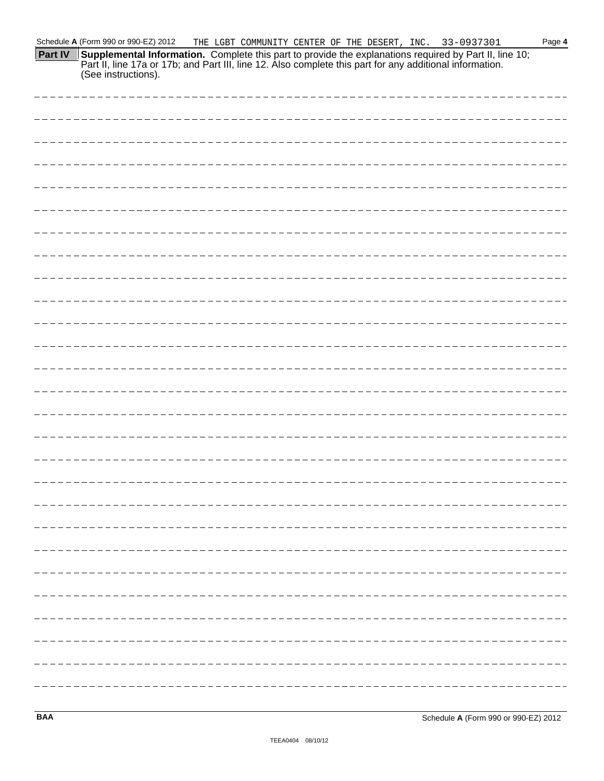**Part IV Supplemental Information.** Complete this part to provide the explanations required by Part II, line 10; Part II, line 17a or 17b; and Part III, line 12. Also complete this part for any additional information. (See instructions).

**BAA** Schedule **A** (Form 990 or 990-EZ) 2012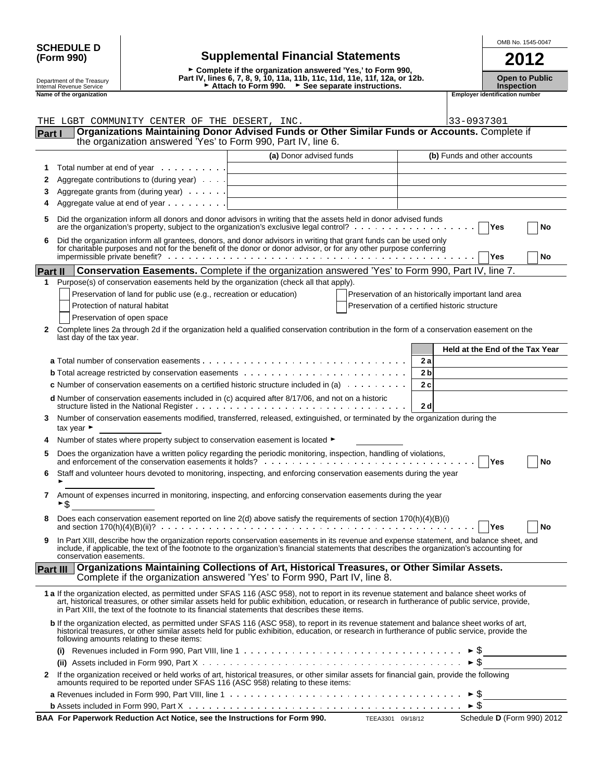| <b>SCHEDULE D</b> |  |
|-------------------|--|
| (Form 990)        |  |

## **SCHEDULE D OMB No.** 1545-0047 **(Form 990) Supplemental Financial Statements 2012**

G **Complete if the organization answered 'Yes,' to Form 990,** Depart ment of the Treasury | **Depart IV, lines 6, 7, 8, 9, 10, 11a, 11b, 11c, 11d, 11e, 11f, 12a, or 12b.** Open to Public<br>Internal Revenue Service | Numbertion → Attach to Form 990. → See separate instructions. Numbertio Department of the Treasury **Name of the Open to Pulse of the Open to Pulse Concept of the organization**<br>
Inspection<br>
Transpection<br> **Employer identification number**<br> **Employer identification number**<br>
Employer identificatio

|                | THE LGBT COMMUNITY CENTER OF THE DESERT, INC.<br>Organizations Maintaining Donor Advised Funds or Other Similar Funds or Accounts. Complete if                                                                                                                                                                                                                                                  |                         |                                                     | 33-0937301          |                                 |    |
|----------------|-------------------------------------------------------------------------------------------------------------------------------------------------------------------------------------------------------------------------------------------------------------------------------------------------------------------------------------------------------------------------------------------------|-------------------------|-----------------------------------------------------|---------------------|---------------------------------|----|
| Part I         | the organization answered 'Yes' to Form 990, Part IV, line 6.                                                                                                                                                                                                                                                                                                                                   |                         |                                                     |                     |                                 |    |
|                |                                                                                                                                                                                                                                                                                                                                                                                                 | (a) Donor advised funds |                                                     |                     | (b) Funds and other accounts    |    |
| 1              | Total number at end of year                                                                                                                                                                                                                                                                                                                                                                     |                         |                                                     |                     |                                 |    |
| 2              | Aggregate contributions to (during year)                                                                                                                                                                                                                                                                                                                                                        |                         |                                                     |                     |                                 |    |
| 3              | Aggregate grants from (during year)                                                                                                                                                                                                                                                                                                                                                             |                         |                                                     |                     |                                 |    |
| 4              | Aggregate value at end of year $\ldots$                                                                                                                                                                                                                                                                                                                                                         |                         |                                                     |                     |                                 |    |
| 5              | Did the organization inform all donors and donor advisors in writing that the assets held in donor advised funds                                                                                                                                                                                                                                                                                |                         |                                                     |                     |                                 |    |
|                | are the organization's property, subject to the organization's exclusive legal control? $\ldots$ ,                                                                                                                                                                                                                                                                                              |                         |                                                     |                     | Yes                             | No |
| 6              | Did the organization inform all grantees, donors, and donor advisors in writing that grant funds can be used only<br>for charitable purposes and not for the benefit of the donor or donor advisor, or for any other purpose conf                                                                                                                                                               |                         |                                                     |                     | Yes                             | No |
| <b>Part II</b> | Conservation Easements. Complete if the organization answered 'Yes' to Form 990, Part IV, line 7.                                                                                                                                                                                                                                                                                               |                         |                                                     |                     |                                 |    |
| 1              | Purpose(s) of conservation easements held by the organization (check all that apply).                                                                                                                                                                                                                                                                                                           |                         |                                                     |                     |                                 |    |
|                | Preservation of land for public use (e.g., recreation or education)                                                                                                                                                                                                                                                                                                                             |                         | Preservation of an historically important land area |                     |                                 |    |
|                | Protection of natural habitat                                                                                                                                                                                                                                                                                                                                                                   |                         | Preservation of a certified historic structure      |                     |                                 |    |
|                | Preservation of open space                                                                                                                                                                                                                                                                                                                                                                      |                         |                                                     |                     |                                 |    |
| 2              | Complete lines 2a through 2d if the organization held a qualified conservation contribution in the form of a conservation easement on the<br>last day of the tax year.                                                                                                                                                                                                                          |                         |                                                     |                     |                                 |    |
|                |                                                                                                                                                                                                                                                                                                                                                                                                 |                         |                                                     |                     | Held at the End of the Tax Year |    |
|                |                                                                                                                                                                                                                                                                                                                                                                                                 |                         | 2a                                                  |                     |                                 |    |
|                |                                                                                                                                                                                                                                                                                                                                                                                                 |                         | 2 <sub>b</sub>                                      |                     |                                 |    |
|                | <b>c</b> Number of conservation easements on a certified historic structure included in (a) $\ldots \ldots \ldots$                                                                                                                                                                                                                                                                              |                         | 2c                                                  |                     |                                 |    |
|                | <b>d</b> Number of conservation easements included in (c) acquired after 8/17/06, and not on a historic                                                                                                                                                                                                                                                                                         |                         | 2 <sub>d</sub>                                      |                     |                                 |    |
| 3              | Number of conservation easements modified, transferred, released, extinguished, or terminated by the organization during the<br>tax year $\blacktriangleright$                                                                                                                                                                                                                                  |                         |                                                     |                     |                                 |    |
|                | Number of states where property subject to conservation easement is located ►                                                                                                                                                                                                                                                                                                                   |                         |                                                     |                     |                                 |    |
| 5              | Does the organization have a written policy regarding the periodic monitoring, inspection, handling of violations, and enforcement of the conservation easements it holds?                                                                                                                                                                                                                      |                         |                                                     |                     | Yes                             | No |
| 6              | Staff and volunteer hours devoted to monitoring, inspecting, and enforcing conservation easements during the year                                                                                                                                                                                                                                                                               |                         |                                                     |                     |                                 |    |
| 7              | Amount of expenses incurred in monitoring, inspecting, and enforcing conservation easements during the year<br>►\$                                                                                                                                                                                                                                                                              |                         |                                                     |                     |                                 |    |
| 8              | Does each conservation easement reported on line 2(d) above satisfy the requirements of section 170(h)(4)(B)(i)                                                                                                                                                                                                                                                                                 |                         |                                                     |                     | Yes                             | No |
|                | In Part XIII, describe how the organization reports conservation easements in its revenue and expense statement, and balance sheet, and<br>include, if applicable, the text of the footnote to the organization's financial statements that describes the organization's accounting for<br>conservation easements.                                                                              |                         |                                                     |                     |                                 |    |
| Part III       | Organizations Maintaining Collections of Art, Historical Treasures, or Other Similar Assets.<br>Complete if the organization answered 'Yes' to Form 990, Part IV, line 8.                                                                                                                                                                                                                       |                         |                                                     |                     |                                 |    |
|                | 1 a If the organization elected, as permitted under SFAS 116 (ASC 958), not to report in its revenue statement and balance sheet works of<br>art, historical treasures, or other similar assets held for public exhibition, education, or research in furtherance of public service, provide,<br>in Part XIII, the text of the footnote to its financial statements that describes these items. |                         |                                                     |                     |                                 |    |
|                | <b>b</b> If the organization elected, as permitted under SFAS 116 (ASC 958), to report in its revenue statement and balance sheet works of art,<br>historical treasures, or other similar assets held for public exhibition, education, or research in furtherance of public service, provide the<br>following amounts relating to these items:                                                 |                         |                                                     |                     |                                 |    |
|                | Revenues included in Form 990, Part VIII, line 1 $\dots \dots \dots \dots \dots \dots \dots \dots \dots \dots \dots \dots \dots \dots \dots \dots$<br>(i)                                                                                                                                                                                                                                       |                         |                                                     |                     |                                 |    |
|                |                                                                                                                                                                                                                                                                                                                                                                                                 |                         |                                                     | $\triangleright$ \$ |                                 |    |
| $\mathbf{2}$   | If the organization received or held works of art, historical treasures, or other similar assets for financial gain, provide the following<br>amounts required to be reported under SFAS 116 (ASC 958) relating to these items:                                                                                                                                                                 |                         |                                                     |                     |                                 |    |
|                |                                                                                                                                                                                                                                                                                                                                                                                                 |                         |                                                     |                     |                                 |    |
|                |                                                                                                                                                                                                                                                                                                                                                                                                 |                         |                                                     | ► \$                |                                 |    |

**BAA For Paperwork Reduction Act Notice, see the Instructions for Form 990.** TEEA3301 09/18/12 Schedule **D** (Form 990) 2012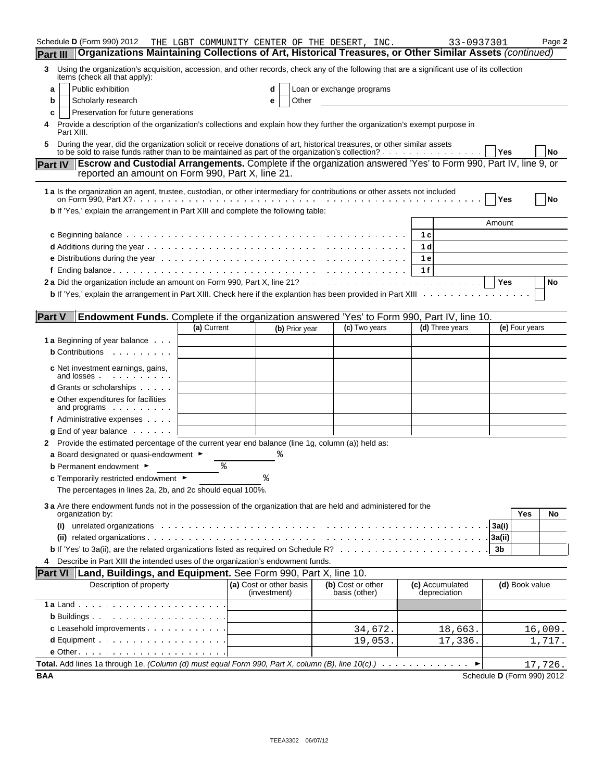| Schedule D (Form 990) 2012                                                                                                                                                                                                                                  |             |                                         |                | THE LGBT COMMUNITY CENTER OF THE DESERT, INC. |                | 33-0937301                      |                            | Page 2    |
|-------------------------------------------------------------------------------------------------------------------------------------------------------------------------------------------------------------------------------------------------------------|-------------|-----------------------------------------|----------------|-----------------------------------------------|----------------|---------------------------------|----------------------------|-----------|
| Organizations Maintaining Collections of Art, Historical Treasures, or Other Similar Assets (continued)<br><b>Part III</b>                                                                                                                                  |             |                                         |                |                                               |                |                                 |                            |           |
| Using the organization's acquisition, accession, and other records, check any of the following that are a significant use of its collection<br>3<br>items (check all that apply):                                                                           |             |                                         |                |                                               |                |                                 |                            |           |
| Public exhibition<br>а                                                                                                                                                                                                                                      |             |                                         |                | Loan or exchange programs                     |                |                                 |                            |           |
| Scholarly research<br>b                                                                                                                                                                                                                                     |             | е                                       | Other          |                                               |                |                                 |                            |           |
| Preservation for future generations<br>c                                                                                                                                                                                                                    |             |                                         |                |                                               |                |                                 |                            |           |
| Provide a description of the organization's collections and explain how they further the organization's exempt purpose in<br>Part XIII.                                                                                                                     |             |                                         |                |                                               |                |                                 |                            |           |
| During the year, did the organization solicit or receive donations of art, historical treasures, or other similar assets<br>to be sold to raise funds rather than to be maintained as part of the organization's collection? $\ldots$ , $\ldots$ , $\ldots$ |             |                                         |                |                                               |                |                                 | Yes                        | <b>No</b> |
| Escrow and Custodial Arrangements. Complete if the organization answered 'Yes' to Form 990, Part IV, line 9, or<br><b>Part IV</b><br>reported an amount on Form 990, Part X, line 21.                                                                       |             |                                         |                |                                               |                |                                 |                            |           |
| 1 a Is the organization an agent, trustee, custodian, or other intermediary for contributions or other assets not included                                                                                                                                  |             |                                         |                |                                               |                |                                 | Yes                        | No        |
| b If 'Yes,' explain the arrangement in Part XIII and complete the following table:                                                                                                                                                                          |             |                                         |                |                                               |                |                                 |                            |           |
|                                                                                                                                                                                                                                                             |             |                                         |                |                                               |                |                                 | Amount                     |           |
|                                                                                                                                                                                                                                                             |             |                                         |                |                                               | 1 c            |                                 |                            |           |
|                                                                                                                                                                                                                                                             |             |                                         |                |                                               | 1 <sub>d</sub> |                                 |                            |           |
|                                                                                                                                                                                                                                                             |             |                                         |                |                                               | 1 e            |                                 |                            |           |
|                                                                                                                                                                                                                                                             |             |                                         |                |                                               | 1f             |                                 |                            |           |
|                                                                                                                                                                                                                                                             |             |                                         |                |                                               |                |                                 | Yes                        | No        |
| <b>b</b> If 'Yes,' explain the arrangement in Part XIII. Check here if the explantion has been provided in Part XIII $\ldots$ ,                                                                                                                             |             |                                         |                |                                               |                |                                 |                            |           |
| <b>Part V</b><br>Endowment Funds. Complete if the organization answered 'Yes' to Form 990, Part IV, line 10.                                                                                                                                                |             |                                         |                |                                               |                |                                 |                            |           |
|                                                                                                                                                                                                                                                             | (a) Current |                                         | (b) Prior year | (c) Two years                                 |                | (d) Three years                 | (e) Four years             |           |
| <b>1 a</b> Beginning of year balance                                                                                                                                                                                                                        |             |                                         |                |                                               |                |                                 |                            |           |
| <b>b</b> Contributions $\cdots$                                                                                                                                                                                                                             |             |                                         |                |                                               |                |                                 |                            |           |
| c Net investment earnings, gains,<br>and losses experience and losses                                                                                                                                                                                       |             |                                         |                |                                               |                |                                 |                            |           |
| <b>d</b> Grants or scholarships                                                                                                                                                                                                                             |             |                                         |                |                                               |                |                                 |                            |           |
| e Other expenditures for facilities<br>and programs $\cdots$                                                                                                                                                                                                |             |                                         |                |                                               |                |                                 |                            |           |
| f Administrative expenses                                                                                                                                                                                                                                   |             |                                         |                |                                               |                |                                 |                            |           |
| $g$ End of year balance $\ldots$ .                                                                                                                                                                                                                          |             |                                         |                |                                               |                |                                 |                            |           |
| 2 Provide the estimated percentage of the current year end balance (line 1g, column (a)) held as:                                                                                                                                                           |             |                                         |                |                                               |                |                                 |                            |           |
| a Board designated or quasi-endowment $\blacktriangleright$                                                                                                                                                                                                 |             |                                         |                |                                               |                |                                 |                            |           |
| <b>b</b> Permanent endowment ►                                                                                                                                                                                                                              | နွ          |                                         |                |                                               |                |                                 |                            |           |
| <b>c</b> Temporarily restricted endowment $\blacktriangleright$                                                                                                                                                                                             |             |                                         |                |                                               |                |                                 |                            |           |
| The percentages in lines 2a, 2b, and 2c should equal 100%.                                                                                                                                                                                                  |             |                                         |                |                                               |                |                                 |                            |           |
| 3 a Are there endowment funds not in the possession of the organization that are held and administered for the<br>organization by:                                                                                                                          |             |                                         |                |                                               |                |                                 | Yes                        | No        |
| (i)                                                                                                                                                                                                                                                         |             |                                         |                |                                               |                |                                 | 3a(i)                      |           |
|                                                                                                                                                                                                                                                             |             |                                         |                |                                               |                |                                 | 3a(ii)                     |           |
|                                                                                                                                                                                                                                                             |             |                                         |                |                                               |                |                                 | 3b                         |           |
| Describe in Part XIII the intended uses of the organization's endowment funds.<br>4                                                                                                                                                                         |             |                                         |                |                                               |                |                                 |                            |           |
| <b>Part VI</b><br>Land, Buildings, and Equipment. See Form 990, Part X, line 10.                                                                                                                                                                            |             |                                         |                |                                               |                |                                 |                            |           |
| Description of property                                                                                                                                                                                                                                     |             | (a) Cost or other basis<br>(investment) |                | (b) Cost or other<br>basis (other)            |                | (c) Accumulated<br>depreciation | (d) Book value             |           |
|                                                                                                                                                                                                                                                             |             |                                         |                |                                               |                |                                 |                            |           |
|                                                                                                                                                                                                                                                             |             |                                         |                |                                               |                |                                 |                            |           |
| c Leasehold improvements                                                                                                                                                                                                                                    |             |                                         |                | 34,672.                                       |                | 18,663.                         |                            | 16,009.   |
|                                                                                                                                                                                                                                                             |             |                                         |                | 19,053.                                       |                | 17,336.                         |                            | 1,717.    |
|                                                                                                                                                                                                                                                             |             |                                         |                |                                               |                |                                 |                            |           |
| Total. Add lines 1a through 1e. (Column (d) must equal Form 990, Part X, column (B), line $10(c)$ .) $\dots$                                                                                                                                                |             |                                         |                |                                               |                |                                 |                            | 17,726.   |
| <b>BAA</b>                                                                                                                                                                                                                                                  |             |                                         |                |                                               |                |                                 | Schedule D (Form 990) 2012 |           |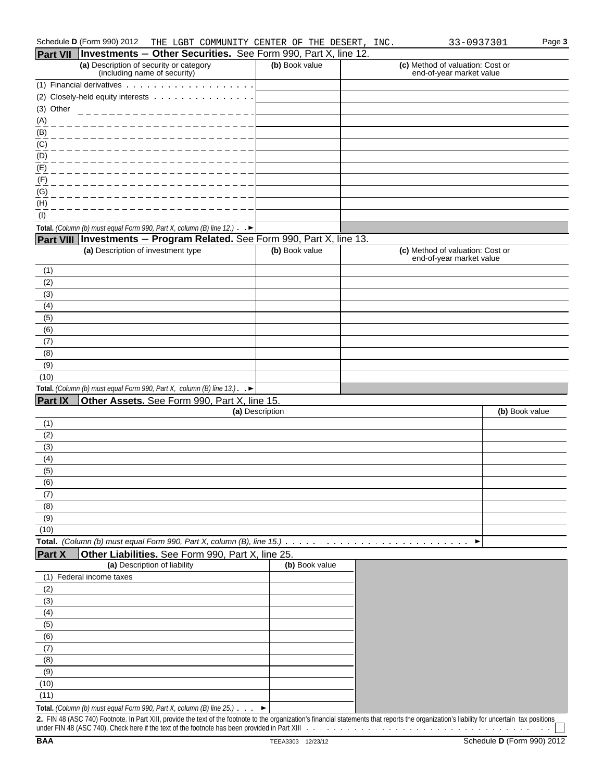### Schedule D (Form 990) 2012 THE LGBT COMMUNITY CENTER OF THE DESERT, INC. 33-0937301 Page 3

|                                     | Part VII   Investments - Other Securities. See Form 990, Part X, line 12.                                                                                                                     |                   |                                                              |                            |
|-------------------------------------|-----------------------------------------------------------------------------------------------------------------------------------------------------------------------------------------------|-------------------|--------------------------------------------------------------|----------------------------|
|                                     | (a) Description of security or category<br>(including name of security)                                                                                                                       | (b) Book value    | (c) Method of valuation: Cost or<br>end-of-year market value |                            |
|                                     | (1) Financial derivatives $\ldots$ , $\ldots$ ,                                                                                                                                               |                   |                                                              |                            |
|                                     | (2) Closely-held equity interests                                                                                                                                                             |                   |                                                              |                            |
| (3) Other                           |                                                                                                                                                                                               |                   |                                                              |                            |
|                                     |                                                                                                                                                                                               |                   |                                                              |                            |
|                                     |                                                                                                                                                                                               |                   |                                                              |                            |
|                                     |                                                                                                                                                                                               |                   |                                                              |                            |
| $\frac{(A)}{(B)}$ $\frac{(C)}{(D)}$ |                                                                                                                                                                                               |                   |                                                              |                            |
| (E)                                 |                                                                                                                                                                                               |                   |                                                              |                            |
| (F)                                 |                                                                                                                                                                                               |                   |                                                              |                            |
| $\underline{(G)}$                   |                                                                                                                                                                                               |                   |                                                              |                            |
| (H)                                 |                                                                                                                                                                                               |                   |                                                              |                            |
| (1)                                 |                                                                                                                                                                                               |                   |                                                              |                            |
|                                     | Total. (Column (b) must equal Form 990, Part X, column (B) line 12.) $\rightarrow$                                                                                                            |                   |                                                              |                            |
|                                     | Part VIII Investments - Program Related. See Form 990, Part X, line 13.                                                                                                                       |                   |                                                              |                            |
|                                     | (a) Description of investment type                                                                                                                                                            | (b) Book value    | (c) Method of valuation: Cost or                             |                            |
|                                     |                                                                                                                                                                                               |                   | end-of-year market value                                     |                            |
| (1)                                 |                                                                                                                                                                                               |                   |                                                              |                            |
| (2)                                 |                                                                                                                                                                                               |                   |                                                              |                            |
| (3)                                 |                                                                                                                                                                                               |                   |                                                              |                            |
| (4)                                 |                                                                                                                                                                                               |                   |                                                              |                            |
| (5)                                 |                                                                                                                                                                                               |                   |                                                              |                            |
| (6)                                 |                                                                                                                                                                                               |                   |                                                              |                            |
| (7)                                 |                                                                                                                                                                                               |                   |                                                              |                            |
| (8)                                 |                                                                                                                                                                                               |                   |                                                              |                            |
| (9)                                 |                                                                                                                                                                                               |                   |                                                              |                            |
| (10)                                |                                                                                                                                                                                               |                   |                                                              |                            |
|                                     | Total. (Column (b) must equal Form 990, Part X, column (B) line $13.$ ). $\blacktriangleright$                                                                                                |                   |                                                              |                            |
| <b>Part IX</b>                      | Other Assets. See Form 990, Part X, line 15.                                                                                                                                                  |                   |                                                              |                            |
|                                     |                                                                                                                                                                                               | (a) Description   |                                                              | (b) Book value             |
| (1)                                 |                                                                                                                                                                                               |                   |                                                              |                            |
| (2)                                 |                                                                                                                                                                                               |                   |                                                              |                            |
| (3)                                 |                                                                                                                                                                                               |                   |                                                              |                            |
| (4)                                 |                                                                                                                                                                                               |                   |                                                              |                            |
| (5)                                 |                                                                                                                                                                                               |                   |                                                              |                            |
| (6)                                 |                                                                                                                                                                                               |                   |                                                              |                            |
| (7)                                 |                                                                                                                                                                                               |                   |                                                              |                            |
| (8)                                 |                                                                                                                                                                                               |                   |                                                              |                            |
| (9)                                 |                                                                                                                                                                                               |                   |                                                              |                            |
| (10)                                |                                                                                                                                                                                               |                   |                                                              |                            |
|                                     | Total. (Column (b) must equal Form 990, Part X, column (B), line 15.)                                                                                                                         |                   | ▶                                                            |                            |
| <b>Part X</b>                       | Other Liabilities. See Form 990, Part X, line 25.<br>(a) Description of liability                                                                                                             | (b) Book value    |                                                              |                            |
| (1)                                 | Federal income taxes                                                                                                                                                                          |                   |                                                              |                            |
|                                     |                                                                                                                                                                                               |                   |                                                              |                            |
| (2)                                 |                                                                                                                                                                                               |                   |                                                              |                            |
| (3)                                 |                                                                                                                                                                                               |                   |                                                              |                            |
| (4)<br>(5)                          |                                                                                                                                                                                               |                   |                                                              |                            |
| (6)                                 |                                                                                                                                                                                               |                   |                                                              |                            |
| (7)                                 |                                                                                                                                                                                               |                   |                                                              |                            |
| (8)                                 |                                                                                                                                                                                               |                   |                                                              |                            |
|                                     |                                                                                                                                                                                               |                   |                                                              |                            |
| (9)                                 |                                                                                                                                                                                               |                   |                                                              |                            |
| (10)                                |                                                                                                                                                                                               |                   |                                                              |                            |
| (11)                                |                                                                                                                                                                                               |                   |                                                              |                            |
|                                     | Total. (Column (b) must equal Form 990, Part X, column (B) line 25.)                                                                                                                          | ▶                 |                                                              |                            |
|                                     | 2. FIN 48 (ASC 740) Footnote. In Part XIII, provide the text of the footnote to the organization's financial statements that reports the organization's liability for uncertain tax positions |                   |                                                              |                            |
| <b>BAA</b>                          |                                                                                                                                                                                               | TEEA3303 12/23/12 |                                                              | Schedule D (Form 990) 2012 |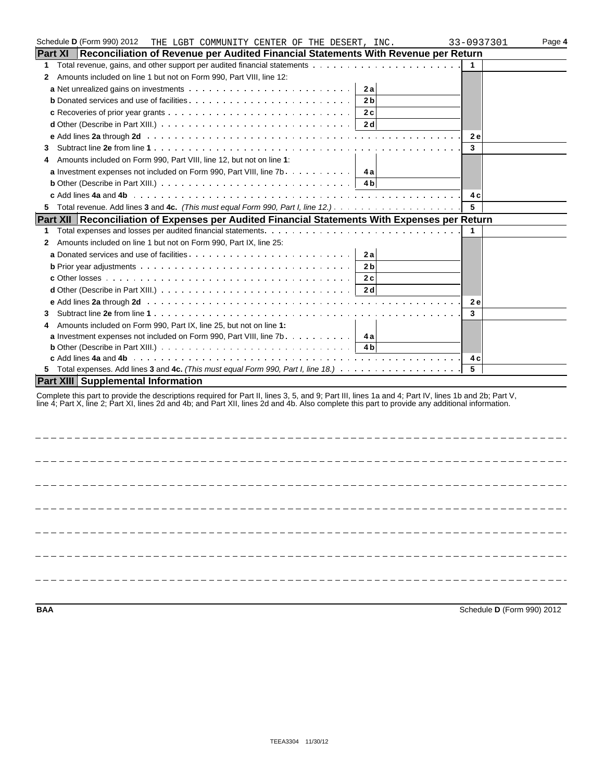|                | Schedule D (Form 990) 2012<br>THE LGBT COMMUNITY CENTER OF THE DESERT, INC.                                                                                                                                                                                                                            | 33-0937301 | Page 4 |
|----------------|--------------------------------------------------------------------------------------------------------------------------------------------------------------------------------------------------------------------------------------------------------------------------------------------------------|------------|--------|
| <b>Part XI</b> | Reconciliation of Revenue per Audited Financial Statements With Revenue per Return                                                                                                                                                                                                                     |            |        |
| 1              |                                                                                                                                                                                                                                                                                                        | 1          |        |
| 2              | Amounts included on line 1 but not on Form 990, Part VIII, line 12:                                                                                                                                                                                                                                    |            |        |
|                | 2a                                                                                                                                                                                                                                                                                                     |            |        |
|                | 2 <sub>b</sub>                                                                                                                                                                                                                                                                                         |            |        |
|                | 2c                                                                                                                                                                                                                                                                                                     |            |        |
|                | 2 d                                                                                                                                                                                                                                                                                                    |            |        |
|                |                                                                                                                                                                                                                                                                                                        | <b>2e</b>  |        |
| 3              |                                                                                                                                                                                                                                                                                                        | 3          |        |
| 4              | Amounts included on Form 990, Part VIII, line 12, but not on line 1:                                                                                                                                                                                                                                   |            |        |
|                | <b>a</b> Investment expenses not included on Form 990, Part VIII, line $7b$<br>4 a                                                                                                                                                                                                                     |            |        |
|                | <b>b</b> Other (Describe in Part XIII.) $\ldots \ldots \ldots \ldots \ldots \ldots \ldots \ldots \ldots \ldots \ldots$<br>4 b                                                                                                                                                                          |            |        |
|                |                                                                                                                                                                                                                                                                                                        | 4 c        |        |
| 5              |                                                                                                                                                                                                                                                                                                        | 5          |        |
|                | Part XII Reconciliation of Expenses per Audited Financial Statements With Expenses per Return                                                                                                                                                                                                          |            |        |
| 1.             |                                                                                                                                                                                                                                                                                                        | 1          |        |
| 2              | Amounts included on line 1 but not on Form 990, Part IX, line 25:                                                                                                                                                                                                                                      |            |        |
|                | 2a                                                                                                                                                                                                                                                                                                     |            |        |
|                | 2 <sub>b</sub>                                                                                                                                                                                                                                                                                         |            |        |
|                | 2c                                                                                                                                                                                                                                                                                                     |            |        |
|                | 2 d                                                                                                                                                                                                                                                                                                    |            |        |
|                |                                                                                                                                                                                                                                                                                                        | <b>2e</b>  |        |
| 3              |                                                                                                                                                                                                                                                                                                        | 3          |        |
| 4              | Amounts included on Form 990, Part IX, line 25, but not on line 1:                                                                                                                                                                                                                                     |            |        |
|                |                                                                                                                                                                                                                                                                                                        |            |        |
|                | <b>b</b> Other (Describe in Part XIII.) $\ldots \ldots \ldots \ldots \ldots \ldots \ldots \ldots \ldots \ldots \ldots$                                                                                                                                                                                 |            |        |
|                |                                                                                                                                                                                                                                                                                                        | 4 с        |        |
|                |                                                                                                                                                                                                                                                                                                        | 5          |        |
|                | <b>Part XIII Supplemental Information</b>                                                                                                                                                                                                                                                              |            |        |
|                | Complete this part to provide the descriptions required for Part II, lines 3, 5, and 9; Part III, lines 1a and 4; Part IV, lines 1b and 2b; Part V,<br>line 4; Part X, line 2; Part XI, lines 2d and 4b; and Part XII, lines 2d and 4b. Also complete this part to provide any additional information. |            |        |
|                |                                                                                                                                                                                                                                                                                                        |            |        |
|                |                                                                                                                                                                                                                                                                                                        |            |        |
|                |                                                                                                                                                                                                                                                                                                        |            |        |
|                |                                                                                                                                                                                                                                                                                                        |            |        |
|                |                                                                                                                                                                                                                                                                                                        |            |        |
|                |                                                                                                                                                                                                                                                                                                        |            |        |

**BAA** Schedule **D** (Form 990) 2012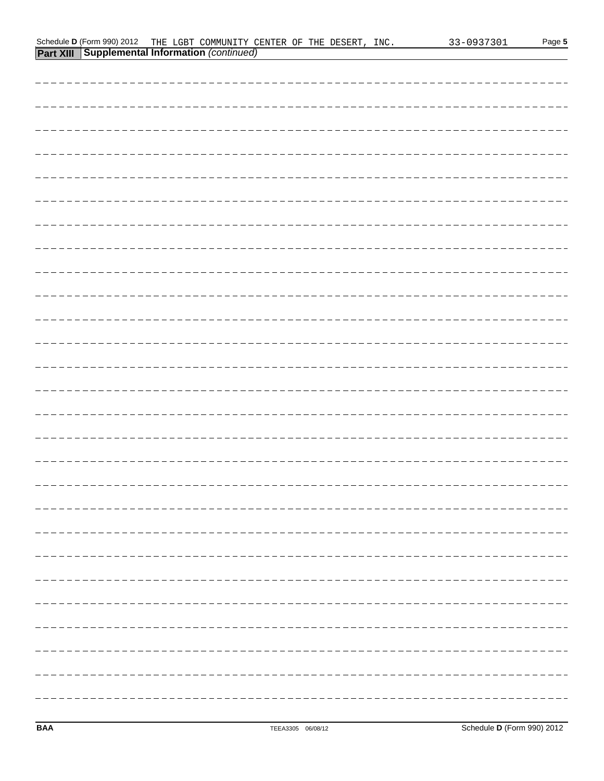| <b>Part XIII   Supplemental Information (continued)</b> |
|---------------------------------------------------------|
|                                                         |
|                                                         |
|                                                         |
|                                                         |
|                                                         |
|                                                         |
|                                                         |
|                                                         |
|                                                         |
|                                                         |
|                                                         |
|                                                         |
|                                                         |
|                                                         |
|                                                         |
|                                                         |
|                                                         |
|                                                         |
|                                                         |
|                                                         |
|                                                         |
|                                                         |
|                                                         |
|                                                         |
|                                                         |
|                                                         |
|                                                         |
|                                                         |

Schedule D(Form 990) 2012 THE LGBT COMMUNITY CENTER OF THE DESERT, INC. 33-0937301 Page 5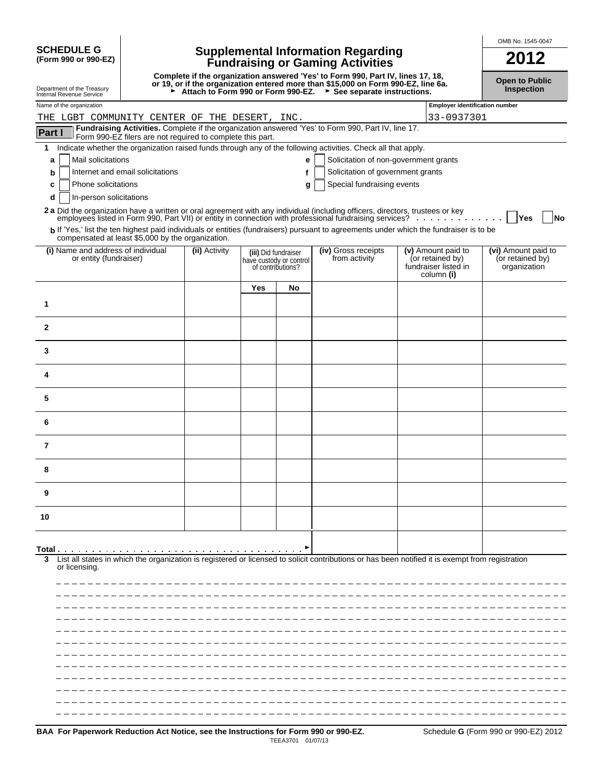| <b>SCHEDULE G</b>    |  |  |
|----------------------|--|--|
| (Form 990 or 990-F7) |  |  |

# **SCHEDULE G Supplemental Information Regarding (Form 990 or 990-EZ) Fundraising or Gaming Activities 2012**

Complete if the organization answered 'Yes' to Form 990, Part IV, lines 17, 18,<br>Department of the Treasury or 19, or if the organization entered more than \$15,000 on Form 990-EZ, line 6a.<br>Attach to Form 990 or Form 990-EZ

OMB No. 1545-0047

| Name of the organization                                                                                                                                                                                                       |               |     |                                              |                                       | <b>Employer identification number</b>                                                      |                     |
|--------------------------------------------------------------------------------------------------------------------------------------------------------------------------------------------------------------------------------|---------------|-----|----------------------------------------------|---------------------------------------|--------------------------------------------------------------------------------------------|---------------------|
| THE LGBT COMMUNITY CENTER OF THE DESERT, INC.                                                                                                                                                                                  |               |     |                                              |                                       | 33-0937301                                                                                 |                     |
| Fundraising Activities. Complete if the organization answered 'Yes' to Form 990, Part IV, line 17.<br>Part I<br>Form 990-EZ filers are not required to complete this part.                                                     |               |     |                                              |                                       |                                                                                            |                     |
| Indicate whether the organization raised funds through any of the following activities. Check all that apply.<br>1                                                                                                             |               |     |                                              |                                       |                                                                                            |                     |
| Mail solicitations<br>a                                                                                                                                                                                                        |               |     | е                                            | Solicitation of non-government grants |                                                                                            |                     |
| Internet and email solicitations<br>b                                                                                                                                                                                          |               |     | f                                            | Solicitation of government grants     |                                                                                            |                     |
| Phone solicitations<br>c                                                                                                                                                                                                       |               |     | g                                            | Special fundraising events            |                                                                                            |                     |
|                                                                                                                                                                                                                                |               |     |                                              |                                       |                                                                                            |                     |
| In-person solicitations<br>d                                                                                                                                                                                                   |               |     |                                              |                                       |                                                                                            |                     |
| 2a Did the organization have a written or oral agreement with any individual (including officers, directors, trustees or key employees listed in Form 990, Part VII) or entity in connection with professional fundraising ser |               |     |                                              |                                       |                                                                                            | Yes<br><b>No</b>    |
| b If 'Yes,' list the ten highest paid individuals or entities (fundraisers) pursuant to agreements under which the fundraiser is to be<br>compensated at least \$5,000 by the organization.                                    |               |     |                                              |                                       |                                                                                            |                     |
| (i) Name and address of individual                                                                                                                                                                                             | (ii) Activity |     | (iii) Did fundraiser                         | (iv) Gross receipts                   | (v) Amount paid to                                                                         | (vi) Amount paid to |
| or entity (fundraiser)                                                                                                                                                                                                         |               |     | have custody or control<br>of contributions? | from activity                         | (or retained by)<br>(or retained by)<br>fundraiser listed in<br>organization<br>column (i) |                     |
|                                                                                                                                                                                                                                |               | Yes | No                                           |                                       |                                                                                            |                     |
| 1                                                                                                                                                                                                                              |               |     |                                              |                                       |                                                                                            |                     |
| $\mathbf{2}$                                                                                                                                                                                                                   |               |     |                                              |                                       |                                                                                            |                     |
| 3                                                                                                                                                                                                                              |               |     |                                              |                                       |                                                                                            |                     |
| 4                                                                                                                                                                                                                              |               |     |                                              |                                       |                                                                                            |                     |
| 5                                                                                                                                                                                                                              |               |     |                                              |                                       |                                                                                            |                     |
| 6                                                                                                                                                                                                                              |               |     |                                              |                                       |                                                                                            |                     |
| 7                                                                                                                                                                                                                              |               |     |                                              |                                       |                                                                                            |                     |
| 8                                                                                                                                                                                                                              |               |     |                                              |                                       |                                                                                            |                     |
| 9                                                                                                                                                                                                                              |               |     |                                              |                                       |                                                                                            |                     |
| 10                                                                                                                                                                                                                             |               |     |                                              |                                       |                                                                                            |                     |
|                                                                                                                                                                                                                                |               |     |                                              |                                       |                                                                                            |                     |
| List all states in which the organization is registered or licensed to solicit contributions or has been notified it is exempt from registration<br>3                                                                          |               |     |                                              |                                       |                                                                                            |                     |
| or licensing.                                                                                                                                                                                                                  |               |     |                                              |                                       |                                                                                            |                     |
|                                                                                                                                                                                                                                |               |     |                                              |                                       |                                                                                            |                     |
|                                                                                                                                                                                                                                |               |     |                                              |                                       |                                                                                            |                     |
|                                                                                                                                                                                                                                |               |     |                                              |                                       |                                                                                            |                     |
|                                                                                                                                                                                                                                |               |     |                                              |                                       |                                                                                            |                     |
|                                                                                                                                                                                                                                |               |     |                                              |                                       |                                                                                            |                     |
|                                                                                                                                                                                                                                |               |     |                                              |                                       |                                                                                            |                     |
|                                                                                                                                                                                                                                |               |     |                                              |                                       |                                                                                            |                     |
|                                                                                                                                                                                                                                |               |     |                                              |                                       |                                                                                            |                     |
|                                                                                                                                                                                                                                |               |     |                                              |                                       |                                                                                            |                     |
|                                                                                                                                                                                                                                |               |     |                                              |                                       |                                                                                            |                     |
|                                                                                                                                                                                                                                |               |     |                                              |                                       |                                                                                            |                     |
|                                                                                                                                                                                                                                |               |     |                                              |                                       |                                                                                            |                     |
|                                                                                                                                                                                                                                |               |     |                                              |                                       |                                                                                            |                     |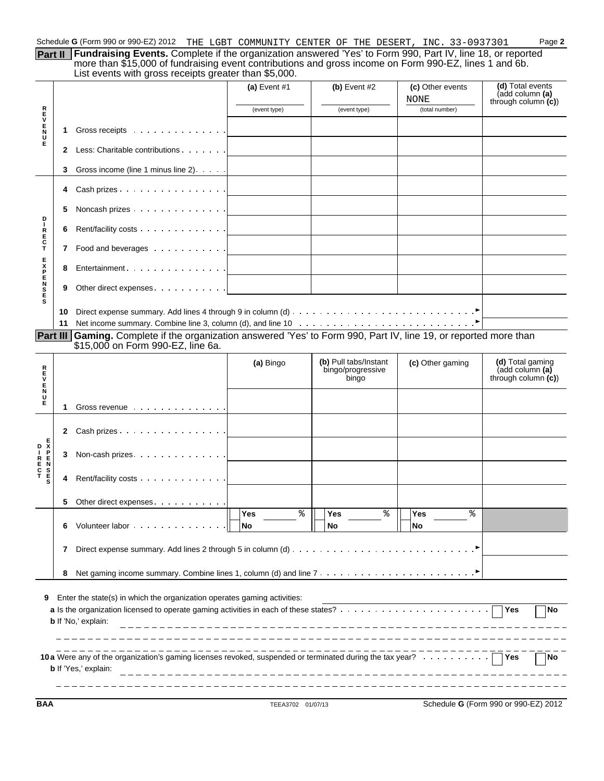**Part II** Fundraising Events. Complete if the organization answered 'Yes' to Form 990, Part IV, line 18, or reported more than \$15,000 of fundraising event contributions and gross income on Form 990-EZ, lines 1 and 6b. List events with gross receipts greater than \$5,000.

|                                                                                   |                                   | $\frac{1}{2}$                                                                                            |                                     |                                                     |                          |                                                               |  |  |
|-----------------------------------------------------------------------------------|-----------------------------------|----------------------------------------------------------------------------------------------------------|-------------------------------------|-----------------------------------------------------|--------------------------|---------------------------------------------------------------|--|--|
|                                                                                   |                                   |                                                                                                          | (a) Event $#1$                      | (b) Event $#2$                                      | (c) Other events<br>NONE | (d) Total events<br>(add column (a)<br>through column $(c)$ ) |  |  |
|                                                                                   |                                   |                                                                                                          | (event type)                        | (event type)                                        | (total number)           |                                                               |  |  |
| <b>REVENU</b>                                                                     |                                   |                                                                                                          |                                     |                                                     |                          |                                                               |  |  |
|                                                                                   | 1                                 | Gross receipts                                                                                           |                                     |                                                     |                          |                                                               |  |  |
| Е                                                                                 | 2                                 | Less: Charitable contributions                                                                           |                                     |                                                     |                          |                                                               |  |  |
|                                                                                   | З                                 | Gross income (line 1 minus line 2)                                                                       |                                     |                                                     |                          |                                                               |  |  |
|                                                                                   | 4                                 | Cash prizes                                                                                              |                                     |                                                     |                          |                                                               |  |  |
| D                                                                                 | 5                                 | Noncash prizes                                                                                           |                                     |                                                     |                          |                                                               |  |  |
| ı<br>$_{E}^{R}$                                                                   | 6                                 | Rent/facility costs                                                                                      |                                     |                                                     |                          |                                                               |  |  |
| $\frac{\mathsf{C}}{\mathsf{T}}$                                                   | 7                                 | Food and beverages $\cdots$                                                                              |                                     |                                                     |                          |                                                               |  |  |
|                                                                                   | 8                                 | Entertainment 1                                                                                          |                                     |                                                     |                          |                                                               |  |  |
| <b>MARNA</b>                                                                      | 9                                 | Other direct expenses                                                                                    | the contract of the contract of the |                                                     |                          |                                                               |  |  |
| s                                                                                 | 10                                |                                                                                                          |                                     |                                                     |                          |                                                               |  |  |
|                                                                                   | 11                                |                                                                                                          |                                     |                                                     |                          |                                                               |  |  |
| Part III                                                                          |                                   | Gaming. Complete if the organization answered 'Yes' to Form 990, Part IV, line 19, or reported more than |                                     |                                                     |                          |                                                               |  |  |
|                                                                                   |                                   | \$15,000 on Form 990-EZ, line 6a.                                                                        |                                     |                                                     |                          |                                                               |  |  |
| トロンドイラ                                                                            |                                   |                                                                                                          | (a) Bingo                           | (b) Pull tabs/Instant<br>bingo/progressive<br>bingo | (c) Other gaming         | (d) Total gaming<br>(add column (a)<br>through column $(c)$   |  |  |
|                                                                                   | 1                                 | Gross revenue                                                                                            |                                     |                                                     |                          |                                                               |  |  |
|                                                                                   | 2                                 | Cash prizes                                                                                              |                                     |                                                     |                          |                                                               |  |  |
| $\begin{bmatrix} 0 & \bar{x} \\ \bar{y} & \bar{x} \end{bmatrix}$<br>$\frac{p}{E}$ | 3                                 | Non-cash prizes.                                                                                         |                                     |                                                     |                          |                                                               |  |  |
| R E<br>C<br>T<br>T<br>S                                                           | 4                                 | Rent/facility costs                                                                                      |                                     |                                                     |                          |                                                               |  |  |
|                                                                                   | 5.                                | Other direct expenses.                                                                                   |                                     |                                                     |                          |                                                               |  |  |
|                                                                                   | 6                                 | Volunteer labor                                                                                          | ిం<br><b>Yes</b><br>No              | ್ಠಿ<br>Yes<br>No                                    | ిం<br>Yes<br><b>No</b>   |                                                               |  |  |
|                                                                                   |                                   |                                                                                                          |                                     |                                                     |                          |                                                               |  |  |
|                                                                                   | 7                                 |                                                                                                          |                                     |                                                     |                          |                                                               |  |  |
|                                                                                   | 8                                 |                                                                                                          |                                     |                                                     |                          |                                                               |  |  |
| 9                                                                                 |                                   | Enter the state(s) in which the organization operates gaming activities:<br><b>b</b> If 'No,' explain:   |                                     |                                                     |                          | $\sqsupset$ Yes<br><b>No</b>                                  |  |  |
|                                                                                   | No<br><b>b</b> If 'Yes,' explain: |                                                                                                          |                                     |                                                     |                          |                                                               |  |  |

**BAA** TEEA3702 01/07/13 Schedule **G** (Form 990 or 990-EZ) 2012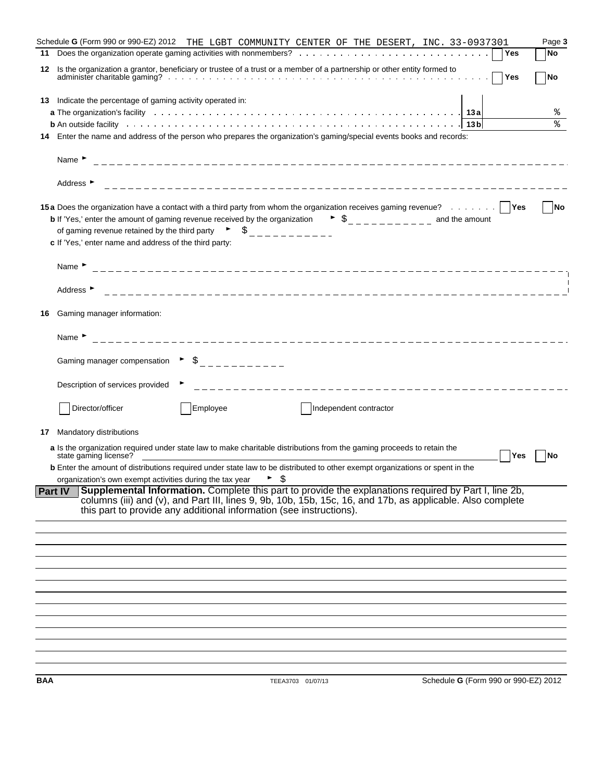|                                   |                                                        |                                                                                                                                                                                                                                                                                                                                  | Schedule G (Form 990 or 990-EZ) 2012 THE LGBT COMMUNITY CENTER OF THE DESERT, INC. 33-0937301                                                                                                                                                                                              |                                      |            | Page 3    |
|-----------------------------------|--------------------------------------------------------|----------------------------------------------------------------------------------------------------------------------------------------------------------------------------------------------------------------------------------------------------------------------------------------------------------------------------------|--------------------------------------------------------------------------------------------------------------------------------------------------------------------------------------------------------------------------------------------------------------------------------------------|--------------------------------------|------------|-----------|
|                                   |                                                        |                                                                                                                                                                                                                                                                                                                                  |                                                                                                                                                                                                                                                                                            |                                      | Yes        | No        |
| 12                                |                                                        |                                                                                                                                                                                                                                                                                                                                  | Is the organization a grantor, beneficiary or trustee of a trust or a member of a partnership or other entity formed to                                                                                                                                                                    |                                      | Yes        | <b>No</b> |
|                                   |                                                        | 13 Indicate the percentage of gaming activity operated in:                                                                                                                                                                                                                                                                       |                                                                                                                                                                                                                                                                                            |                                      |            |           |
|                                   |                                                        |                                                                                                                                                                                                                                                                                                                                  | a The organization's facility enterpresent on the content of the content of the content of the content of the c                                                                                                                                                                            |                                      |            | ိဝ        |
|                                   |                                                        |                                                                                                                                                                                                                                                                                                                                  |                                                                                                                                                                                                                                                                                            | 13 bl                                |            | ⊱         |
|                                   |                                                        |                                                                                                                                                                                                                                                                                                                                  | Enter the name and address of the person who prepares the organization's gaming/special events books and records:                                                                                                                                                                          |                                      |            |           |
| Name $\blacktriangleright$        |                                                        |                                                                                                                                                                                                                                                                                                                                  |                                                                                                                                                                                                                                                                                            |                                      |            |           |
| Address ▶                         |                                                        |                                                                                                                                                                                                                                                                                                                                  |                                                                                                                                                                                                                                                                                            |                                      |            |           |
|                                   |                                                        |                                                                                                                                                                                                                                                                                                                                  | 15a Does the organization have a contact with a third party from whom the organization receives gaming revenue?   Yes                                                                                                                                                                      |                                      |            | <b>No</b> |
|                                   |                                                        |                                                                                                                                                                                                                                                                                                                                  | <b>b</b> If 'Yes,' enter the amount of gaming revenue received by the organization $\bullet$ $\circ$                                                                                                                                                                                       |                                      |            |           |
|                                   |                                                        |                                                                                                                                                                                                                                                                                                                                  | of gaming revenue retained by the third party $\qquad \qquad \frac{1}{2}$ $\qquad \frac{1}{2}$ $\qquad \frac{1}{2}$ $\qquad \frac{1}{2}$ $\qquad \frac{1}{2}$                                                                                                                              |                                      |            |           |
|                                   | c If 'Yes,' enter name and address of the third party: |                                                                                                                                                                                                                                                                                                                                  |                                                                                                                                                                                                                                                                                            |                                      |            |           |
| Name $\blacktriangleright$        |                                                        |                                                                                                                                                                                                                                                                                                                                  |                                                                                                                                                                                                                                                                                            |                                      |            |           |
| Address $\blacktriangleright$     |                                                        |                                                                                                                                                                                                                                                                                                                                  |                                                                                                                                                                                                                                                                                            |                                      |            |           |
| Gaming manager information:<br>16 |                                                        |                                                                                                                                                                                                                                                                                                                                  |                                                                                                                                                                                                                                                                                            |                                      |            |           |
| Name $\blacktriangleright$        |                                                        |                                                                                                                                                                                                                                                                                                                                  |                                                                                                                                                                                                                                                                                            |                                      |            |           |
|                                   |                                                        | Gaming manager compensation $\qquad \qquad$ $\qquad$ $\qquad \qquad$ $\qquad$ $\qquad$ $\qquad$ $\qquad$ $\qquad$ $\qquad$ $\qquad$ $\qquad$ $\qquad$ $\qquad$ $\qquad$ $\qquad$ $\qquad$ $\qquad$ $\qquad$ $\qquad$ $\qquad$ $\qquad$ $\qquad$ $\qquad$ $\qquad$ $\qquad$ $\qquad$ $\qquad$ $\qquad$ $\qquad$ $\qquad$ $\qquad$ |                                                                                                                                                                                                                                                                                            |                                      |            |           |
|                                   | Description of services provided                       |                                                                                                                                                                                                                                                                                                                                  |                                                                                                                                                                                                                                                                                            |                                      |            |           |
| Director/officer                  |                                                        | Employee                                                                                                                                                                                                                                                                                                                         | Independent contractor                                                                                                                                                                                                                                                                     |                                      |            |           |
| Mandatory distributions<br>17     |                                                        |                                                                                                                                                                                                                                                                                                                                  |                                                                                                                                                                                                                                                                                            |                                      |            |           |
|                                   |                                                        |                                                                                                                                                                                                                                                                                                                                  | a Is the organization required under state law to make charitable distributions from the gaming proceeds to retain the                                                                                                                                                                     |                                      |            |           |
| state gaming license?             |                                                        |                                                                                                                                                                                                                                                                                                                                  | <b>b</b> Enter the amount of distributions required under state law to be distributed to other exempt organizations or spent in the                                                                                                                                                        |                                      | <b>Yes</b> | <b>No</b> |
|                                   |                                                        | organization's own exempt activities during the tax year $\blacktriangleright$ $\varsigma$                                                                                                                                                                                                                                       |                                                                                                                                                                                                                                                                                            |                                      |            |           |
| <b>Part IV</b>                    |                                                        |                                                                                                                                                                                                                                                                                                                                  | Supplemental Information. Complete this part to provide the explanations required by Part I, line 2b,<br>columns (iii) and (v), and Part III, lines 9, 9b, 10b, 15b, 15c, 16, and 17b, as applicable. Also complete<br>this part to provide any additional information (see instructions). |                                      |            |           |
|                                   |                                                        |                                                                                                                                                                                                                                                                                                                                  |                                                                                                                                                                                                                                                                                            |                                      |            |           |
|                                   |                                                        |                                                                                                                                                                                                                                                                                                                                  |                                                                                                                                                                                                                                                                                            |                                      |            |           |
|                                   |                                                        |                                                                                                                                                                                                                                                                                                                                  |                                                                                                                                                                                                                                                                                            |                                      |            |           |
|                                   |                                                        |                                                                                                                                                                                                                                                                                                                                  |                                                                                                                                                                                                                                                                                            |                                      |            |           |
|                                   |                                                        |                                                                                                                                                                                                                                                                                                                                  |                                                                                                                                                                                                                                                                                            |                                      |            |           |
|                                   |                                                        |                                                                                                                                                                                                                                                                                                                                  |                                                                                                                                                                                                                                                                                            |                                      |            |           |
|                                   |                                                        |                                                                                                                                                                                                                                                                                                                                  |                                                                                                                                                                                                                                                                                            |                                      |            |           |
|                                   |                                                        |                                                                                                                                                                                                                                                                                                                                  |                                                                                                                                                                                                                                                                                            |                                      |            |           |
|                                   |                                                        |                                                                                                                                                                                                                                                                                                                                  |                                                                                                                                                                                                                                                                                            |                                      |            |           |
| BAA                               |                                                        |                                                                                                                                                                                                                                                                                                                                  | TEEA3703 01/07/13                                                                                                                                                                                                                                                                          | Schedule G (Form 990 or 990-EZ) 2012 |            |           |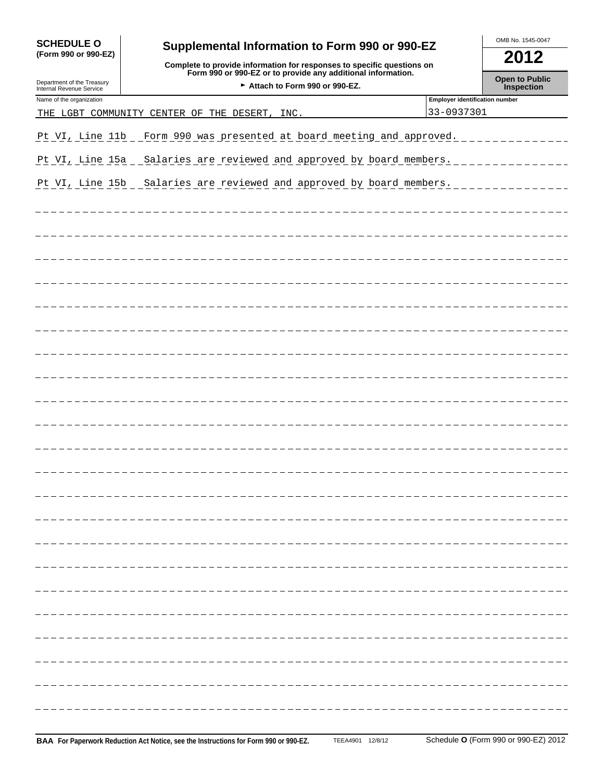| <b>SCHEDULE O</b>                                      |                                                                                                                                                                                          | OMB No. 1545-0047                     |                                     |  |
|--------------------------------------------------------|------------------------------------------------------------------------------------------------------------------------------------------------------------------------------------------|---------------------------------------|-------------------------------------|--|
| (Form 990 or 990-EZ)                                   | Supplemental Information to Form 990 or 990-EZ<br>Complete to provide information for responses to specific questions on<br>Form 990 or 990-EZ or to provide any additional information. |                                       | 2012                                |  |
| Department of the Treasury<br>Internal Revenue Service | Attach to Form 990 or 990-EZ.                                                                                                                                                            |                                       | <b>Open to Public</b><br>Inspection |  |
| Name of the organization                               |                                                                                                                                                                                          | <b>Employer identification number</b> |                                     |  |
|                                                        | THE LGBT COMMUNITY CENTER OF THE<br>DESERT,<br>INC.                                                                                                                                      | 33-0937301                            |                                     |  |
| Pt VI, Line 11b                                        | Form 990 was presented at board meeting and approved.                                                                                                                                    |                                       |                                     |  |
| Pt VI, Line 15a                                        | Salaries are reviewed and approved by board members.                                                                                                                                     |                                       |                                     |  |
| Pt VI, Line 15b                                        | Salaries are reviewed and approved by board members.                                                                                                                                     |                                       |                                     |  |
|                                                        |                                                                                                                                                                                          |                                       |                                     |  |
|                                                        |                                                                                                                                                                                          |                                       |                                     |  |
|                                                        |                                                                                                                                                                                          |                                       |                                     |  |
|                                                        |                                                                                                                                                                                          |                                       |                                     |  |
|                                                        |                                                                                                                                                                                          |                                       |                                     |  |
|                                                        |                                                                                                                                                                                          |                                       |                                     |  |
|                                                        |                                                                                                                                                                                          |                                       |                                     |  |
|                                                        |                                                                                                                                                                                          |                                       |                                     |  |
|                                                        |                                                                                                                                                                                          |                                       |                                     |  |
|                                                        |                                                                                                                                                                                          |                                       |                                     |  |
|                                                        |                                                                                                                                                                                          |                                       |                                     |  |
|                                                        |                                                                                                                                                                                          |                                       |                                     |  |
|                                                        |                                                                                                                                                                                          |                                       |                                     |  |
|                                                        |                                                                                                                                                                                          |                                       |                                     |  |
|                                                        |                                                                                                                                                                                          |                                       |                                     |  |
|                                                        |                                                                                                                                                                                          |                                       |                                     |  |
|                                                        |                                                                                                                                                                                          |                                       |                                     |  |
|                                                        |                                                                                                                                                                                          |                                       |                                     |  |
|                                                        |                                                                                                                                                                                          |                                       |                                     |  |
|                                                        |                                                                                                                                                                                          |                                       |                                     |  |
|                                                        |                                                                                                                                                                                          |                                       |                                     |  |
|                                                        |                                                                                                                                                                                          |                                       |                                     |  |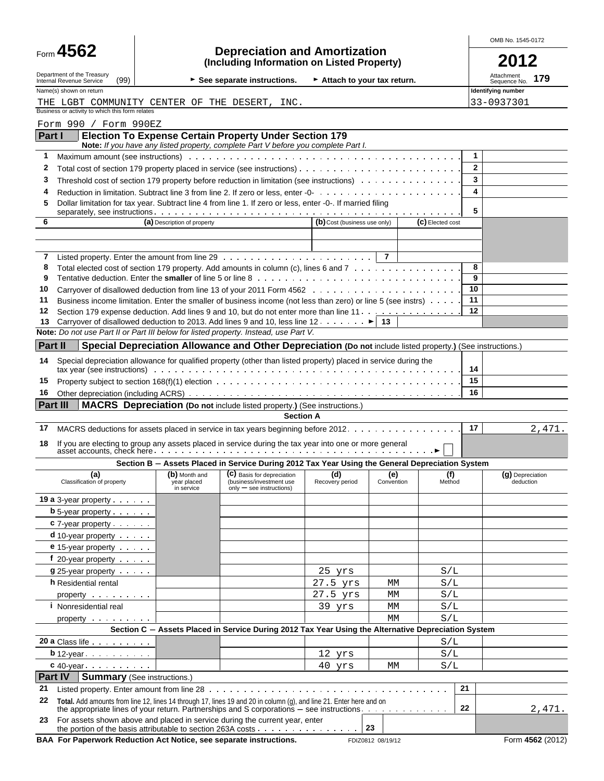|                                                                                                  |                                                                                                            |                                                                                                                                                                                                                                                                                                                                                   |                              |                   |                  | OMB No. 1545-0172              |                                   |  |
|--------------------------------------------------------------------------------------------------|------------------------------------------------------------------------------------------------------------|---------------------------------------------------------------------------------------------------------------------------------------------------------------------------------------------------------------------------------------------------------------------------------------------------------------------------------------------------|------------------------------|-------------------|------------------|--------------------------------|-----------------------------------|--|
| Form 4562                                                                                        |                                                                                                            | <b>Depreciation and Amortization</b><br>(Including Information on Listed Property)                                                                                                                                                                                                                                                                |                              |                   |                  |                                | 2012                              |  |
| Department of the Treasury<br>(99)<br>Internal Revenue Service                                   |                                                                                                            | See separate instructions.                                                                                                                                                                                                                                                                                                                        | Attach to your tax return.   |                   |                  |                                | Attachment<br>179<br>Sequence No. |  |
| Name(s) shown on return                                                                          |                                                                                                            |                                                                                                                                                                                                                                                                                                                                                   |                              |                   |                  |                                | Identifying number                |  |
| THE LGBT COMMUNITY CENTER OF THE DESERT, INC.<br>Business or activity to which this form relates |                                                                                                            |                                                                                                                                                                                                                                                                                                                                                   |                              |                   |                  |                                | 33-0937301                        |  |
| Form 990 / Form 990EZ                                                                            |                                                                                                            |                                                                                                                                                                                                                                                                                                                                                   |                              |                   |                  |                                |                                   |  |
| Part I                                                                                           |                                                                                                            | <b>Election To Expense Certain Property Under Section 179</b>                                                                                                                                                                                                                                                                                     |                              |                   |                  |                                |                                   |  |
|                                                                                                  |                                                                                                            | Note: If you have any listed property, complete Part V before you complete Part I.                                                                                                                                                                                                                                                                |                              |                   |                  |                                |                                   |  |
| 1                                                                                                |                                                                                                            | Maximum amount (see instructions) with the content of the content of the content of the content of the content of the content of the content of the content of the content of the content of the content of the content of the                                                                                                                    |                              |                   |                  | $\mathbf{1}$<br>$\overline{2}$ |                                   |  |
| 2<br>3                                                                                           |                                                                                                            | Threshold cost of section 179 property before reduction in limitation (see instructions)                                                                                                                                                                                                                                                          |                              |                   |                  | 3                              |                                   |  |
| 4                                                                                                |                                                                                                            |                                                                                                                                                                                                                                                                                                                                                   |                              |                   |                  | 4                              |                                   |  |
| 5                                                                                                | Dollar limitation for tax year. Subtract line 4 from line 1. If zero or less, enter -0-. If married filing |                                                                                                                                                                                                                                                                                                                                                   |                              |                   |                  |                                |                                   |  |
| 6                                                                                                | (a) Description of property                                                                                |                                                                                                                                                                                                                                                                                                                                                   | (b) Cost (business use only) |                   | (C) Elected cost |                                |                                   |  |
|                                                                                                  |                                                                                                            |                                                                                                                                                                                                                                                                                                                                                   |                              |                   |                  |                                |                                   |  |
| 7                                                                                                |                                                                                                            |                                                                                                                                                                                                                                                                                                                                                   |                              | $\overline{7}$    |                  |                                |                                   |  |
| 8                                                                                                |                                                                                                            | Total elected cost of section 179 property. Add amounts in column (c), lines 6 and 7                                                                                                                                                                                                                                                              |                              |                   |                  | 8                              |                                   |  |
| 9                                                                                                |                                                                                                            |                                                                                                                                                                                                                                                                                                                                                   |                              |                   |                  | 9                              |                                   |  |
| 10                                                                                               |                                                                                                            |                                                                                                                                                                                                                                                                                                                                                   |                              |                   |                  | 10                             |                                   |  |
| 11<br>12                                                                                         |                                                                                                            | Business income limitation. Enter the smaller of business income (not less than zero) or line 5 (see instrs)<br>Section 179 expense deduction. Add lines 9 and 10, but do not enter more than line 11.                                                                                                                                            |                              |                   |                  | 11<br>12                       |                                   |  |
| 13                                                                                               |                                                                                                            | Carryover of disallowed deduction to 2013. Add lines 9 and 10, less line 12. $\dots$ . $\blacktriangleright$ 13                                                                                                                                                                                                                                   |                              |                   |                  |                                |                                   |  |
| Note: Do not use Part II or Part III below for listed property. Instead, use Part V.             |                                                                                                            |                                                                                                                                                                                                                                                                                                                                                   |                              |                   |                  |                                |                                   |  |
| Part II                                                                                          |                                                                                                            | Special Depreciation Allowance and Other Depreciation (Do not include listed property.) (See instructions.)                                                                                                                                                                                                                                       |                              |                   |                  |                                |                                   |  |
| 14                                                                                               |                                                                                                            | Special depreciation allowance for qualified property (other than listed property) placed in service during the<br>tax year (see instructions) with the content of the content of the content of the content of the content of the content of the content of the content of the content of the content of the content of the content of the conte |                              |                   |                  | 14                             |                                   |  |
| 15                                                                                               |                                                                                                            |                                                                                                                                                                                                                                                                                                                                                   |                              |                   |                  | 15                             |                                   |  |
| 16                                                                                               |                                                                                                            |                                                                                                                                                                                                                                                                                                                                                   |                              |                   |                  | 16                             |                                   |  |
| Part III                                                                                         |                                                                                                            | <b>MACRS</b> Depreciation (Do not include listed property.) (See instructions.)                                                                                                                                                                                                                                                                   |                              |                   |                  |                                |                                   |  |
|                                                                                                  |                                                                                                            | <b>Section A</b>                                                                                                                                                                                                                                                                                                                                  |                              |                   |                  |                                |                                   |  |
| 17                                                                                               |                                                                                                            | MACRS deductions for assets placed in service in tax years beginning before 2012.                                                                                                                                                                                                                                                                 |                              |                   |                  | 17                             | 2,471.                            |  |
| 18                                                                                               |                                                                                                            |                                                                                                                                                                                                                                                                                                                                                   |                              |                   |                  |                                |                                   |  |
|                                                                                                  |                                                                                                            | Section B - Assets Placed in Service During 2012 Tax Year Using the General Depreciation System                                                                                                                                                                                                                                                   |                              |                   |                  |                                |                                   |  |
| (a)<br>Classification of property                                                                | (b) Month and<br>year placed<br>in service                                                                 | (C) Basis for depreciation<br>(business/investment use<br>$only - see$ instructions)                                                                                                                                                                                                                                                              | (d)<br>Recovery period       | (e)<br>Convention | (f)<br>Method    |                                | (g) Depreciation<br>deduction     |  |
| 19 a 3-year property $\cdots$                                                                    |                                                                                                            |                                                                                                                                                                                                                                                                                                                                                   |                              |                   |                  |                                |                                   |  |
| <b>b</b> 5-year property $\cdots$                                                                |                                                                                                            |                                                                                                                                                                                                                                                                                                                                                   |                              |                   |                  |                                |                                   |  |
| $c$ 7-year property $\ldots$                                                                     |                                                                                                            |                                                                                                                                                                                                                                                                                                                                                   |                              |                   |                  |                                |                                   |  |
| $d$ 10-year property $\cdots$                                                                    |                                                                                                            |                                                                                                                                                                                                                                                                                                                                                   |                              |                   |                  |                                |                                   |  |
| e 15-year property<br>$f$ 20-year property $\cdots$                                              |                                                                                                            |                                                                                                                                                                                                                                                                                                                                                   |                              |                   |                  |                                |                                   |  |
| <b>g</b> 25-year property                                                                        |                                                                                                            |                                                                                                                                                                                                                                                                                                                                                   | 25 yrs                       |                   | S/L              |                                |                                   |  |
| <b>h</b> Residential rental                                                                      |                                                                                                            |                                                                                                                                                                                                                                                                                                                                                   | 27.5 yrs                     | MМ                | $\rm S/L$        |                                |                                   |  |
| property                                                                                         |                                                                                                            |                                                                                                                                                                                                                                                                                                                                                   | 27.5 yrs                     | МM                | S/L              |                                |                                   |  |
| <i>i</i> Nonresidential real                                                                     |                                                                                                            |                                                                                                                                                                                                                                                                                                                                                   | 39 yrs                       | MМ                | $\rm S/L$        |                                |                                   |  |
| property                                                                                         |                                                                                                            |                                                                                                                                                                                                                                                                                                                                                   |                              | МM                | S/L              |                                |                                   |  |
|                                                                                                  |                                                                                                            | Section C - Assets Placed in Service During 2012 Tax Year Using the Alternative Depreciation System                                                                                                                                                                                                                                               |                              |                   |                  |                                |                                   |  |
| 20 a Class life                                                                                  |                                                                                                            |                                                                                                                                                                                                                                                                                                                                                   |                              |                   | S/L              |                                |                                   |  |
| $b$ 12-year $\ldots$ $\ldots$ $\ldots$<br>$c$ 40-year $\ldots$ $\ldots$ $\ldots$                 |                                                                                                            |                                                                                                                                                                                                                                                                                                                                                   | 12 yrs<br>40 yrs             | МM                | S/L<br>S/L       |                                |                                   |  |
| Part IV                                                                                          | <b>Summary</b> (See instructions.)                                                                         |                                                                                                                                                                                                                                                                                                                                                   |                              |                   |                  |                                |                                   |  |
| 21                                                                                               |                                                                                                            |                                                                                                                                                                                                                                                                                                                                                   |                              |                   |                  | 21                             |                                   |  |
| 22                                                                                               |                                                                                                            | Total. Add amounts from line 12, lines 14 through 17, lines 19 and 20 in column (g), and line 21. Enter here and on<br>the appropriate lines of your return. Partnerships and S corporations – see instructions. $\dots \dots \dots \dots$                                                                                                        |                              |                   |                  | 22                             | 2,471.                            |  |
| 23                                                                                               |                                                                                                            | For assets shown above and placed in service during the current year, enter                                                                                                                                                                                                                                                                       |                              | 23                |                  |                                |                                   |  |
| BAA For Paperwork Reduction Act Notice, see separate instructions.                               |                                                                                                            |                                                                                                                                                                                                                                                                                                                                                   |                              | FDIZ0812 08/19/12 |                  |                                | Form 4562 (2012)                  |  |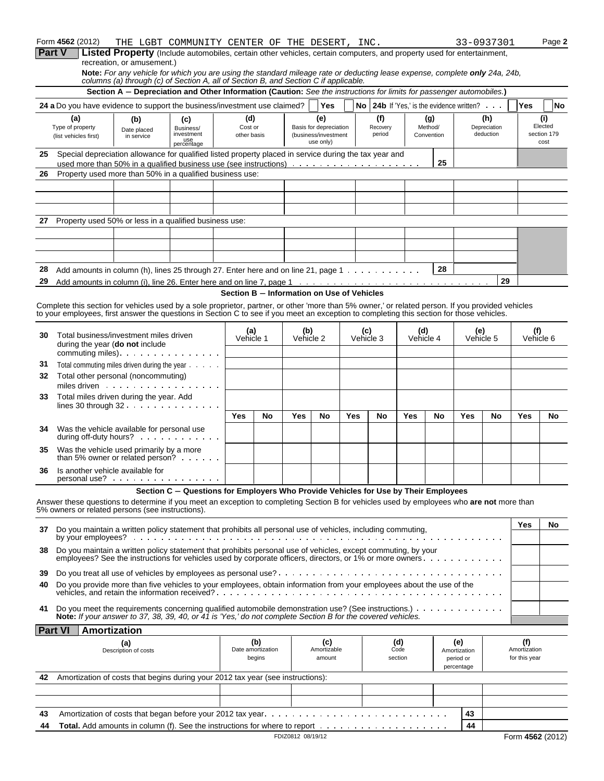|    | Form 4562 (2012)                                                                                                                                  |                                                                                                                                                            | THE LGBT COMMUNITY CENTER OF THE DESERT, INC.                                       |                                            |                   |                   |                                   |            |           |                 |            |                |                                                           | 33-0937301          |               | Page 2              |
|----|---------------------------------------------------------------------------------------------------------------------------------------------------|------------------------------------------------------------------------------------------------------------------------------------------------------------|-------------------------------------------------------------------------------------|--------------------------------------------|-------------------|-------------------|-----------------------------------|------------|-----------|-----------------|------------|----------------|-----------------------------------------------------------|---------------------|---------------|---------------------|
|    | Part V                                                                                                                                            | <b>Listed Property</b> (Include automobiles, certain other vehicles, certain computers, and property used for entertainment,<br>recreation, or amusement.) |                                                                                     |                                            |                   |                   |                                   |            |           |                 |            |                |                                                           |                     |               |                     |
|    |                                                                                                                                                   | Note: For any vehicle for which you are using the standard mileage rate or deducting lease expense, complete only 24a, 24b,                                |                                                                                     |                                            |                   |                   |                                   |            |           |                 |            |                |                                                           |                     |               |                     |
|    |                                                                                                                                                   | columns (a) through (c) of Section A, all of Section B, and Section C if applicable.                                                                       |                                                                                     |                                            |                   |                   |                                   |            |           |                 |            |                |                                                           |                     |               |                     |
|    |                                                                                                                                                   | Section A - Depreciation and Other Information (Caution: See the instructions for limits for passenger automobiles.)                                       |                                                                                     |                                            |                   |                   |                                   |            |           |                 |            |                |                                                           |                     |               |                     |
|    | 24 a Do you have evidence to support the business/investment use claimed?                                                                         |                                                                                                                                                            |                                                                                     |                                            |                   |                   | <b>Yes</b>                        |            |           |                 |            |                | <b>No</b> 24b If 'Yes.' is the evidence written? $\ldots$ |                     | Yes           | No                  |
|    | (a)<br>Type of property                                                                                                                           | (b)                                                                                                                                                        | (c)<br>Business/                                                                    | (d)<br>Cost or                             |                   |                   | (e)<br>Basis for depreciation     |            |           | (f)<br>Recovery |            | (g)<br>Method/ |                                                           | (h)<br>Depreciation |               | (i)<br>Elected      |
|    | (list vehicles first)                                                                                                                             | Date placed<br>in service                                                                                                                                  | investment                                                                          | other basis                                |                   |                   | (business/investment<br>use only) |            |           | period          |            | Convention     |                                                           | deduction           |               | section 179<br>cost |
| 25 | Special depreciation allowance for qualified listed property placed in service during the tax year and                                            |                                                                                                                                                            | use<br>percentage                                                                   |                                            |                   |                   |                                   |            |           |                 |            |                |                                                           |                     |               |                     |
|    | used more than 50% in a qualified business use (see instructions) $\dots \dots \dots \dots \dots \dots \dots$                                     |                                                                                                                                                            |                                                                                     |                                            |                   |                   |                                   |            |           |                 |            | 25             |                                                           |                     |               |                     |
| 26 | Property used more than 50% in a qualified business use:                                                                                          |                                                                                                                                                            |                                                                                     |                                            |                   |                   |                                   |            |           |                 |            |                |                                                           |                     |               |                     |
|    |                                                                                                                                                   |                                                                                                                                                            |                                                                                     |                                            |                   |                   |                                   |            |           |                 |            |                |                                                           |                     |               |                     |
|    |                                                                                                                                                   |                                                                                                                                                            |                                                                                     |                                            |                   |                   |                                   |            |           |                 |            |                |                                                           |                     |               |                     |
|    |                                                                                                                                                   |                                                                                                                                                            |                                                                                     |                                            |                   |                   |                                   |            |           |                 |            |                |                                                           |                     |               |                     |
| 27 | Property used 50% or less in a qualified business use:                                                                                            |                                                                                                                                                            |                                                                                     |                                            |                   |                   |                                   |            |           |                 |            |                |                                                           |                     |               |                     |
|    |                                                                                                                                                   |                                                                                                                                                            |                                                                                     |                                            |                   |                   |                                   |            |           |                 |            |                |                                                           |                     |               |                     |
|    |                                                                                                                                                   |                                                                                                                                                            |                                                                                     |                                            |                   |                   |                                   |            |           |                 |            |                |                                                           |                     |               |                     |
| 28 | Add amounts in column (h), lines 25 through 27. Enter here and on line 21, page $1 \cdot \cdot \cdot \cdot \cdot \cdot \cdot \cdot \cdot$         |                                                                                                                                                            |                                                                                     |                                            |                   |                   |                                   |            |           |                 |            | 28             |                                                           |                     |               |                     |
| 29 |                                                                                                                                                   |                                                                                                                                                            |                                                                                     |                                            |                   |                   |                                   |            |           |                 |            |                |                                                           | 29                  |               |                     |
|    |                                                                                                                                                   |                                                                                                                                                            |                                                                                     | Section B - Information on Use of Vehicles |                   |                   |                                   |            |           |                 |            |                |                                                           |                     |               |                     |
|    | Complete this section for vehicles used by a sole proprietor, partner, or other 'more than 5% owner,' or related person. If you provided vehicles |                                                                                                                                                            |                                                                                     |                                            |                   |                   |                                   |            |           |                 |            |                |                                                           |                     |               |                     |
|    | to your employees, first answer the questions in Section C to see if you meet an exception to completing this section for those vehicles.         |                                                                                                                                                            |                                                                                     |                                            |                   |                   |                                   |            |           |                 |            |                |                                                           |                     |               |                     |
| 30 | Total business/investment miles driven                                                                                                            |                                                                                                                                                            |                                                                                     |                                            | (a)               | (b)               |                                   |            | (c)       |                 | (d)        |                | (e)                                                       |                     |               | (f)                 |
|    | during the year (do not include                                                                                                                   |                                                                                                                                                            |                                                                                     |                                            | Vehicle 1         | Vehicle 2         |                                   |            | Vehicle 3 |                 | Vehicle 4  |                |                                                           | Vehicle 5           |               | Vehicle 6           |
|    |                                                                                                                                                   |                                                                                                                                                            |                                                                                     |                                            |                   |                   |                                   |            |           |                 |            |                |                                                           |                     |               |                     |
| 31 | Total commuting miles driven during the year                                                                                                      |                                                                                                                                                            |                                                                                     |                                            |                   |                   |                                   |            |           |                 |            |                |                                                           |                     |               |                     |
| 32 | Total other personal (noncommuting)<br>miles driven                                                                                               |                                                                                                                                                            |                                                                                     |                                            |                   |                   |                                   |            |           |                 |            |                |                                                           |                     |               |                     |
| 33 | Total miles driven during the year. Add                                                                                                           |                                                                                                                                                            |                                                                                     |                                            |                   |                   |                                   |            |           |                 |            |                |                                                           |                     |               |                     |
|    |                                                                                                                                                   |                                                                                                                                                            |                                                                                     |                                            |                   |                   |                                   |            |           |                 |            |                |                                                           |                     |               |                     |
|    |                                                                                                                                                   |                                                                                                                                                            |                                                                                     | <b>Yes</b>                                 | No                | <b>Yes</b>        | No                                | <b>Yes</b> |           | No              | <b>Yes</b> | No             | <b>Yes</b>                                                | No                  | <b>Yes</b>    | No                  |
| 34 | Was the vehicle available for personal use<br>during off-duty hours?                                                                              |                                                                                                                                                            |                                                                                     |                                            |                   |                   |                                   |            |           |                 |            |                |                                                           |                     |               |                     |
| 35 | Was the vehicle used primarily by a more                                                                                                          |                                                                                                                                                            |                                                                                     |                                            |                   |                   |                                   |            |           |                 |            |                |                                                           |                     |               |                     |
|    | than 5% owner or related person?                                                                                                                  |                                                                                                                                                            |                                                                                     |                                            |                   |                   |                                   |            |           |                 |            |                |                                                           |                     |               |                     |
| 36 | Is another vehicle available for                                                                                                                  |                                                                                                                                                            |                                                                                     |                                            |                   |                   |                                   |            |           |                 |            |                |                                                           |                     |               |                     |
|    |                                                                                                                                                   |                                                                                                                                                            | Section C - Questions for Employers Who Provide Vehicles for Use by Their Employees |                                            |                   |                   |                                   |            |           |                 |            |                |                                                           |                     |               |                     |
|    | Answer these questions to determine if you meet an exception to completing Section B for vehicles used by employees who are not more than         |                                                                                                                                                            |                                                                                     |                                            |                   |                   |                                   |            |           |                 |            |                |                                                           |                     |               |                     |
|    | 5% owners or related persons (see instructions).                                                                                                  |                                                                                                                                                            |                                                                                     |                                            |                   |                   |                                   |            |           |                 |            |                |                                                           |                     |               |                     |
| 37 | Do you maintain a written policy statement that prohibits all personal use of vehicles, including commuting,                                      |                                                                                                                                                            |                                                                                     |                                            |                   |                   |                                   |            |           |                 |            |                |                                                           |                     | Yes           | No                  |
|    | Do you maintain a written policy statement that prohibits personal use of vehicles, except commuting, by your                                     |                                                                                                                                                            |                                                                                     |                                            |                   |                   |                                   |            |           |                 |            |                |                                                           |                     |               |                     |
| 38 |                                                                                                                                                   |                                                                                                                                                            |                                                                                     |                                            |                   |                   |                                   |            |           |                 |            |                |                                                           |                     |               |                     |
| 39 |                                                                                                                                                   |                                                                                                                                                            |                                                                                     |                                            |                   |                   |                                   |            |           |                 |            |                |                                                           |                     |               |                     |
| 40 | Do you provide more than five vehicles to your employees, obtain information from your employees about the use of the                             |                                                                                                                                                            |                                                                                     |                                            |                   |                   |                                   |            |           |                 |            |                |                                                           |                     |               |                     |
|    |                                                                                                                                                   |                                                                                                                                                            |                                                                                     |                                            |                   |                   |                                   |            |           |                 |            |                |                                                           |                     |               |                     |
| 41 | Do you meet the requirements concerning qualified automobile demonstration use? (See instructions.)                                               |                                                                                                                                                            |                                                                                     |                                            |                   |                   |                                   |            |           |                 |            |                |                                                           |                     |               |                     |
|    | Note: If your answer to 37, 38, 39, 40, or 41 is 'Yes,' do not complete Section B for the covered vehicles.                                       |                                                                                                                                                            |                                                                                     |                                            |                   |                   |                                   |            |           |                 |            |                |                                                           |                     |               |                     |
|    | <b>Part VI</b><br>Amortization                                                                                                                    |                                                                                                                                                            |                                                                                     |                                            | (b)               |                   | (c)                               |            |           |                 | (d)        |                | (e)                                                       |                     | (f)           |                     |
|    |                                                                                                                                                   | (a)<br>Description of costs                                                                                                                                |                                                                                     |                                            | Date amortization |                   | Amortizable                       |            |           |                 | Code       |                | Amortization                                              |                     | Amortization  |                     |
|    |                                                                                                                                                   |                                                                                                                                                            |                                                                                     |                                            | begins            |                   | amount                            |            |           |                 | section    |                | period or<br>percentage                                   |                     | for this year |                     |
| 42 | Amortization of costs that begins during your 2012 tax year (see instructions):                                                                   |                                                                                                                                                            |                                                                                     |                                            |                   |                   |                                   |            |           |                 |            |                |                                                           |                     |               |                     |
|    |                                                                                                                                                   |                                                                                                                                                            |                                                                                     |                                            |                   |                   |                                   |            |           |                 |            |                |                                                           |                     |               |                     |
|    |                                                                                                                                                   |                                                                                                                                                            |                                                                                     |                                            |                   |                   |                                   |            |           |                 |            |                |                                                           |                     |               |                     |
| 43 |                                                                                                                                                   |                                                                                                                                                            |                                                                                     |                                            |                   |                   |                                   |            |           |                 |            |                | 43                                                        |                     |               |                     |
| 44 |                                                                                                                                                   |                                                                                                                                                            |                                                                                     |                                            |                   |                   |                                   |            |           |                 |            |                | 44                                                        |                     |               |                     |
|    |                                                                                                                                                   |                                                                                                                                                            |                                                                                     |                                            |                   | FDIZ0812 08/19/12 |                                   |            |           |                 |            |                |                                                           |                     |               | Form 4562 (2012)    |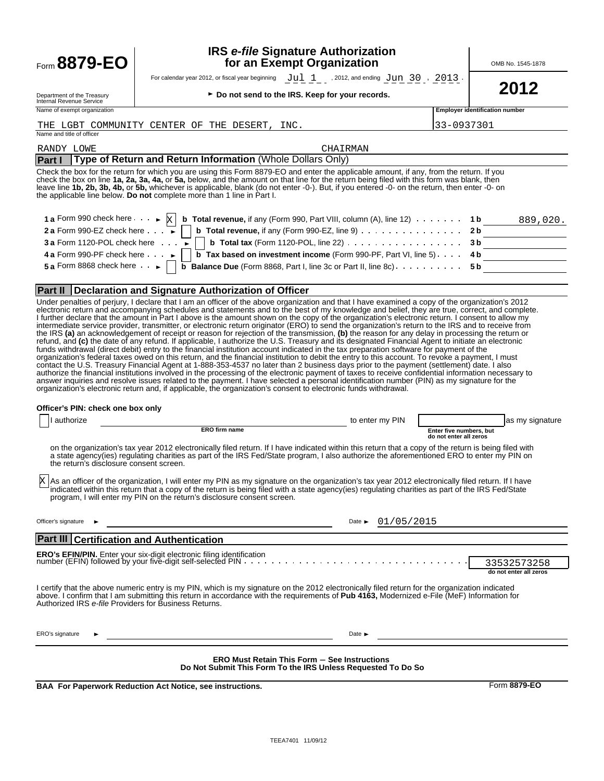|        | G. |
|--------|----|
| OO I   |    |
| Form ( |    |

## **IRS** *e-file* **Signature Authorization form 8879-EO** The Mann of the Second of the Combine of the MB No. 1545-1878

For calendar year 2012, or fiscal year beginning  $\text{Ju1 } 1$ , 2012, and ending  $\text{Ju1 } 30$ ,  $\text{2013}$ .<br> **2012** <br>Do not send to the IRS. Keep for your records.  $Jul 1$  , 2012, and ending  $Jun 30$ ,  $2013$ 

Department of the Treasury<br>Internal Revenue Service<br>Name of exempt organization

| ► Do not send to the IRS. Keep for your records. |  |  |  |  |
|--------------------------------------------------|--|--|--|--|
|                                                  |  |  |  |  |

|  | THE LGBT COMMUNITY CENTER OF THE DESERT, IN |  |  |  |
|--|---------------------------------------------|--|--|--|

**Employer identification number** 

| THE LGBT COMMUNITY CENTER OF THE DESERT,<br>INC.                                                                                                                                                                                                                                                                                                                                                                                                                                                                                                                                                                                                                                                                                                                                                                                                                                                                                                                                                                                                                                                                                                                                                                                                                                                                                                                                                                                                                                                                                                                                                                                                                                                                                                                                     | 33-0937301                                                                                                                                                                                                                                                                                                                                                                                                                                                         |
|--------------------------------------------------------------------------------------------------------------------------------------------------------------------------------------------------------------------------------------------------------------------------------------------------------------------------------------------------------------------------------------------------------------------------------------------------------------------------------------------------------------------------------------------------------------------------------------------------------------------------------------------------------------------------------------------------------------------------------------------------------------------------------------------------------------------------------------------------------------------------------------------------------------------------------------------------------------------------------------------------------------------------------------------------------------------------------------------------------------------------------------------------------------------------------------------------------------------------------------------------------------------------------------------------------------------------------------------------------------------------------------------------------------------------------------------------------------------------------------------------------------------------------------------------------------------------------------------------------------------------------------------------------------------------------------------------------------------------------------------------------------------------------------|--------------------------------------------------------------------------------------------------------------------------------------------------------------------------------------------------------------------------------------------------------------------------------------------------------------------------------------------------------------------------------------------------------------------------------------------------------------------|
| Name and title of officer                                                                                                                                                                                                                                                                                                                                                                                                                                                                                                                                                                                                                                                                                                                                                                                                                                                                                                                                                                                                                                                                                                                                                                                                                                                                                                                                                                                                                                                                                                                                                                                                                                                                                                                                                            |                                                                                                                                                                                                                                                                                                                                                                                                                                                                    |
| RANDY LOWE                                                                                                                                                                                                                                                                                                                                                                                                                                                                                                                                                                                                                                                                                                                                                                                                                                                                                                                                                                                                                                                                                                                                                                                                                                                                                                                                                                                                                                                                                                                                                                                                                                                                                                                                                                           | CHAIRMAN                                                                                                                                                                                                                                                                                                                                                                                                                                                           |
| Type of Return and Return Information (Whole Dollars Only)<br><b>Part I</b>                                                                                                                                                                                                                                                                                                                                                                                                                                                                                                                                                                                                                                                                                                                                                                                                                                                                                                                                                                                                                                                                                                                                                                                                                                                                                                                                                                                                                                                                                                                                                                                                                                                                                                          |                                                                                                                                                                                                                                                                                                                                                                                                                                                                    |
| Check the box for the return for which you are using this Form 8879-EO and enter the applicable amount, if any, from the return. If you<br>check the box on line 1a, 2a, 3a, 4a, or 5a, below, and the amount on that line for the return being filed with this form was blank, then<br>leave line 1b, 2b, 3b, 4b, or 5b, whichever is applicable, blank (do not enter -0-). But, if you entered -0- on the return, then enter -0- on<br>the applicable line below. Do not complete more than 1 line in Part I.                                                                                                                                                                                                                                                                                                                                                                                                                                                                                                                                                                                                                                                                                                                                                                                                                                                                                                                                                                                                                                                                                                                                                                                                                                                                      |                                                                                                                                                                                                                                                                                                                                                                                                                                                                    |
| 1 a Form 990 check here $\cdot \cdot \cdot$ $\cdot$ $\mathbb{X}$<br>2 a Form 990-EZ check here $\cdots$<br><b>3 a Form 1120-POL check here</b><br>4 a Form 990-PF check here $\cdots$<br>5 a Form 8868 check here $\cdot \cdot$                                                                                                                                                                                                                                                                                                                                                                                                                                                                                                                                                                                                                                                                                                                                                                                                                                                                                                                                                                                                                                                                                                                                                                                                                                                                                                                                                                                                                                                                                                                                                      | <b>b</b> Total revenue, if any (Form 990, Part VIII, column (A), line 12) $\ldots \ldots$<br>1 b<br>889,020.<br><b>b</b> Total revenue, if any (Form 990-EZ, line 9) $\ldots$<br>2 <sub>b</sub><br><b>b</b> Total tax (Form 1120-POL, line 22) $\ldots$<br>3 <sub>b</sub><br><b>b</b> Tax based on investment income (Form 990-PF, Part VI, line $5$ ). $\ldots$<br>4 b<br><b>b Balance Due</b> (Form 8868, Part I, line 3c or Part II, line 8c)<br>5 <sub>b</sub> |
| <b>Part II   Declaration and Signature Authorization of Officer</b>                                                                                                                                                                                                                                                                                                                                                                                                                                                                                                                                                                                                                                                                                                                                                                                                                                                                                                                                                                                                                                                                                                                                                                                                                                                                                                                                                                                                                                                                                                                                                                                                                                                                                                                  |                                                                                                                                                                                                                                                                                                                                                                                                                                                                    |
| Under penalties of perjury, I declare that I am an officer of the above organization and that I have examined a copy of the organization's 2012<br>electronic return and accompanying schedules and statements and to the best of my knowledge and belief, they are true, correct, and complete.<br>I further declare that the amount in Part I above is the amount shown on the copy of the organization's electronic return. I consent to allow my<br>intermediate service provider, transmitter, or electronic return originator (ERO) to send the organization's return to the IRS and to receive from<br>the IRS (a) an acknowledgement of receipt or reason for rejection of the transmission, (b) the reason for any delay in processing the return or<br>refund, and (c) the date of any refund. If applicable, I authorize the U.S. Treasury and its designated Financial Agent to initiate an electronic<br>funds withdrawal (direct debit) entry to the financial institution account indicated in the tax preparation software for payment of the<br>organization's federal taxes owed on this return, and the financial institution to debit the entry to this account. To revoke a payment, I must<br>contact the U.S. Treasury Financial Agent at 1-888-353-4537 no later than 2 business days prior to the payment (settlement) date. I also<br>authorize the financial institutions involved in the processing of the electronic payment of taxes to receive confidential information necessary to<br>answer inquiries and resolve issues related to the payment. I have selected a personal identification number (PIN) as my signature for the<br>organization's electronic return and, if applicable, the organization's consent to electronic funds withdrawal. |                                                                                                                                                                                                                                                                                                                                                                                                                                                                    |
| Officer's PIN: check one box only                                                                                                                                                                                                                                                                                                                                                                                                                                                                                                                                                                                                                                                                                                                                                                                                                                                                                                                                                                                                                                                                                                                                                                                                                                                                                                                                                                                                                                                                                                                                                                                                                                                                                                                                                    |                                                                                                                                                                                                                                                                                                                                                                                                                                                                    |
| I authorize                                                                                                                                                                                                                                                                                                                                                                                                                                                                                                                                                                                                                                                                                                                                                                                                                                                                                                                                                                                                                                                                                                                                                                                                                                                                                                                                                                                                                                                                                                                                                                                                                                                                                                                                                                          | as my signature<br>to enter my PIN                                                                                                                                                                                                                                                                                                                                                                                                                                 |
| ERO firm name                                                                                                                                                                                                                                                                                                                                                                                                                                                                                                                                                                                                                                                                                                                                                                                                                                                                                                                                                                                                                                                                                                                                                                                                                                                                                                                                                                                                                                                                                                                                                                                                                                                                                                                                                                        | Enter five numbers, but<br>do not enter all zeros                                                                                                                                                                                                                                                                                                                                                                                                                  |
| on the organization's tax year 2012 electronically filed return. If I have indicated within this return that a copy of the return is being filed with<br>a state agency(ies) regulating charities as part of the IRS Fed/State program, I also authorize the aforementioned ERO to enter my PIN on<br>the return's disclosure consent screen.                                                                                                                                                                                                                                                                                                                                                                                                                                                                                                                                                                                                                                                                                                                                                                                                                                                                                                                                                                                                                                                                                                                                                                                                                                                                                                                                                                                                                                        |                                                                                                                                                                                                                                                                                                                                                                                                                                                                    |
| As an officer of the organization, I will enter my PIN as my signature on the organization's tax year 2012 electronically filed return. If I have<br>indicated within this return that a copy of the return is being filed with a state agency(ies) regulating charities as part of the IRS Fed/State<br>program, I will enter my PIN on the return's disclosure consent screen.                                                                                                                                                                                                                                                                                                                                                                                                                                                                                                                                                                                                                                                                                                                                                                                                                                                                                                                                                                                                                                                                                                                                                                                                                                                                                                                                                                                                     |                                                                                                                                                                                                                                                                                                                                                                                                                                                                    |
| Officer's signature                                                                                                                                                                                                                                                                                                                                                                                                                                                                                                                                                                                                                                                                                                                                                                                                                                                                                                                                                                                                                                                                                                                                                                                                                                                                                                                                                                                                                                                                                                                                                                                                                                                                                                                                                                  | 01/05/2015<br>Date $\blacktriangleright$                                                                                                                                                                                                                                                                                                                                                                                                                           |
| <b>Part III Certification and Authentication</b>                                                                                                                                                                                                                                                                                                                                                                                                                                                                                                                                                                                                                                                                                                                                                                                                                                                                                                                                                                                                                                                                                                                                                                                                                                                                                                                                                                                                                                                                                                                                                                                                                                                                                                                                     |                                                                                                                                                                                                                                                                                                                                                                                                                                                                    |
| <b>ERO's EFIN/PIN.</b> Enter your six-digit electronic filing identification                                                                                                                                                                                                                                                                                                                                                                                                                                                                                                                                                                                                                                                                                                                                                                                                                                                                                                                                                                                                                                                                                                                                                                                                                                                                                                                                                                                                                                                                                                                                                                                                                                                                                                         |                                                                                                                                                                                                                                                                                                                                                                                                                                                                    |
|                                                                                                                                                                                                                                                                                                                                                                                                                                                                                                                                                                                                                                                                                                                                                                                                                                                                                                                                                                                                                                                                                                                                                                                                                                                                                                                                                                                                                                                                                                                                                                                                                                                                                                                                                                                      | 33532573258<br>do not enter all zeros                                                                                                                                                                                                                                                                                                                                                                                                                              |
| I certify that the above numeric entry is my PIN, which is my signature on the 2012 electronically filed return for the organization indicated<br>above. I confirm that I am submitting this return in accordance with the requirements of Pub 4163, Modernized e-File (MeF) Information for<br>Authorized IRS e-file Providers for Business Returns.                                                                                                                                                                                                                                                                                                                                                                                                                                                                                                                                                                                                                                                                                                                                                                                                                                                                                                                                                                                                                                                                                                                                                                                                                                                                                                                                                                                                                                |                                                                                                                                                                                                                                                                                                                                                                                                                                                                    |
| ERO's signature                                                                                                                                                                                                                                                                                                                                                                                                                                                                                                                                                                                                                                                                                                                                                                                                                                                                                                                                                                                                                                                                                                                                                                                                                                                                                                                                                                                                                                                                                                                                                                                                                                                                                                                                                                      | Date $\blacktriangleright$                                                                                                                                                                                                                                                                                                                                                                                                                                         |

**ERO Must Retain This Form** ' **See Instructions Do Not Submit This Form To the IRS Unless Requested To Do So**

**BAA For Paperwork Reduction Act Notice, see instructions.** Form 8879-EO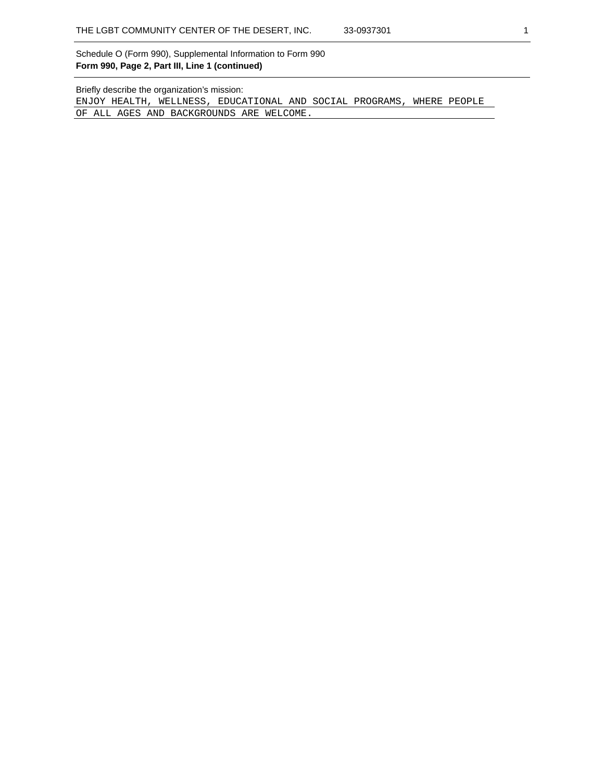Schedule O (Form 990), Supplemental Information to Form 990 **Form 990, Page 2, Part III, Line 1 (continued)**

Briefly describe the organization's mission:

ENJOY HEALTH, WELLNESS, EDUCATIONAL AND SOCIAL PROGRAMS, WHERE PEOPLE OF ALL AGES AND BACKGROUNDS ARE WELCOME.